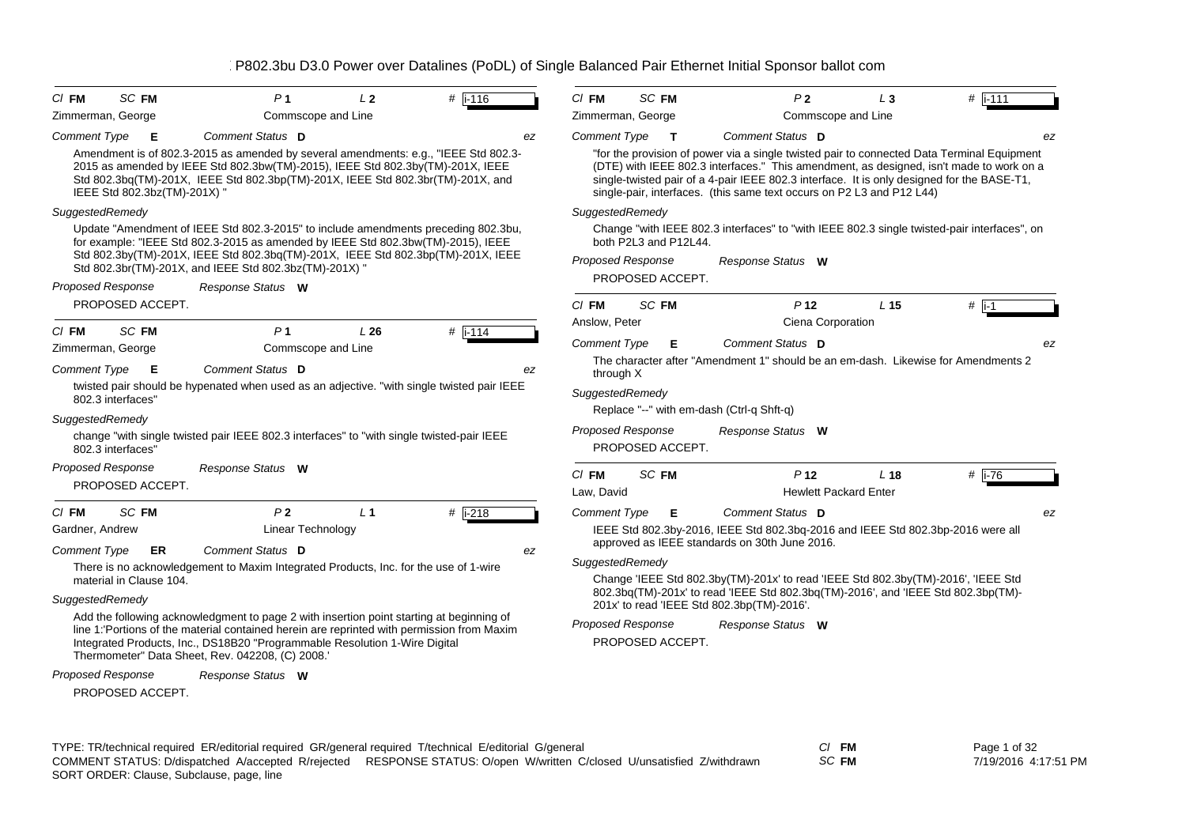| $CI$ FM                                      | SC FM        | P <sub>1</sub>                                                                                                                                                                                                                                                                                                           | L <sub>2</sub> | $#$ i-116            | $CI$ FM               | SC FM                                        |                                               | P <sub>2</sub>                                  | $L_3$                                                                 | $#$ i-111                                                                                                                                                                                                                                                                           |
|----------------------------------------------|--------------|--------------------------------------------------------------------------------------------------------------------------------------------------------------------------------------------------------------------------------------------------------------------------------------------------------------------------|----------------|----------------------|-----------------------|----------------------------------------------|-----------------------------------------------|-------------------------------------------------|-----------------------------------------------------------------------|-------------------------------------------------------------------------------------------------------------------------------------------------------------------------------------------------------------------------------------------------------------------------------------|
| Zimmerman, George                            |              | Commscope and Line                                                                                                                                                                                                                                                                                                       |                |                      |                       | Zimmerman, George                            |                                               | Commscope and Line                              |                                                                       |                                                                                                                                                                                                                                                                                     |
| <b>Comment Type</b>                          | Е            | Comment Status D                                                                                                                                                                                                                                                                                                         |                | ez                   | <b>Comment Type</b>   | $\mathbf{T}$                                 |                                               | Comment Status D                                |                                                                       | ez                                                                                                                                                                                                                                                                                  |
| IEEE Std 802.3bz(TM)-201X) "                 |              | Amendment is of 802.3-2015 as amended by several amendments: e.g., "IEEE Std 802.3-<br>2015 as amended by IEEE Std 802.3bw(TM)-2015), IEEE Std 802.3by(TM)-201X, IEEE<br>Std 802.3bq(TM)-201X, IEEE Std 802.3bp(TM)-201X, IEEE Std 802.3br(TM)-201X, and                                                                 |                |                      |                       |                                              |                                               |                                                 | single-pair, interfaces. (this same text occurs on P2 L3 and P12 L44) | "for the provision of power via a single twisted pair to connected Data Terminal Equipment<br>(DTE) with IEEE 802.3 interfaces." This amendment, as designed, isn't made to work on a<br>single-twisted pair of a 4-pair IEEE 802.3 interface. It is only designed for the BASE-T1, |
| SuggestedRemedy                              |              |                                                                                                                                                                                                                                                                                                                          |                |                      | SuggestedRemedy       |                                              |                                               |                                                 |                                                                       |                                                                                                                                                                                                                                                                                     |
|                                              |              | Update "Amendment of IEEE Std 802.3-2015" to include amendments preceding 802.3bu,<br>for example: "IEEE Std 802.3-2015 as amended by IEEE Std 802.3bw(TM)-2015), IEEE<br>Std 802.3by(TM)-201X, IEEE Std 802.3bq(TM)-201X, IEEE Std 802.3bp(TM)-201X, IEEE                                                               |                |                      |                       | both P2L3 and P12L44.<br>Proposed Response   |                                               |                                                 |                                                                       | Change "with IEEE 802.3 interfaces" to "with IEEE 802.3 single twisted-pair interfaces", on                                                                                                                                                                                         |
|                                              |              | Std 802.3br(TM)-201X, and IEEE Std 802.3bz(TM)-201X) "                                                                                                                                                                                                                                                                   |                |                      |                       | PROPOSED ACCEPT.                             |                                               | Response Status W                               |                                                                       |                                                                                                                                                                                                                                                                                     |
| <b>Proposed Response</b>                     |              | Response Status W                                                                                                                                                                                                                                                                                                        |                |                      |                       |                                              |                                               |                                                 |                                                                       |                                                                                                                                                                                                                                                                                     |
| PROPOSED ACCEPT.                             |              |                                                                                                                                                                                                                                                                                                                          |                |                      | $CI$ FM               | SC FM                                        |                                               | P <sub>12</sub>                                 | L <sub>15</sub>                                                       | $#$ i-1                                                                                                                                                                                                                                                                             |
| $CI$ FM                                      | <b>SC FM</b> | P <sub>1</sub>                                                                                                                                                                                                                                                                                                           | L26            | $#$ i-114            | Anslow, Peter         |                                              |                                               | Ciena Corporation                               |                                                                       |                                                                                                                                                                                                                                                                                     |
| Zimmerman, George                            |              | Commscope and Line                                                                                                                                                                                                                                                                                                       |                |                      | <b>Comment Type</b>   | Е                                            |                                               | Comment Status D                                |                                                                       | ez                                                                                                                                                                                                                                                                                  |
| <b>Comment Type</b>                          | E            | Comment Status D                                                                                                                                                                                                                                                                                                         |                | ez                   | through X             |                                              |                                               |                                                 |                                                                       | The character after "Amendment 1" should be an em-dash. Likewise for Amendments 2                                                                                                                                                                                                   |
| 802.3 interfaces"                            |              | twisted pair should be hypenated when used as an adjective. "with single twisted pair IEEE                                                                                                                                                                                                                               |                |                      | SuggestedRemedy       |                                              |                                               |                                                 |                                                                       |                                                                                                                                                                                                                                                                                     |
| SuggestedRemedy                              |              |                                                                                                                                                                                                                                                                                                                          |                |                      |                       |                                              | Replace "--" with em-dash (Ctrl-q Shft-q)     |                                                 |                                                                       |                                                                                                                                                                                                                                                                                     |
| 802.3 interfaces"                            |              | change "with single twisted pair IEEE 802.3 interfaces" to "with single twisted-pair IEEE                                                                                                                                                                                                                                |                |                      |                       | <b>Proposed Response</b><br>PROPOSED ACCEPT. |                                               | Response Status W                               |                                                                       |                                                                                                                                                                                                                                                                                     |
| <b>Proposed Response</b><br>PROPOSED ACCEPT. |              | Response Status W                                                                                                                                                                                                                                                                                                        |                |                      | $CI$ FM<br>Law, David | SC FM                                        |                                               | P <sub>12</sub><br><b>Hewlett Packard Enter</b> | L <sub>18</sub>                                                       | # $\overline{11-76}$                                                                                                                                                                                                                                                                |
| $CI$ FM                                      | SC FM        | P <sub>2</sub>                                                                                                                                                                                                                                                                                                           | L <sub>1</sub> | # $\overline{1-218}$ | <b>Comment Type</b>   | Е                                            |                                               | Comment Status D                                |                                                                       | ez                                                                                                                                                                                                                                                                                  |
| Gardner, Andrew                              |              | <b>Linear Technology</b>                                                                                                                                                                                                                                                                                                 |                |                      |                       |                                              | approved as IEEE standards on 30th June 2016. |                                                 |                                                                       | IEEE Std 802.3by-2016, IEEE Std 802.3bq-2016 and IEEE Std 802.3bp-2016 were all                                                                                                                                                                                                     |
| Comment Type                                 | ER.          | Comment Status D                                                                                                                                                                                                                                                                                                         |                | ez                   | SuggestedRemedy       |                                              |                                               |                                                 |                                                                       |                                                                                                                                                                                                                                                                                     |
| material in Clause 104.                      |              | There is no acknowledgement to Maxim Integrated Products, Inc. for the use of 1-wire                                                                                                                                                                                                                                     |                |                      |                       |                                              |                                               |                                                 |                                                                       | Change 'IEEE Std 802.3by(TM)-201x' to read 'IEEE Std 802.3by(TM)-2016', 'IEEE Std<br>802.3bq(TM)-201x' to read 'IEEE Std 802.3bq(TM)-2016', and 'IEEE Std 802.3bp(TM)-                                                                                                              |
| SuggestedRemedy                              |              |                                                                                                                                                                                                                                                                                                                          |                |                      |                       |                                              | 201x' to read 'IEEE Std 802.3bp(TM)-2016'.    |                                                 |                                                                       |                                                                                                                                                                                                                                                                                     |
|                                              |              | Add the following acknowledgment to page 2 with insertion point starting at beginning of<br>line 1: Portions of the material contained herein are reprinted with permission from Maxim<br>Integrated Products, Inc., DS18B20 "Programmable Resolution 1-Wire Digital<br>Thermometer" Data Sheet, Rev. 042208, (C) 2008.' |                |                      |                       | <b>Proposed Response</b><br>PROPOSED ACCEPT. |                                               | Response Status W                               |                                                                       |                                                                                                                                                                                                                                                                                     |
| <b>Proposed Response</b><br>PROPOSED ACCEPT. |              | Response Status W                                                                                                                                                                                                                                                                                                        |                |                      |                       |                                              |                                               |                                                 |                                                                       |                                                                                                                                                                                                                                                                                     |

| TYPE: TR/technical required ER/editorial required GR/general required T/technical E/editorial G/general |                                                                                                                         | CI FM |
|---------------------------------------------------------------------------------------------------------|-------------------------------------------------------------------------------------------------------------------------|-------|
|                                                                                                         | COMMENT STATUS: D/dispatched A/accepted R/rejected RESPONSE STATUS: O/open W/written C/closed U/unsatisfied Z/withdrawn | SC FM |
| SORT ORDER: Clause, Subclause, page, line                                                               |                                                                                                                         |       |

Page 1 of 32

7/19/2016 4:17:51 PM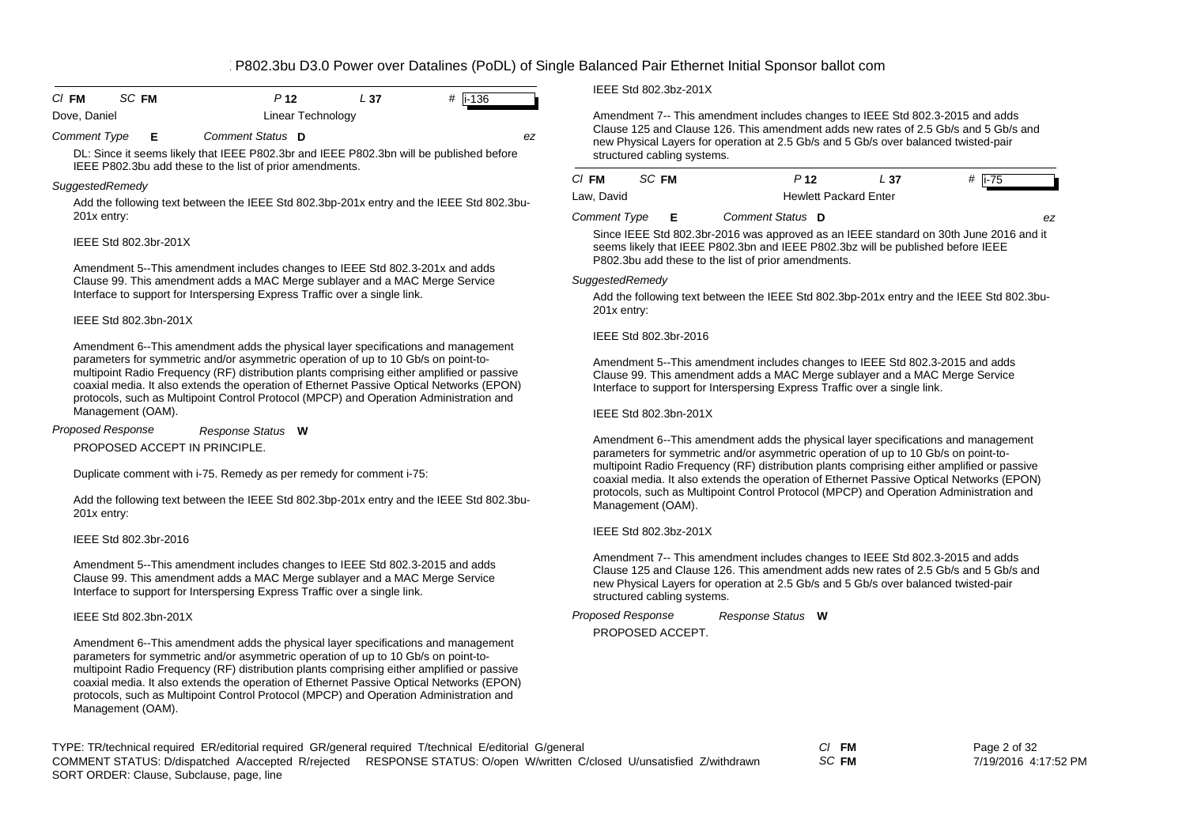| $CI$ FM      | SC FM | P 12              | - 37 | # $\ $ i-136 |  |
|--------------|-------|-------------------|------|--------------|--|
| Dove, Daniel |       | Linear Technology |      |              |  |

*Comment Type* **E** *Comment Status* **D** *ez*

DL: Since it seems likely that IEEE P802.3br and IEEE P802.3bn will be published before IEEE P802.3bu add these to the list of prior amendments.

#### *SuggestedRemedy*

Add the following text between the IEEE Std 802.3bp-201x entry and the IEEE Std 802.3bu-201x entry:

#### IEEE Std 802.3br-201X

Amendment 5--This amendment includes changes to IEEE Std 802.3-201x and adds Clause 99. This amendment adds a MAC Merge sublayer and a MAC Merge Service Interface to support for Interspersing Express Traffic over a single link.

#### IEEE Std 802.3bn-201X

Amendment 6--This amendment adds the physical layer specifications and management parameters for symmetric and/or asymmetric operation of up to 10 Gb/s on point-tomultipoint Radio Frequency (RF) distribution plants comprising either amplified or passive coaxial media. It also extends the operation of Ethernet Passive Optical Networks (EPON) protocols, such as Multipoint Control Protocol (MPCP) and Operation Administration and Management (OAM).

PROPOSED ACCEPT IN PRINCIPLE.*Response Status* **W** *Proposed Response*

Duplicate comment with i-75. Remedy as per remedy for comment i-75:

Add the following text between the IEEE Std 802.3bp-201x entry and the IEEE Std 802.3bu-201x entry:

#### IEEE Std 802.3br-2016

Amendment 5--This amendment includes changes to IEEE Std 802.3-2015 and adds Clause 99. This amendment adds a MAC Merge sublayer and a MAC Merge Service Interface to support for Interspersing Express Traffic over a single link.

## IEEE Std 802.3bn-201X

Amendment 6--This amendment adds the physical layer specifications and management parameters for symmetric and/or asymmetric operation of up to 10 Gb/s on point-tomultipoint Radio Frequency (RF) distribution plants comprising either amplified or passive coaxial media. It also extends the operation of Ethernet Passive Optical Networks (EPON) protocols, such as Multipoint Control Protocol (MPCP) and Operation Administration and Management (OAM).

IEEE Std 802.3bz-201X

Amendment 7-- This amendment includes changes to IEEE Std 802.3-2015 and adds Clause 125 and Clause 126. This amendment adds new rates of 2.5 Gb/s and 5 Gb/s and new Physical Layers for operation at 2.5 Gb/s and 5 Gb/s over balanced twisted-pair structured cabling systems.

| CI FM               | SC FM |    | P <sub>12</sub>  | L 37                         | # $i-75$                                                                              |  |  |  |  |
|---------------------|-------|----|------------------|------------------------------|---------------------------------------------------------------------------------------|--|--|--|--|
| Law, David          |       |    |                  | <b>Hewlett Packard Enter</b> |                                                                                       |  |  |  |  |
| <b>Comment Type</b> |       | E. | Comment Status D |                              | ez.                                                                                   |  |  |  |  |
|                     |       |    |                  |                              | Since IEEE Std 802.3br-2016 was approved as an IEEE standard on 30th June 2016 and it |  |  |  |  |

seems likely that IEEE P802.3bn and IEEE P802.3bz will be published before IEEE P802.3bu add these to the list of prior amendments.

#### *SuggestedRemedy*

Add the following text between the IEEE Std 802.3bp-201x entry and the IEEE Std 802.3bu-201x entry:

#### IEEE Std 802.3br-2016

Amendment 5--This amendment includes changes to IEEE Std 802.3-2015 and adds Clause 99. This amendment adds a MAC Merge sublayer and a MAC Merge Service Interface to support for Interspersing Express Traffic over a single link.

## IEEE Std 802.3bn-201X

Amendment 6--This amendment adds the physical layer specifications and management parameters for symmetric and/or asymmetric operation of up to 10 Gb/s on point-tomultipoint Radio Frequency (RF) distribution plants comprising either amplified or passive coaxial media. It also extends the operation of Ethernet Passive Optical Networks (EPON) protocols, such as Multipoint Control Protocol (MPCP) and Operation Administration and Management (OAM).

## IEEE Std 802.3bz-201X

Amendment 7-- This amendment includes changes to IEEE Std 802.3-2015 and adds Clause 125 and Clause 126. This amendment adds new rates of 2.5 Gb/s and 5 Gb/s and new Physical Layers for operation at 2.5 Gb/s and 5 Gb/s over balanced twisted-pair structured cabling systems.

*Response Status* **W** *Proposed Response*

PROPOSED ACCEPT.

TYPE: TR/technical required ER/editorial required GR/general required T/technical E/editorial G/general *Cl* **FM** SORT ORDER: Clause, Subclause, page, line COMMENT STATUS: D/dispatched A/accepted R/rejected RESPONSE STATUS: O/open W/written C/closed U/unsatisfied Z/withdrawn

*SC* **FM**

Page 2 of 32 7/19/2016 4:17:52 PM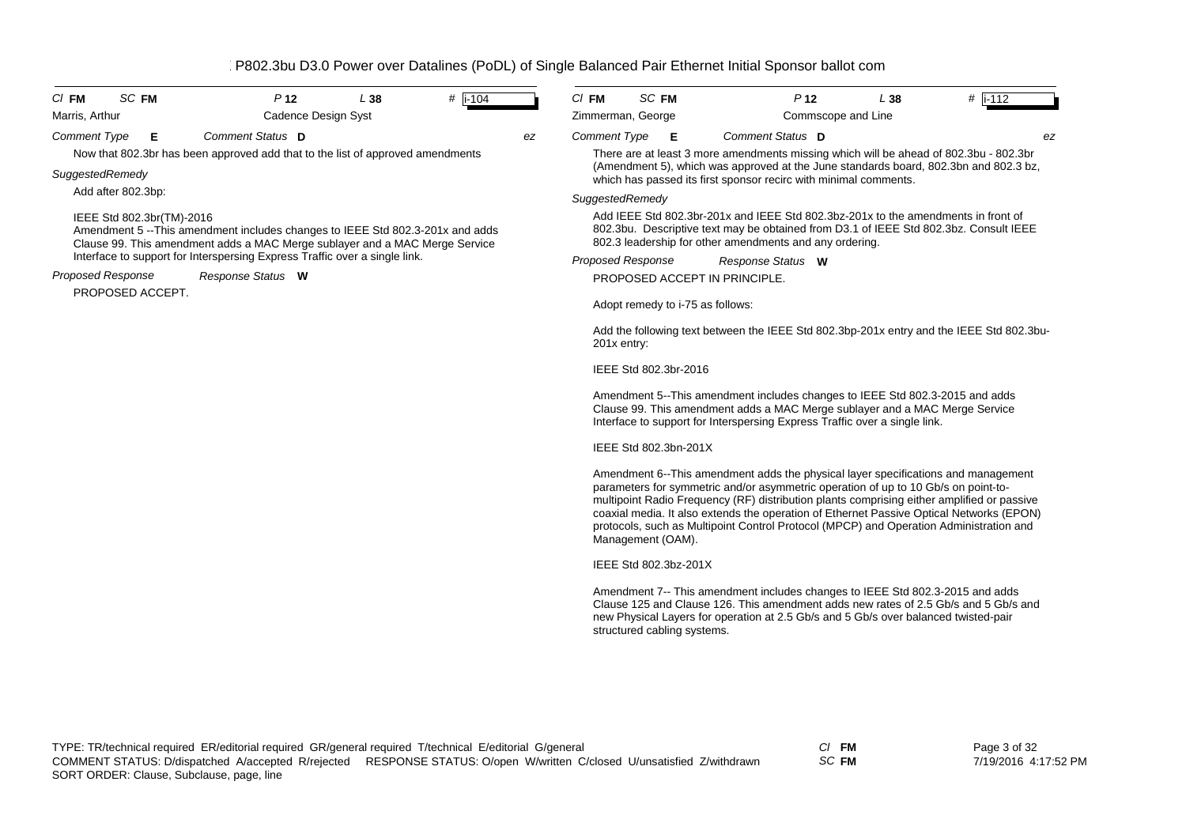| <b>SC FM</b><br>$CI$ FM                                                                                                                                                                   | P <sub>12</sub>                                                                | L38                                                                                                                                                                                                                                   | $\#$ i-104 |    | $CI$ FM                  | SC FM                            |                                                                  | P <sub>12</sub>                                                                                                                                                                                                                                                                                                                                                                                                                                             | L38 | $\#$ i-112 |
|-------------------------------------------------------------------------------------------------------------------------------------------------------------------------------------------|--------------------------------------------------------------------------------|---------------------------------------------------------------------------------------------------------------------------------------------------------------------------------------------------------------------------------------|------------|----|--------------------------|----------------------------------|------------------------------------------------------------------|-------------------------------------------------------------------------------------------------------------------------------------------------------------------------------------------------------------------------------------------------------------------------------------------------------------------------------------------------------------------------------------------------------------------------------------------------------------|-----|------------|
| Marris, Arthur                                                                                                                                                                            | Cadence Design Syst                                                            |                                                                                                                                                                                                                                       |            |    | Zimmerman, George        |                                  |                                                                  | Commscope and Line                                                                                                                                                                                                                                                                                                                                                                                                                                          |     |            |
| <b>Comment Type</b><br>Е                                                                                                                                                                  | Comment Status D                                                               |                                                                                                                                                                                                                                       |            | ez | <b>Comment Type</b>      | E                                |                                                                  | Comment Status D                                                                                                                                                                                                                                                                                                                                                                                                                                            |     | ez         |
|                                                                                                                                                                                           | Now that 802.3br has been approved add that to the list of approved amendments |                                                                                                                                                                                                                                       |            |    |                          |                                  |                                                                  | There are at least 3 more amendments missing which will be ahead of 802.3bu - 802.3br                                                                                                                                                                                                                                                                                                                                                                       |     |            |
| SuggestedRemedy                                                                                                                                                                           |                                                                                |                                                                                                                                                                                                                                       |            |    |                          |                                  | which has passed its first sponsor recirc with minimal comments. | (Amendment 5), which was approved at the June standards board, 802.3bn and 802.3 bz,                                                                                                                                                                                                                                                                                                                                                                        |     |            |
| Add after 802.3bp:                                                                                                                                                                        |                                                                                |                                                                                                                                                                                                                                       |            |    | SuggestedRemedy          |                                  |                                                                  |                                                                                                                                                                                                                                                                                                                                                                                                                                                             |     |            |
| IEEE Std 802.3br(TM)-2016<br>Amendment 5 --This amendment includes changes to IEEE Std 802.3-201x and adds<br>Clause 99. This amendment adds a MAC Merge sublayer and a MAC Merge Service |                                                                                | Add IEEE Std 802.3br-201x and IEEE Std 802.3bz-201x to the amendments in front of<br>802.3bu. Descriptive text may be obtained from D3.1 of IEEE Std 802.3bz. Consult IEEE<br>802.3 leadership for other amendments and any ordering. |            |    |                          |                                  |                                                                  |                                                                                                                                                                                                                                                                                                                                                                                                                                                             |     |            |
|                                                                                                                                                                                           | Interface to support for Interspersing Express Traffic over a single link.     |                                                                                                                                                                                                                                       |            |    | <b>Proposed Response</b> |                                  |                                                                  | Response Status W                                                                                                                                                                                                                                                                                                                                                                                                                                           |     |            |
| <b>Proposed Response</b>                                                                                                                                                                  | Response Status W                                                              |                                                                                                                                                                                                                                       |            |    |                          |                                  |                                                                  | PROPOSED ACCEPT IN PRINCIPLE.                                                                                                                                                                                                                                                                                                                                                                                                                               |     |            |
| PROPOSED ACCEPT.                                                                                                                                                                          |                                                                                |                                                                                                                                                                                                                                       |            |    |                          | Adopt remedy to i-75 as follows: |                                                                  |                                                                                                                                                                                                                                                                                                                                                                                                                                                             |     |            |
|                                                                                                                                                                                           |                                                                                |                                                                                                                                                                                                                                       |            |    | 201x entry:              |                                  |                                                                  | Add the following text between the IEEE Std 802.3bp-201x entry and the IEEE Std 802.3bu-                                                                                                                                                                                                                                                                                                                                                                    |     |            |
|                                                                                                                                                                                           |                                                                                |                                                                                                                                                                                                                                       |            |    |                          | IEEE Std 802.3br-2016            |                                                                  |                                                                                                                                                                                                                                                                                                                                                                                                                                                             |     |            |
|                                                                                                                                                                                           |                                                                                |                                                                                                                                                                                                                                       |            |    |                          |                                  |                                                                  | Amendment 5--This amendment includes changes to IEEE Std 802.3-2015 and adds<br>Clause 99. This amendment adds a MAC Merge sublayer and a MAC Merge Service<br>Interface to support for Interspersing Express Traffic over a single link.                                                                                                                                                                                                                   |     |            |
|                                                                                                                                                                                           |                                                                                |                                                                                                                                                                                                                                       |            |    |                          | IEEE Std 802.3bn-201X            |                                                                  |                                                                                                                                                                                                                                                                                                                                                                                                                                                             |     |            |
|                                                                                                                                                                                           |                                                                                |                                                                                                                                                                                                                                       |            |    |                          | Management (OAM).                |                                                                  | Amendment 6--This amendment adds the physical layer specifications and management<br>parameters for symmetric and/or asymmetric operation of up to 10 Gb/s on point-to-<br>multipoint Radio Frequency (RF) distribution plants comprising either amplified or passive<br>coaxial media. It also extends the operation of Ethernet Passive Optical Networks (EPON)<br>protocols, such as Multipoint Control Protocol (MPCP) and Operation Administration and |     |            |
|                                                                                                                                                                                           |                                                                                |                                                                                                                                                                                                                                       |            |    |                          | IEEE Std 802.3bz-201X            |                                                                  |                                                                                                                                                                                                                                                                                                                                                                                                                                                             |     |            |
|                                                                                                                                                                                           |                                                                                |                                                                                                                                                                                                                                       |            |    |                          |                                  |                                                                  | Amendment 7-- This amendment includes changes to IEEE Std 802.3-2015 and adds<br>Clause 125 and Clause 126. This amendment adds new rates of 2.5 Gb/s and 5 Gb/s and<br>new Physical Layers for operation at 2.5 Gb/s and 5 Gb/s over balanced twisted-pair                                                                                                                                                                                                 |     |            |

structured cabling systems.

*SC* **FM**

Page 3 of 32 7/19/2016 4:17:52 PM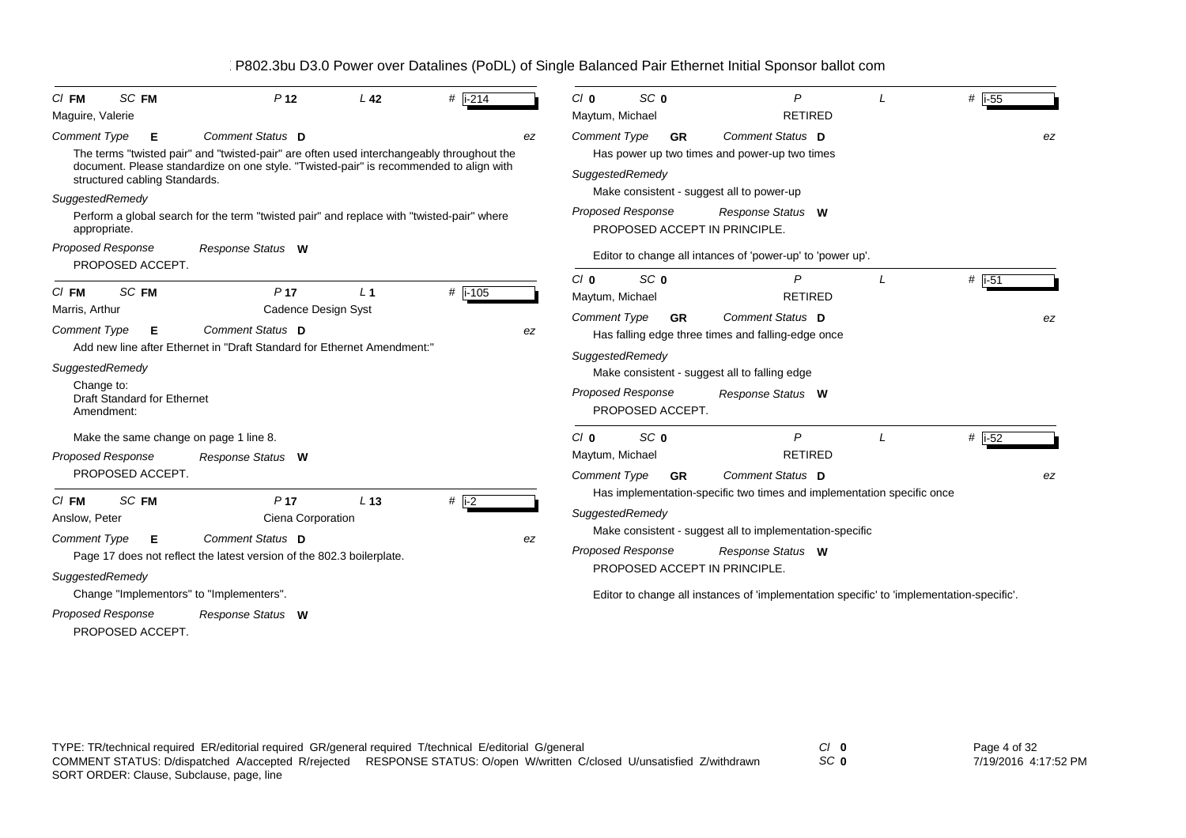| <b>SC FM</b><br>$CI$ FM<br>Maguire, Valerie                                                                                                         | P <sub>12</sub>                                                                                                                                                                                                                                                                                      | L <sub>42</sub> | $#$ i-214          | $C/I$ 0<br>Maytum, Michael                                      | SC <sub>0</sub>                                                                                 | P<br><b>RETIRED</b>                                                                                                                                                                                                                                                                   | # $\vert$ i-55            |
|-----------------------------------------------------------------------------------------------------------------------------------------------------|------------------------------------------------------------------------------------------------------------------------------------------------------------------------------------------------------------------------------------------------------------------------------------------------------|-----------------|--------------------|-----------------------------------------------------------------|-------------------------------------------------------------------------------------------------|---------------------------------------------------------------------------------------------------------------------------------------------------------------------------------------------------------------------------------------------------------------------------------------|---------------------------|
| <b>Comment Type</b><br>Е<br>structured cabling Standards.<br>SuggestedRemedy                                                                        | Comment Status D<br>The terms "twisted pair" and "twisted-pair" are often used interchangeably throughout the<br>document. Please standardize on one style. "Twisted-pair" is recommended to align with<br>Perform a global search for the term "twisted pair" and replace with "twisted-pair" where |                 |                    | <b>Comment Type</b><br>ez                                       | <b>GR</b><br>SuggestedRemedy<br><b>Proposed Response</b>                                        | Comment Status D<br>Has power up two times and power-up two times<br>Make consistent - suggest all to power-up<br>Response Status W                                                                                                                                                   | ez                        |
| appropriate.<br><b>Proposed Response</b><br>PROPOSED ACCEPT.                                                                                        | Response Status W                                                                                                                                                                                                                                                                                    |                 |                    |                                                                 |                                                                                                 | PROPOSED ACCEPT IN PRINCIPLE.<br>Editor to change all intances of 'power-up' to 'power up'.                                                                                                                                                                                           |                           |
| SC FM<br>$CI$ FM<br>Marris, Arthur<br><b>Comment Type</b><br>Е<br>SuggestedRemedy<br>Change to:<br><b>Draft Standard for Ethernet</b><br>Amendment: | P <sub>17</sub><br>Cadence Design Syst<br>Comment Status D<br>Add new line after Ethernet in "Draft Standard for Ethernet Amendment:"                                                                                                                                                                | L <sub>1</sub>  | $#$ i-105          | Cl <sub>0</sub><br>Maytum, Michael<br><b>Comment Type</b><br>ez | SC <sub>0</sub><br><b>GR</b><br>SuggestedRemedy<br><b>Proposed Response</b><br>PROPOSED ACCEPT. | P<br><b>RETIRED</b><br>Comment Status D<br>Has falling edge three times and falling-edge once<br>Make consistent - suggest all to falling edge<br>Response Status W                                                                                                                   | # $\overline{1-51}$<br>ez |
| <b>Proposed Response</b><br>PROPOSED ACCEPT.                                                                                                        | Make the same change on page 1 line 8.<br>Response Status W                                                                                                                                                                                                                                          |                 |                    | $C/I$ 0<br>Maytum, Michael<br><b>Comment Type</b>               | SC <sub>0</sub><br><b>GR</b>                                                                    | P<br><b>RETIRED</b><br>Comment Status D                                                                                                                                                                                                                                               | # $ i-52$<br>ez           |
| SC FM<br>$CI$ FM<br>Anslow, Peter<br><b>Comment Type</b><br>Е<br>SuggestedRemedy<br><b>Proposed Response</b><br>PROPOSED ACCEPT.                    | P <sub>17</sub><br>Ciena Corporation<br>Comment Status D<br>Page 17 does not reflect the latest version of the 802.3 boilerplate.<br>Change "Implementors" to "Implementers".<br>Response Status W                                                                                                   | L <sub>13</sub> | # $\overline{1-2}$ | ez                                                              | SuggestedRemedy<br><b>Proposed Response</b>                                                     | Has implementation-specific two times and implementation specific once<br>Make consistent - suggest all to implementation-specific<br>Response Status W<br>PROPOSED ACCEPT IN PRINCIPLE.<br>Editor to change all instances of 'implementation specific' to 'implementation-specific'. |                           |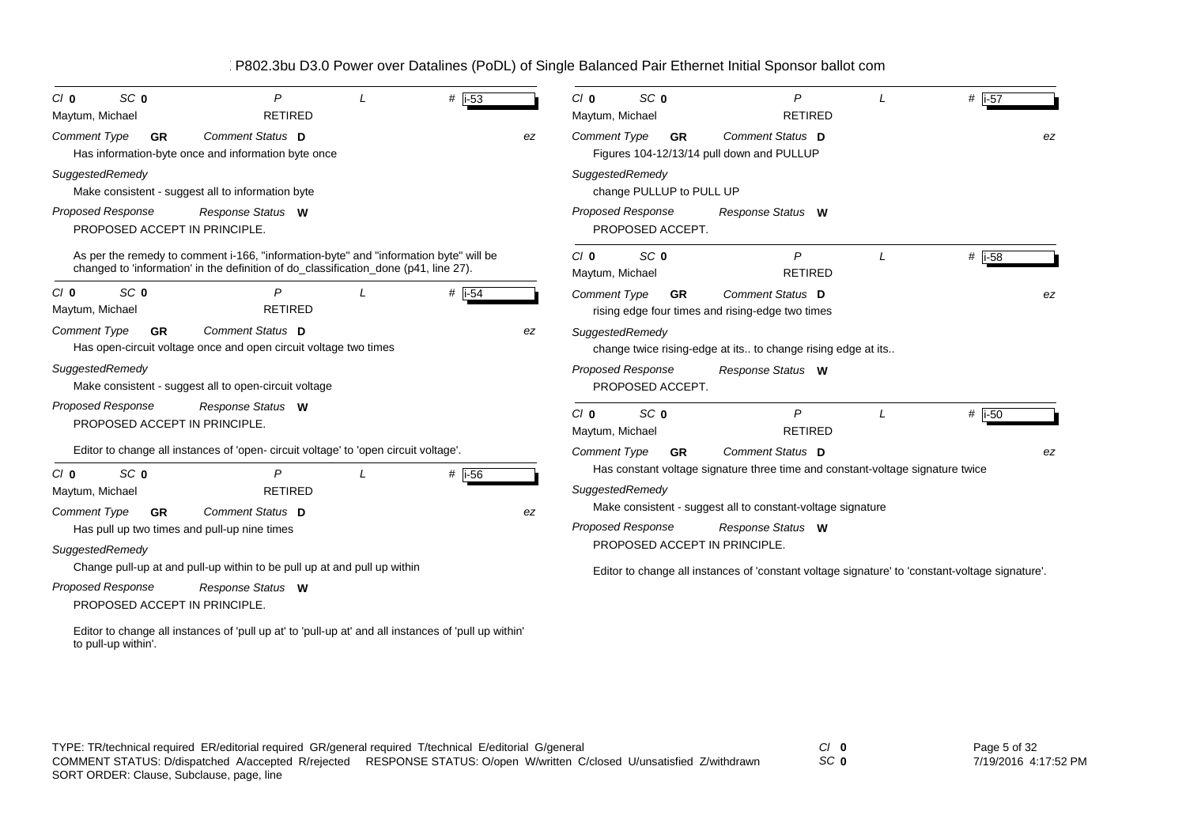| SC <sub>0</sub><br>$C/I$ 0<br>Maytum, Michael | P<br><b>RETIRED</b>                                                                                                                                                           | # $i-53$  |    | SC <sub>0</sub><br>$C/I$ 0<br>Maytum, Michael | P<br><b>RETIRED</b>                                                                             | $#$  i-57  |
|-----------------------------------------------|-------------------------------------------------------------------------------------------------------------------------------------------------------------------------------|-----------|----|-----------------------------------------------|-------------------------------------------------------------------------------------------------|------------|
| <b>Comment Type</b>                           | Comment Status D<br><b>GR</b><br>Has information-byte once and information byte once                                                                                          |           | ez | <b>Comment Type</b><br><b>GR</b>              | Comment Status D<br>Figures 104-12/13/14 pull down and PULLUP                                   | ez         |
| SuggestedRemedy                               | Make consistent - suggest all to information byte                                                                                                                             |           |    | SuggestedRemedy<br>change PULLUP to PULL UP   |                                                                                                 |            |
| <b>Proposed Response</b>                      | Response Status W<br>PROPOSED ACCEPT IN PRINCIPLE.                                                                                                                            |           |    | Proposed Response<br>PROPOSED ACCEPT.         | Response Status W                                                                               |            |
|                                               | As per the remedy to comment i-166, "information-byte" and "information byte" will be<br>changed to 'information' in the definition of do_classification_done (p41, line 27). |           |    | $C/I$ 0<br>SC <sub>0</sub><br>Maytum, Michael | $\mathsf{P}$<br><b>RETIRED</b>                                                                  | $#$ i-58   |
| SC <sub>0</sub><br>$C/I$ 0<br>Maytum, Michael | P<br><b>RETIRED</b>                                                                                                                                                           | $#$ i-54  |    | <b>Comment Type</b><br><b>GR</b>              | Comment Status D<br>rising edge four times and rising-edge two times                            | ez         |
| <b>Comment Type</b>                           | Comment Status D<br><b>GR</b><br>Has open-circuit voltage once and open circuit voltage two times                                                                             |           | ez | SuggestedRemedy                               | change twice rising-edge at its to change rising edge at its                                    |            |
| SuggestedRemedy                               | Make consistent - suggest all to open-circuit voltage                                                                                                                         |           |    | Proposed Response<br>PROPOSED ACCEPT.         | Response Status W                                                                               |            |
| Proposed Response                             | Response Status W<br>PROPOSED ACCEPT IN PRINCIPLE                                                                                                                             |           |    | $C/I$ 0<br>SC <sub>0</sub><br>Maytum, Michael | P<br><b>RETIRED</b>                                                                             | $\#$  i-50 |
|                                               | Editor to change all instances of 'open- circuit voltage' to 'open circuit voltage'.                                                                                          |           |    | <b>Comment Type</b><br><b>GR</b>              | Comment Status D                                                                                | ez         |
| SC <sub>0</sub><br>$C/I$ 0                    | P                                                                                                                                                                             | # $ i-56$ |    |                                               | Has constant voltage signature three time and constant-voltage signature twice                  |            |
| Maytum, Michael                               | <b>RETIRED</b>                                                                                                                                                                |           |    | SuggestedRemedy                               | Make consistent - suggest all to constant-voltage signature                                     |            |
| <b>Comment Type</b>                           | Comment Status D<br><b>GR</b>                                                                                                                                                 |           | ez | <b>Proposed Response</b>                      | Response Status W                                                                               |            |
| SuggestedRemedy                               | Has pull up two times and pull-up nine times                                                                                                                                  |           |    | PROPOSED ACCEPT IN PRINCIPLE.                 |                                                                                                 |            |
|                                               | Change pull-up at and pull-up within to be pull up at and pull up within                                                                                                      |           |    |                                               |                                                                                                 |            |
| Proposed Response                             | Response Status W<br>PROPOSED ACCEPT IN PRINCIPLE.                                                                                                                            |           |    |                                               | Editor to change all instances of 'constant voltage signature' to 'constant-voltage signature'. |            |
| to pull-up within'.                           | Editor to change all instances of 'pull up at' to 'pull-up at' and all instances of 'pull up within'                                                                          |           |    |                                               |                                                                                                 |            |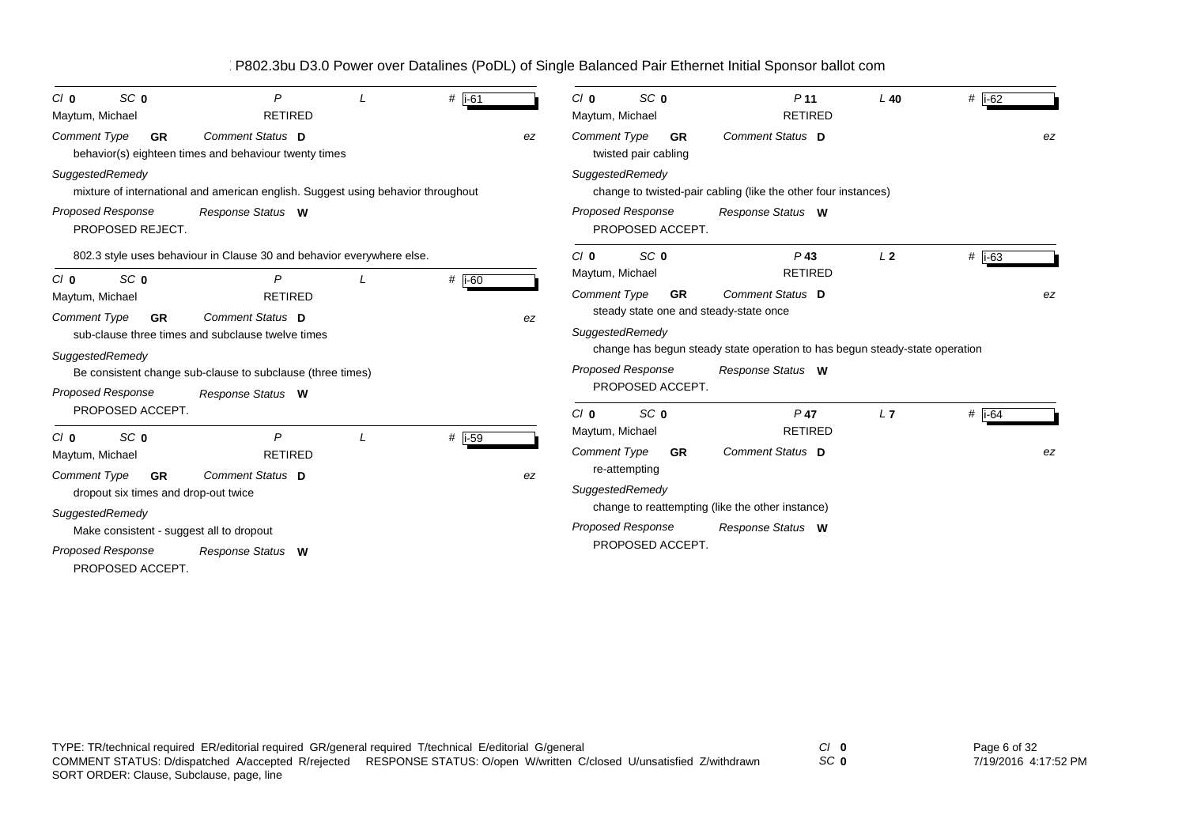| SC <sub>0</sub><br>$C/I$ 0                                               | P                                                                                | $#$ i-61 |    | SC <sub>0</sub><br>$C/I$ 0                                                 | P <sub>11</sub>                                                             | $L$ 40         | # i-62               |
|--------------------------------------------------------------------------|----------------------------------------------------------------------------------|----------|----|----------------------------------------------------------------------------|-----------------------------------------------------------------------------|----------------|----------------------|
| Maytum, Michael                                                          | <b>RETIRED</b>                                                                   |          |    | Maytum, Michael                                                            | <b>RETIRED</b>                                                              |                |                      |
| Comment Type<br><b>GR</b>                                                | Comment Status D<br>behavior(s) eighteen times and behaviour twenty times        |          | ez | <b>Comment Type</b><br><b>GR</b><br>twisted pair cabling                   | Comment Status D                                                            |                | ez                   |
| SuggestedRemedy                                                          | mixture of international and american english. Suggest using behavior throughout |          |    | SuggestedRemedy                                                            | change to twisted-pair cabling (like the other four instances)              |                |                      |
| <b>Proposed Response</b><br>PROPOSED REJECT.                             | Response Status W                                                                |          |    | <b>Proposed Response</b><br>PROPOSED ACCEPT.                               | Response Status W                                                           |                |                      |
|                                                                          | 802.3 style uses behaviour in Clause 30 and behavior everywhere else.            |          |    | SC <sub>0</sub><br>Cl <sub>0</sub><br>Maytum, Michael                      | $P$ 43<br><b>RETIRED</b>                                                    | L <sub>2</sub> | # $\overline{1}$ -63 |
| SC <sub>0</sub><br>$C/I$ 0<br>Maytum, Michael                            | P<br><b>RETIRED</b>                                                              | $#$ i-60 |    | <b>Comment Type</b><br><b>GR</b><br>steady state one and steady-state once | Comment Status D                                                            |                | ez                   |
| <b>Comment Type</b><br><b>GR</b>                                         | Comment Status D<br>sub-clause three times and subclause twelve times            |          | ez | SuggestedRemedy                                                            | change has begun steady state operation to has begun steady-state operation |                |                      |
| SuggestedRemedy<br>Proposed Response                                     | Be consistent change sub-clause to subclause (three times)<br>Response Status W  |          |    | <b>Proposed Response</b><br>PROPOSED ACCEPT.                               | Response Status W                                                           |                |                      |
| PROPOSED ACCEPT.                                                         |                                                                                  |          |    | SC <sub>0</sub><br>$C/I$ 0                                                 | $P$ 47                                                                      | L7             | # $\overline{1-64}$  |
| SC <sub>0</sub><br>$C/I$ 0<br>Maytum, Michael                            | P<br><b>RETIRED</b>                                                              | $#$ i-59 |    | Maytum, Michael<br><b>Comment Type</b><br><b>GR</b>                        | <b>RETIRED</b><br>Comment Status D                                          |                | ez                   |
| <b>Comment Type</b><br><b>GR</b><br>dropout six times and drop-out twice | Comment Status D                                                                 |          | ez | re-attempting<br>SuggestedRemedy                                           |                                                                             |                |                      |
| SuggestedRemedy                                                          |                                                                                  |          |    |                                                                            | change to reattempting (like the other instance)                            |                |                      |
| Make consistent - suggest all to dropout                                 |                                                                                  |          |    | <b>Proposed Response</b>                                                   | Response Status W                                                           |                |                      |
| <b>Proposed Response</b><br>PROPOSED ACCEPT.                             | Response Status W                                                                |          |    | PROPOSED ACCEPT.                                                           |                                                                             |                |                      |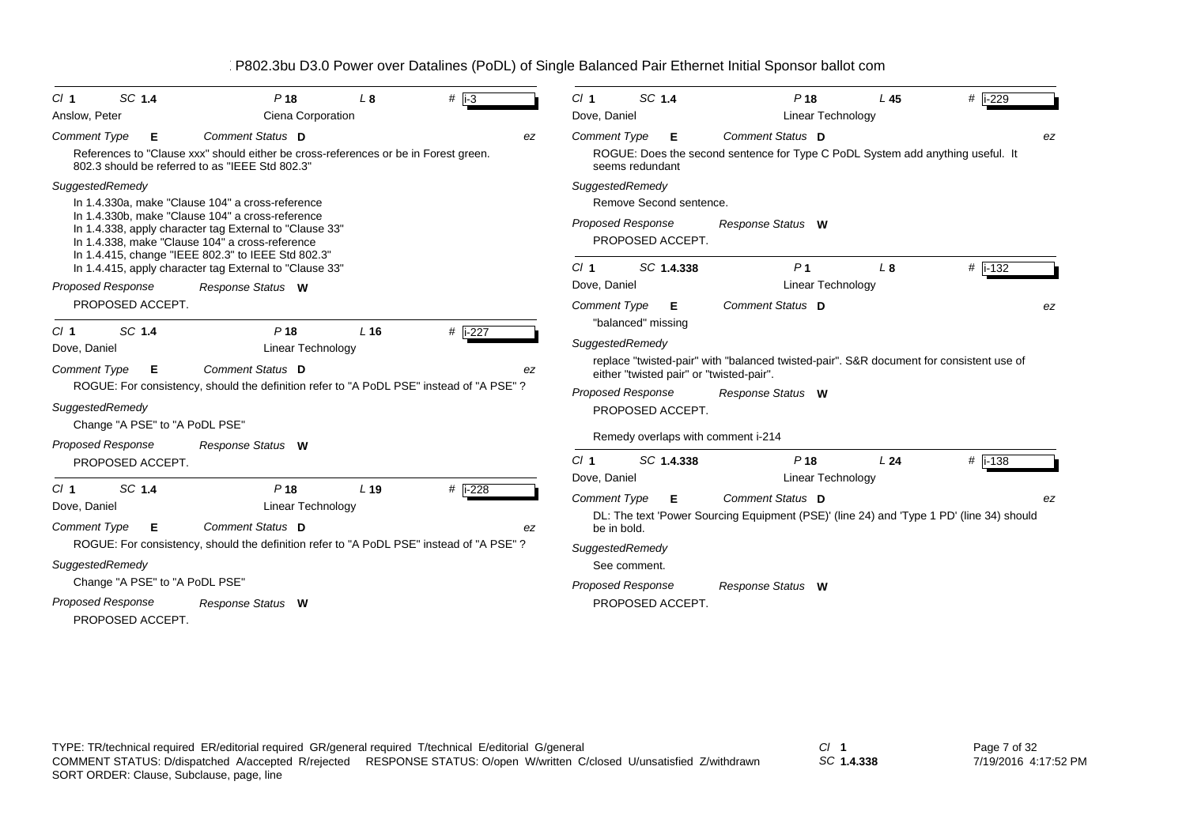| SC 1.4<br>Cl <sub>1</sub>      | P <sub>18</sub>                                                                                                                                                                                                      | L <sub>8</sub>  | $#$ i-3              | $CI$ 1                          |                    | SC 1.4                  | P <sub>18</sub>                                                                          | L <sub>45</sub> | # i-229      |
|--------------------------------|----------------------------------------------------------------------------------------------------------------------------------------------------------------------------------------------------------------------|-----------------|----------------------|---------------------------------|--------------------|-------------------------|------------------------------------------------------------------------------------------|-----------------|--------------|
| Anslow, Peter                  | Ciena Corporation                                                                                                                                                                                                    |                 |                      | Dove, Daniel                    |                    |                         | <b>Linear Technology</b>                                                                 |                 |              |
| <b>Comment Type</b><br>Е       | Comment Status D                                                                                                                                                                                                     |                 | ez                   | <b>Comment Type</b>             |                    | Е                       | Comment Status D                                                                         |                 | ez           |
|                                | References to "Clause xxx" should either be cross-references or be in Forest green.<br>802.3 should be referred to as "IEEE Std 802.3"                                                                               |                 |                      |                                 | seems redundant    |                         | ROGUE: Does the second sentence for Type C PoDL System add anything useful. It           |                 |              |
| SuggestedRemedy                |                                                                                                                                                                                                                      |                 |                      | SuggestedRemedy                 |                    |                         |                                                                                          |                 |              |
|                                | In 1.4.330a, make "Clause 104" a cross-reference                                                                                                                                                                     |                 |                      |                                 |                    | Remove Second sentence. |                                                                                          |                 |              |
|                                | In 1.4.330b, make "Clause 104" a cross-reference<br>In 1.4.338, apply character tag External to "Clause 33"<br>In 1.4.338, make "Clause 104" a cross-reference<br>In 1.4.415, change "IEEE 802.3" to IEEE Std 802.3" |                 |                      | <b>Proposed Response</b>        |                    | PROPOSED ACCEPT.        | Response Status W                                                                        |                 |              |
|                                | In 1.4.415, apply character tag External to "Clause 33"                                                                                                                                                              |                 |                      | Cl <sub>1</sub>                 |                    | SC 1.4.338              | P <sub>1</sub>                                                                           | L8              | # $ i - 132$ |
| <b>Proposed Response</b>       | Response Status W                                                                                                                                                                                                    |                 |                      | Dove, Daniel                    |                    |                         | <b>Linear Technology</b>                                                                 |                 |              |
| PROPOSED ACCEPT.               |                                                                                                                                                                                                                      |                 |                      | <b>Comment Type</b>             | "balanced" missing | Е                       | Comment Status D                                                                         |                 | ez           |
| SC 1.4<br>Cl <sub>1</sub>      | P <sub>18</sub>                                                                                                                                                                                                      | L <sub>16</sub> | # $\overline{1-227}$ | SuggestedRemedy                 |                    |                         |                                                                                          |                 |              |
| Dove, Daniel                   | Linear Technology                                                                                                                                                                                                    |                 |                      |                                 |                    |                         | replace "twisted-pair" with "balanced twisted-pair". S&R document for consistent use of  |                 |              |
| <b>Comment Type</b><br>Е       | Comment Status D                                                                                                                                                                                                     |                 | ez                   |                                 |                    |                         | either "twisted pair" or "twisted-pair".                                                 |                 |              |
|                                | ROGUE: For consistency, should the definition refer to "A PoDL PSE" instead of "A PSE" ?                                                                                                                             |                 |                      | <b>Proposed Response</b>        |                    |                         | Response Status W                                                                        |                 |              |
| SuggestedRemedy                |                                                                                                                                                                                                                      |                 |                      |                                 |                    | PROPOSED ACCEPT.        |                                                                                          |                 |              |
| Change "A PSE" to "A PoDL PSE" |                                                                                                                                                                                                                      |                 |                      |                                 |                    |                         | Remedy overlaps with comment i-214                                                       |                 |              |
| Proposed Response              | Response Status W                                                                                                                                                                                                    |                 |                      |                                 |                    |                         |                                                                                          |                 |              |
| PROPOSED ACCEPT.               |                                                                                                                                                                                                                      |                 |                      | Cl <sub>1</sub><br>Dove, Daniel |                    | SC 1.4.338              | P <sub>18</sub><br><b>Linear Technology</b>                                              | L24             | # $ i - 138$ |
| SC 1.4<br>Cl <sub>1</sub>      | P <sub>18</sub>                                                                                                                                                                                                      | L <sub>19</sub> | # i-228              | <b>Comment Type</b>             |                    | Е.                      | Comment Status D                                                                         |                 | ez           |
| Dove, Daniel                   | Linear Technology                                                                                                                                                                                                    |                 |                      |                                 |                    |                         | DL: The text 'Power Sourcing Equipment (PSE)' (line 24) and 'Type 1 PD' (line 34) should |                 |              |
| <b>Comment Type</b><br>E       | <b>Comment Status D</b>                                                                                                                                                                                              |                 | ez                   |                                 | be in bold.        |                         |                                                                                          |                 |              |
|                                | ROGUE: For consistency, should the definition refer to "A PoDL PSE" instead of "A PSE"?                                                                                                                              |                 |                      | SuggestedRemedy                 |                    |                         |                                                                                          |                 |              |
| SuggestedRemedy                |                                                                                                                                                                                                                      |                 |                      |                                 | See comment.       |                         |                                                                                          |                 |              |
| Change "A PSE" to "A PoDL PSE" |                                                                                                                                                                                                                      |                 |                      | Proposed Response               |                    |                         | Response Status W                                                                        |                 |              |
| <b>Proposed Response</b>       | Response Status W                                                                                                                                                                                                    |                 |                      |                                 |                    | PROPOSED ACCEPT.        |                                                                                          |                 |              |
| PROPOSED ACCEPT.               |                                                                                                                                                                                                                      |                 |                      |                                 |                    |                         |                                                                                          |                 |              |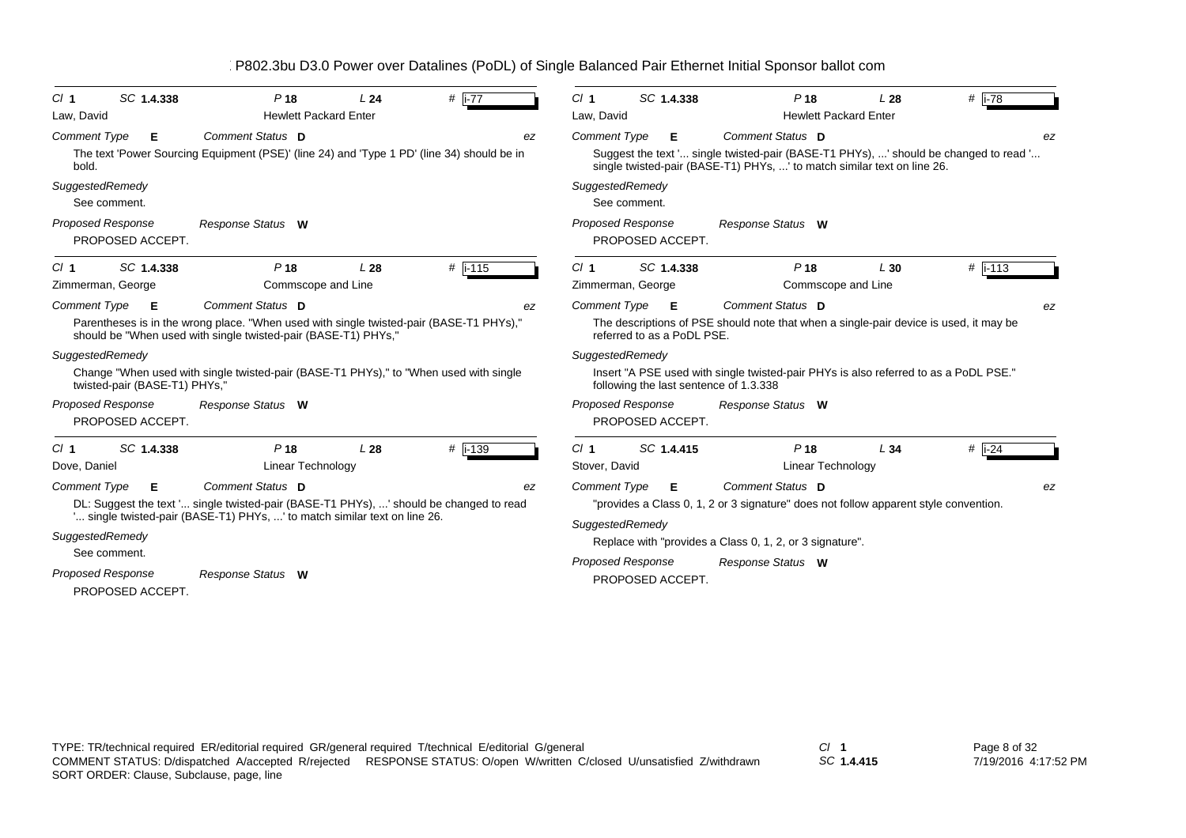| SC 1.4.338<br>$CI$ 1<br>Law, David                    | P <sub>18</sub><br><b>Hewlett Packard Enter</b>                                                                                                                                         | L <sub>24</sub> | # $i-77$  |    | CI <sub>1</sub><br>Law, David          |                            | SC 1.4.338 | P <sub>18</sub><br><b>Hewlett Packard Enter</b>                                                                                                                                     | L28 | $#$ i-78                 |    |
|-------------------------------------------------------|-----------------------------------------------------------------------------------------------------------------------------------------------------------------------------------------|-----------------|-----------|----|----------------------------------------|----------------------------|------------|-------------------------------------------------------------------------------------------------------------------------------------------------------------------------------------|-----|--------------------------|----|
| <b>Comment Type</b><br>Е<br>bold.                     | Comment Status D<br>The text 'Power Sourcing Equipment (PSE)' (line 24) and 'Type 1 PD' (line 34) should be in                                                                          |                 |           | ez | <b>Comment Type</b>                    |                            | Е          | Comment Status D<br>Suggest the text ' single twisted-pair (BASE-T1 PHYs), ' should be changed to read '<br>single twisted-pair (BASE-T1) PHYs, ' to match similar text on line 26. |     |                          | ez |
| SuggestedRemedy<br>See comment.                       |                                                                                                                                                                                         |                 |           |    | SuggestedRemedy                        | See comment.               |            |                                                                                                                                                                                     |     |                          |    |
| <b>Proposed Response</b><br>PROPOSED ACCEPT.          | Response Status W                                                                                                                                                                       |                 |           |    | <b>Proposed Response</b>               | PROPOSED ACCEPT.           |            | Response Status W                                                                                                                                                                   |     |                          |    |
| SC 1.4.338<br>Cl <sub>1</sub><br>Zimmerman, George    | P <sub>18</sub><br>Commscope and Line                                                                                                                                                   | L <sub>28</sub> | $#$ i-115 |    | Cl <sub>1</sub><br>Zimmerman, George   |                            | SC 1.4.338 | P <sub>18</sub><br>Commscope and Line                                                                                                                                               | L30 | $#$ i-113                |    |
| <b>Comment Type</b><br>Е                              | Comment Status D<br>Parentheses is in the wrong place. "When used with single twisted-pair (BASE-T1 PHYs),"<br>should be "When used with single twisted-pair (BASE-T1) PHYs,"           |                 |           | ez | <b>Comment Type</b>                    | referred to as a PoDL PSE. | Е          | Comment Status D<br>The descriptions of PSE should note that when a single-pair device is used, it may be                                                                           |     |                          | ez |
| SuggestedRemedy<br>twisted-pair (BASE-T1) PHYs,"      | Change "When used with single twisted-pair (BASE-T1 PHYs)," to "When used with single                                                                                                   |                 |           |    | SuggestedRemedy                        |                            |            | lnsert "A PSE used with single twisted-pair PHYs is also referred to as a PoDL PSE."<br>following the last sentence of 1.3.338                                                      |     |                          |    |
| <b>Proposed Response</b><br>PROPOSED ACCEPT.          | Response Status W                                                                                                                                                                       |                 |           |    | <b>Proposed Response</b>               | PROPOSED ACCEPT.           |            | Response Status W                                                                                                                                                                   |     |                          |    |
| SC 1.4.338<br>Cl <sub>1</sub><br>Dove, Daniel         | P <sub>18</sub><br><b>Linear Technology</b>                                                                                                                                             | L28             | $#$ i-139 |    | CI <sub>1</sub><br>Stover, David       |                            | SC 1.4.415 | P <sub>18</sub><br>Linear Technology                                                                                                                                                | L34 | # $\overline{1\cdot 24}$ |    |
| <b>Comment Type</b><br>Е<br>SuggestedRemedy           | Comment Status D<br>DL: Suggest the text ' single twisted-pair (BASE-T1 PHYs), ' should be changed to read<br>' single twisted-pair (BASE-T1) PHYs, ' to match similar text on line 26. |                 |           | ez | <b>Comment Type</b><br>SuggestedRemedy |                            | Е          | Comment Status D<br>"provides a Class 0, 1, 2 or 3 signature" does not follow apparent style convention.<br>Replace with "provides a Class 0, 1, 2, or 3 signature".                |     |                          | ez |
| See comment.<br>Proposed Response<br>PROPOSED ACCEPT. | Response Status W                                                                                                                                                                       |                 |           |    | <b>Proposed Response</b>               | PROPOSED ACCEPT.           |            | Response Status W                                                                                                                                                                   |     |                          |    |

*SC* **1.4.415**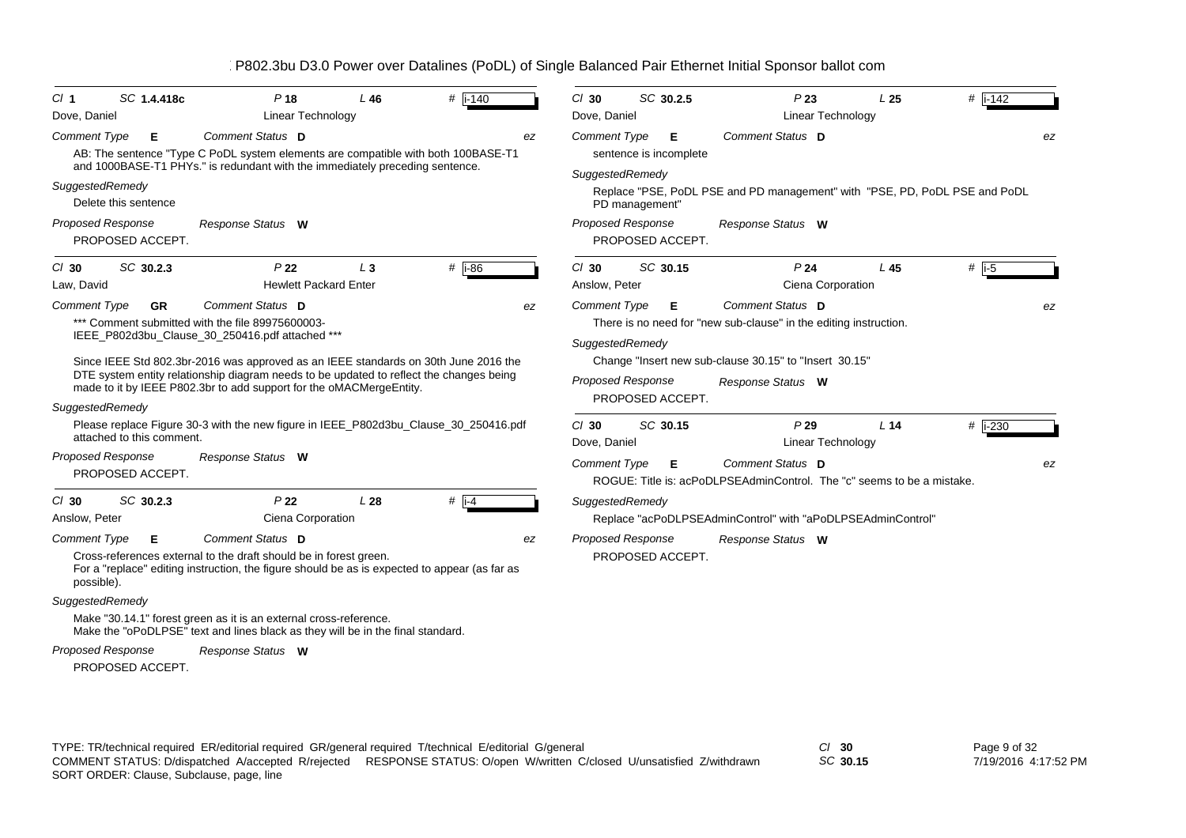| Cl <sub>1</sub>                        | SC 1.4.418c               | P <sub>18</sub>                                                                                                                                                                                                                                                                                                                                                                  | $L$ 46 | $\#$ i-140          | $Cl$ 30 |                                                                    | SC 30.2.5                   | P23                                                                                                                                                                  | L <sub>25</sub> | $#$ i-142 |    |
|----------------------------------------|---------------------------|----------------------------------------------------------------------------------------------------------------------------------------------------------------------------------------------------------------------------------------------------------------------------------------------------------------------------------------------------------------------------------|--------|---------------------|---------|--------------------------------------------------------------------|-----------------------------|----------------------------------------------------------------------------------------------------------------------------------------------------------------------|-----------------|-----------|----|
| Dove, Daniel                           |                           | <b>Linear Technology</b>                                                                                                                                                                                                                                                                                                                                                         |        |                     |         | Dove, Daniel                                                       |                             | Linear Technology                                                                                                                                                    |                 |           |    |
| <b>Comment Type</b>                    | Е                         | Comment Status D<br>AB: The sentence "Type C PoDL system elements are compatible with both 100BASE-T1                                                                                                                                                                                                                                                                            |        |                     | ez      | <b>Comment Type</b>                                                | Е<br>sentence is incomplete | Comment Status D                                                                                                                                                     |                 |           | ez |
| SuggestedRemedy                        | Delete this sentence      | and 1000BASE-T1 PHYs." is redundant with the immediately preceding sentence.                                                                                                                                                                                                                                                                                                     |        |                     |         | SuggestedRemedy<br>PD management"                                  |                             | Replace "PSE, PoDL PSE and PD management" with "PSE, PD, PoDL PSE and PoDL                                                                                           |                 |           |    |
| <b>Proposed Response</b>               | PROPOSED ACCEPT.          | Response Status W                                                                                                                                                                                                                                                                                                                                                                |        |                     |         | <b>Proposed Response</b>                                           | PROPOSED ACCEPT.            | Response Status W                                                                                                                                                    |                 |           |    |
| $Cl$ 30<br>Law, David                  | SC 30.2.3                 | P <sub>22</sub><br><b>Hewlett Packard Enter</b>                                                                                                                                                                                                                                                                                                                                  | $L_3$  | $#$ i-86            | $Cl$ 30 | Anslow, Peter                                                      | SC 30.15                    | P <sub>24</sub><br>Ciena Corporation                                                                                                                                 | L45             | # $ i-5$  |    |
| <b>Comment Type</b><br>SuggestedRemedy | <b>GR</b>                 | Comment Status D<br>*** Comment submitted with the file 89975600003-<br>IEEE_P802d3bu_Clause_30_250416.pdf attached ***<br>Since IEEE Std 802.3br-2016 was approved as an IEEE standards on 30th June 2016 the<br>DTE system entity relationship diagram needs to be updated to reflect the changes being<br>made to it by IEEE P802.3br to add support for the oMACMergeEntity. |        |                     | ez      | <b>Comment Type</b><br>SuggestedRemedy<br><b>Proposed Response</b> | Е<br>PROPOSED ACCEPT.       | Comment Status D<br>There is no need for "new sub-clause" in the editing instruction.<br>Change "Insert new sub-clause 30.15" to "Insert 30.15"<br>Response Status W |                 |           | ez |
|                                        | attached to this comment. | Please replace Figure 30-3 with the new figure in IEEE P802d3bu Clause 30 250416.pdf                                                                                                                                                                                                                                                                                             |        |                     | $Cl$ 30 | Dove, Daniel                                                       | SC 30.15                    | P29<br>Linear Technology                                                                                                                                             | L <sub>14</sub> | # i-230   |    |
| <b>Proposed Response</b>               | PROPOSED ACCEPT.          | Response Status W                                                                                                                                                                                                                                                                                                                                                                |        |                     |         | <b>Comment Type</b>                                                | Е                           | Comment Status D<br>ROGUE: Title is: acPoDLPSEAdminControl. The "c" seems to be a mistake.                                                                           |                 |           | ez |
| $Cl$ 30<br>Anslow, Peter               | SC 30.2.3                 | P <sub>22</sub><br>Ciena Corporation                                                                                                                                                                                                                                                                                                                                             | L28    | # $\overline{1}$ -4 |         | SuggestedRemedy                                                    |                             | Replace "acPoDLPSEAdminControl" with "aPoDLPSEAdminControl"                                                                                                          |                 |           |    |
| <b>Comment Type</b><br>possible).      | Е                         | Comment Status D<br>Cross-references external to the draft should be in forest green.<br>For a "replace" editing instruction, the figure should be as is expected to appear (as far as                                                                                                                                                                                           |        |                     | ez      | <b>Proposed Response</b>                                           | PROPOSED ACCEPT.            | Response Status W                                                                                                                                                    |                 |           |    |
| SuggestedRemedy                        |                           | Make "30.14.1" forest green as it is an external cross-reference.<br>Make the "oPoDLPSE" text and lines black as they will be in the final standard.                                                                                                                                                                                                                             |        |                     |         |                                                                    |                             |                                                                                                                                                                      |                 |           |    |
| Proposed Response                      |                           | Response Status W                                                                                                                                                                                                                                                                                                                                                                |        |                     |         |                                                                    |                             |                                                                                                                                                                      |                 |           |    |

PROPOSED ACCEPT.

TYPE: TR/technical required ER/editorial required GR/general required T/technical E/editorial G/general *Cl* **30** SORT ORDER: Clause, Subclause, page, line COMMENT STATUS: D/dispatched A/accepted R/rejected RESPONSE STATUS: O/open W/written C/closed U/unsatisfied Z/withdrawn

*SC* **30.15**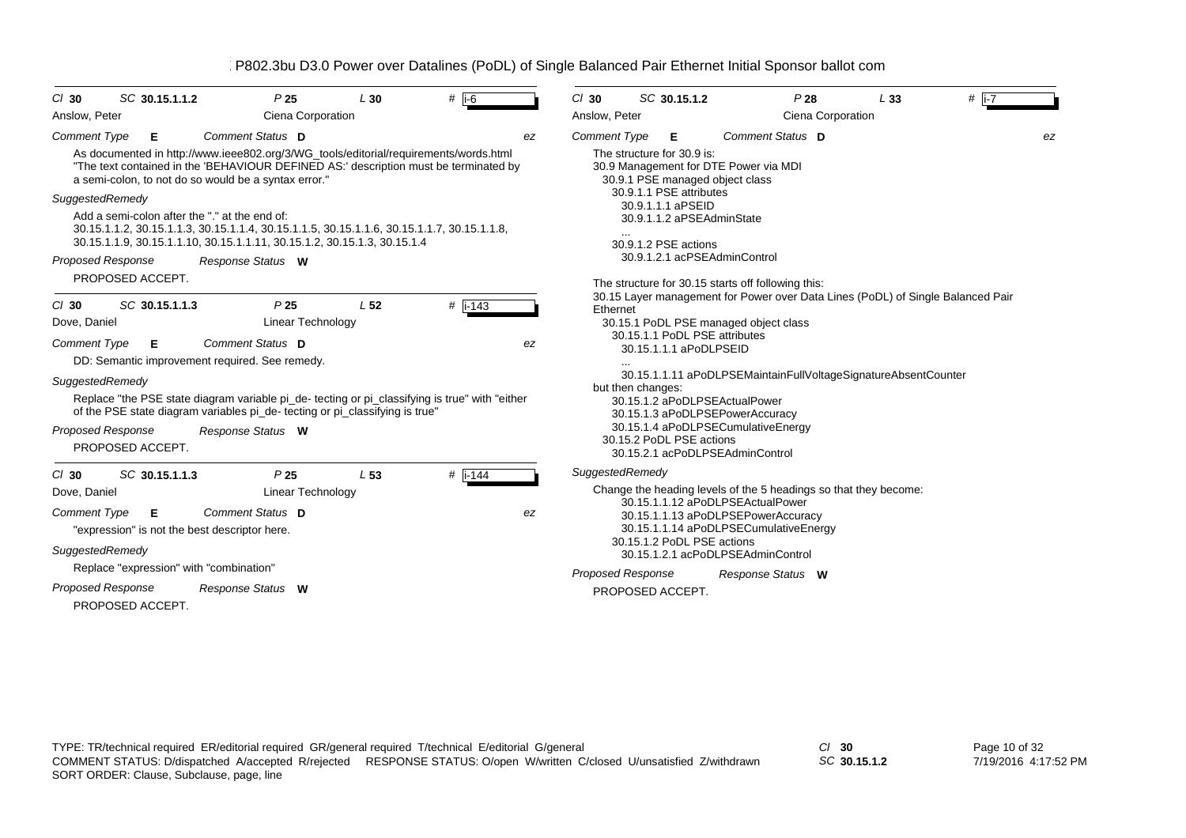| SC 30.15.1.1.2<br>$CI$ 30                                                                                                                                                                                               | P <sub>25</sub>          | L30             | # $i-6$   |    | $Cl$ 30                                                                               | SC 30.15.1.2                                                             |  | P28                                                              | L33                                                                             | $#$  i-7 |  |
|-------------------------------------------------------------------------------------------------------------------------------------------------------------------------------------------------------------------------|--------------------------|-----------------|-----------|----|---------------------------------------------------------------------------------------|--------------------------------------------------------------------------|--|------------------------------------------------------------------|---------------------------------------------------------------------------------|----------|--|
| Anslow, Peter                                                                                                                                                                                                           | Ciena Corporation        |                 |           |    | Anslow, Peter                                                                         |                                                                          |  | Ciena Corporation                                                |                                                                                 |          |  |
| <b>Comment Type</b><br>Е<br>As documented in http://www.ieee802.org/3/WG_tools/editorial/requirements/words.html                                                                                                        | Comment Status D         |                 |           | ez | Comment Type                                                                          | Е<br>The structure for 30.9 is:                                          |  | Comment Status D                                                 |                                                                                 | ez       |  |
| "The text contained in the 'BEHAVIOUR DEFINED AS:' description must be terminated by<br>a semi-colon, to not do so would be a syntax error."                                                                            |                          |                 |           |    |                                                                                       | 30.9 Management for DTE Power via MDI<br>30.9.1 PSE managed object class |  |                                                                  |                                                                                 |          |  |
| SuggestedRemedy                                                                                                                                                                                                         |                          |                 |           |    | 30.9.1.1 PSE attributes                                                               |                                                                          |  |                                                                  |                                                                                 |          |  |
| Add a semi-colon after the "." at the end of:<br>30.15.1.1.2, 30.15.1.1.3, 30.15.1.1.4, 30.15.1.1.5, 30.15.1.1.6, 30.15.1.1.7, 30.15.1.1.8,<br>30.15.1.1.9, 30.15.1.1.10, 30.15.1.1.11, 30.15.1.2, 30.15.1.3, 30.15.1.4 |                          |                 |           |    | 30.9.1.1.1 aPSEID<br>30.9.1.1.2 aPSEAdminState<br>30.9.1.2 PSE actions                |                                                                          |  |                                                                  |                                                                                 |          |  |
| Proposed Response                                                                                                                                                                                                       | Response Status W        |                 |           |    |                                                                                       | 30.9.1.2.1 acPSEAdminControl                                             |  |                                                                  |                                                                                 |          |  |
| PROPOSED ACCEPT.                                                                                                                                                                                                        |                          |                 |           |    |                                                                                       | The structure for 30.15 starts off following this:                       |  |                                                                  |                                                                                 |          |  |
| SC 30.15.1.1.3<br>$CI$ 30                                                                                                                                                                                               | P <sub>25</sub>          | L <sub>52</sub> | $#$ i-143 |    | Ethernet                                                                              |                                                                          |  |                                                                  | 30.15 Layer management for Power over Data Lines (PoDL) of Single Balanced Pair |          |  |
| Dove, Daniel                                                                                                                                                                                                            | <b>Linear Technology</b> |                 |           |    |                                                                                       | 30.15.1 PoDL PSE managed object class                                    |  |                                                                  |                                                                                 |          |  |
| 30.15.1.1 PoDL PSE attributes<br>Comment Status D<br><b>Comment Type</b><br>Е<br>ez<br>30.15.1.1.1 aPoDLPSEID<br>DD: Semantic improvement required. See remedy.                                                         |                          |                 |           |    |                                                                                       |                                                                          |  |                                                                  |                                                                                 |          |  |
| SuggestedRemedy                                                                                                                                                                                                         |                          |                 |           |    |                                                                                       |                                                                          |  |                                                                  | 30.15.1.1.11 aPoDLPSEMaintainFullVoltageSignatureAbsentCounter                  |          |  |
| Replace "the PSE state diagram variable pi_de- tecting or pi_classifying is true" with "either<br>of the PSE state diagram variables pi_de- tecting or pi_classifying is true"                                          |                          |                 |           |    | but then changes:<br>30.15.1.2 aPoDLPSEActualPower<br>30.15.1.3 aPoDLPSEPowerAccuracy |                                                                          |  |                                                                  |                                                                                 |          |  |
| <b>Proposed Response</b>                                                                                                                                                                                                | Response Status W        |                 |           |    |                                                                                       | 30.15.1.4 aPoDLPSECumulativeEnergy                                       |  |                                                                  |                                                                                 |          |  |
| PROPOSED ACCEPT.                                                                                                                                                                                                        |                          |                 |           |    |                                                                                       | 30.15.2 PoDL PSE actions<br>30.15.2.1 acPoDLPSEAdminControl              |  |                                                                  |                                                                                 |          |  |
| SC 30.15.1.1.3<br>$CI$ 30                                                                                                                                                                                               | P <sub>25</sub>          | L <sub>53</sub> | $#$ i-144 |    |                                                                                       | SuggestedRemedy                                                          |  |                                                                  |                                                                                 |          |  |
| Dove, Daniel                                                                                                                                                                                                            | <b>Linear Technology</b> |                 |           |    |                                                                                       |                                                                          |  | Change the heading levels of the 5 headings so that they become: |                                                                                 |          |  |
| <b>Comment Type</b><br>Е                                                                                                                                                                                                | Comment Status D         |                 |           | ez |                                                                                       | 30.15.1.1.12 aPoDLPSEActualPower<br>30.15.1.1.13 aPoDLPSEPowerAccuracy   |  |                                                                  |                                                                                 |          |  |
| "expression" is not the best descriptor here.                                                                                                                                                                           |                          |                 |           |    |                                                                                       | 30.15.1.1.14 aPoDLPSECumulativeEnergy                                    |  |                                                                  |                                                                                 |          |  |
| SuggestedRemedy                                                                                                                                                                                                         |                          |                 |           |    |                                                                                       | 30.15.1.2 PoDL PSE actions<br>30.15.1.2.1 acPoDLPSEAdminControl          |  |                                                                  |                                                                                 |          |  |
| Replace "expression" with "combination"                                                                                                                                                                                 |                          |                 |           |    |                                                                                       | <b>Proposed Response</b>                                                 |  | Response Status W                                                |                                                                                 |          |  |
| <b>Proposed Response</b>                                                                                                                                                                                                | Response Status W        |                 |           |    |                                                                                       | PROPOSED ACCEPT.                                                         |  |                                                                  |                                                                                 |          |  |
| PROPOSED ACCEPT.                                                                                                                                                                                                        |                          |                 |           |    |                                                                                       |                                                                          |  |                                                                  |                                                                                 |          |  |

*SC* **30.15.1.2**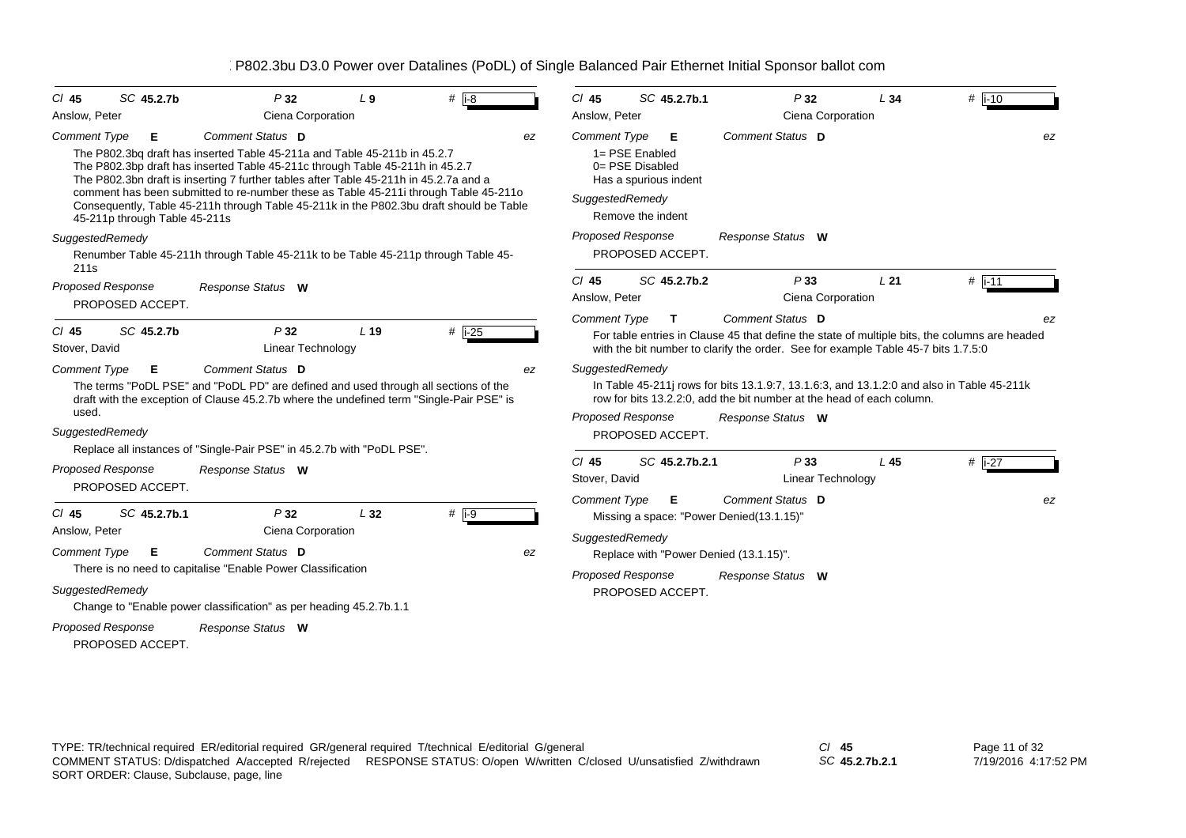| SC 45.2.7b<br>CI 45                                                                                                                     | P32                                                                                                                                                                                                                                                                                                                                                                                                                                                        | L <sub>9</sub>  | $#$ i-8        | $Cl$ 45                                         | SC 45.2.7b.1                                                                                               | P32                                                                                                                                                                                                    | L34 | $#$ i-10       |
|-----------------------------------------------------------------------------------------------------------------------------------------|------------------------------------------------------------------------------------------------------------------------------------------------------------------------------------------------------------------------------------------------------------------------------------------------------------------------------------------------------------------------------------------------------------------------------------------------------------|-----------------|----------------|-------------------------------------------------|------------------------------------------------------------------------------------------------------------|--------------------------------------------------------------------------------------------------------------------------------------------------------------------------------------------------------|-----|----------------|
| Anslow, Peter                                                                                                                           | Ciena Corporation                                                                                                                                                                                                                                                                                                                                                                                                                                          |                 |                | Anslow, Peter                                   |                                                                                                            | Ciena Corporation                                                                                                                                                                                      |     |                |
| <b>Comment Type</b><br>Е<br>45-211p through Table 45-211s                                                                               | Comment Status D<br>The P802.3bg draft has inserted Table 45-211a and Table 45-211b in 45.2.7<br>The P802.3bp draft has inserted Table 45-211c through Table 45-211h in 45.2.7<br>The P802.3bn draft is inserting 7 further tables after Table 45-211h in 45.2.7a and a<br>comment has been submitted to re-number these as Table 45-211i through Table 45-211o<br>Consequently, Table 45-211h through Table 45-211k in the P802.3bu draft should be Table |                 | ez             | <b>Comment Type</b>                             | Е<br>1= PSE Enabled<br>$0 = PSE$ Disabled<br>Has a spurious indent<br>SuggestedRemedy<br>Remove the indent | Comment Status D                                                                                                                                                                                       |     | ez             |
| SuggestedRemedy                                                                                                                         | Renumber Table 45-211h through Table 45-211k to be Table 45-211p through Table 45-                                                                                                                                                                                                                                                                                                                                                                         |                 |                |                                                 | <b>Proposed Response</b><br>PROPOSED ACCEPT.                                                               | Response Status W                                                                                                                                                                                      |     |                |
| 211 <sub>s</sub><br><b>Proposed Response</b><br>PROPOSED ACCEPT.                                                                        | Response Status W                                                                                                                                                                                                                                                                                                                                                                                                                                          |                 |                | $Cl$ 45<br>Anslow, Peter                        | SC 45.2.7b.2                                                                                               | P33<br>Ciena Corporation                                                                                                                                                                               | L21 | $#$ i-11       |
| SC 45.2.7b<br>CI 45<br>Stover, David                                                                                                    | P32<br>Linear Technology                                                                                                                                                                                                                                                                                                                                                                                                                                   | L <sub>19</sub> | $#$ i-25       | <b>Comment Type</b>                             | $\mathbf{T}$                                                                                               | Comment Status D<br>For table entries in Clause 45 that define the state of multiple bits, the columns are headed<br>with the bit number to clarify the order. See for example Table 45-7 bits 1.7.5:0 |     | ez             |
| <b>Comment Type</b><br>E.<br>used.<br>SuggestedRemedy                                                                                   | Comment Status D<br>The terms "PoDL PSE" and "PoDL PD" are defined and used through all sections of the<br>draft with the exception of Clause 45.2.7b where the undefined term "Single-Pair PSE" is                                                                                                                                                                                                                                                        |                 | ez             |                                                 | SuggestedRemedy<br><b>Proposed Response</b><br>PROPOSED ACCEPT.                                            | In Table 45-211 rows for bits 13.1.9:7, 13.1.6:3, and 13.1.2:0 and also in Table 45-211k<br>row for bits 13.2.2:0, add the bit number at the head of each column.<br>Response Status W                 |     |                |
| Proposed Response<br>PROPOSED ACCEPT.                                                                                                   | Replace all instances of "Single-Pair PSE" in 45.2.7b with "PoDL PSE".<br>Response Status W                                                                                                                                                                                                                                                                                                                                                                |                 |                | $Cl$ 45<br>Stover, David<br><b>Comment Type</b> | SC 45.2.7b.2.1<br>Е.                                                                                       | P33<br>Linear Technology<br>Comment Status D                                                                                                                                                           | L45 | # $i-27$<br>ez |
| SC 45.2.7b.1<br>$Cl$ 45<br>Anslow, Peter<br><b>Comment Type</b><br>Е<br>SuggestedRemedy<br><b>Proposed Response</b><br>PROPOSED ACCEPT. | P32<br>Ciena Corporation<br>Comment Status D<br>There is no need to capitalise "Enable Power Classification<br>Change to "Enable power classification" as per heading 45.2.7b.1.1<br>Response Status W                                                                                                                                                                                                                                                     | L32             | # $ i-9$<br>ez |                                                 | SuggestedRemedy<br><b>Proposed Response</b><br>PROPOSED ACCEPT.                                            | Missing a space: "Power Denied(13.1.15)"<br>Replace with "Power Denied (13.1.15)".<br>Response Status W                                                                                                |     |                |

*SC* **45.2.7b.2.1**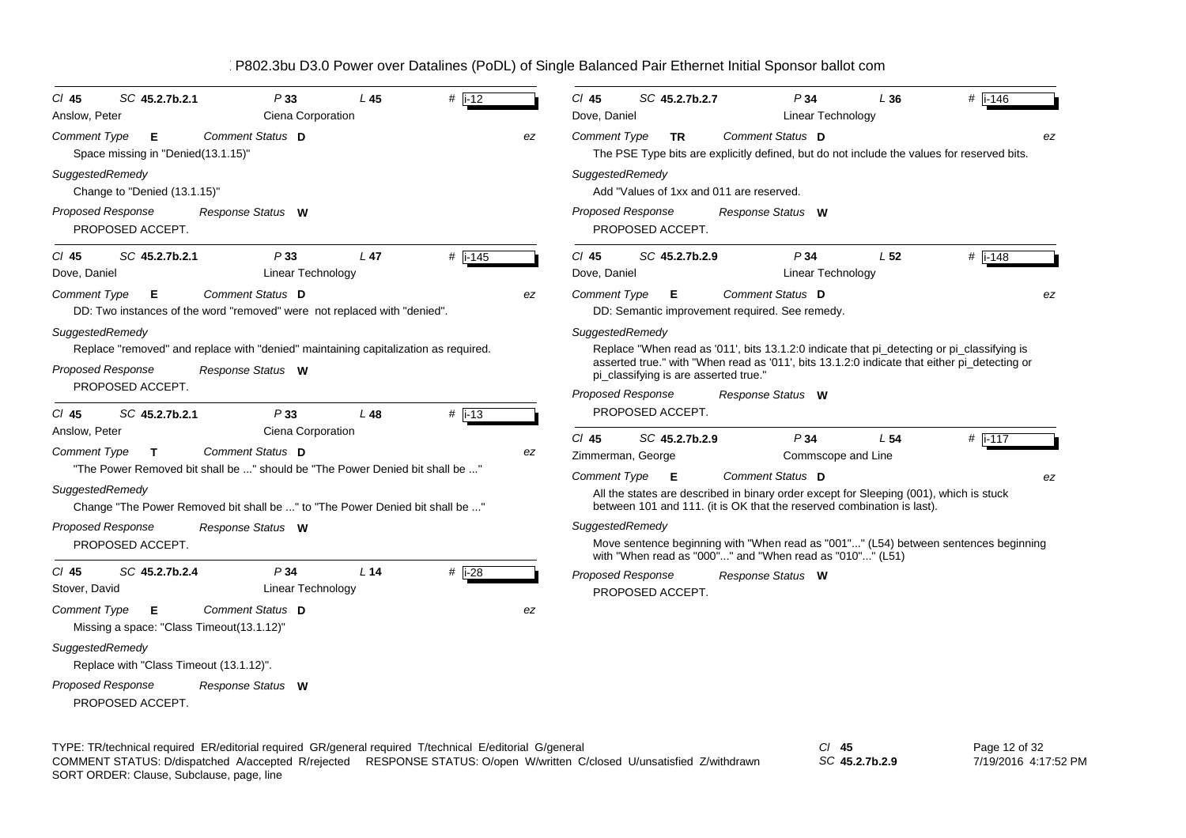| P33                                                                                                                                                                         | P34                                                                                                                                                                                                                                                                                              |
|-----------------------------------------------------------------------------------------------------------------------------------------------------------------------------|--------------------------------------------------------------------------------------------------------------------------------------------------------------------------------------------------------------------------------------------------------------------------------------------------|
| $#$   i-12                                                                                                                                                                  | # $i - 146$                                                                                                                                                                                                                                                                                      |
| SC 45.2.7b.2.1                                                                                                                                                              | $CI$ 45                                                                                                                                                                                                                                                                                          |
| L45                                                                                                                                                                         | SC 45.2.7b.2.7                                                                                                                                                                                                                                                                                   |
| CI 45                                                                                                                                                                       | L36                                                                                                                                                                                                                                                                                              |
| Ciena Corporation                                                                                                                                                           | <b>Linear Technology</b>                                                                                                                                                                                                                                                                         |
| Anslow, Peter                                                                                                                                                               | Dove, Daniel                                                                                                                                                                                                                                                                                     |
| Comment Status D                                                                                                                                                            | Comment Status D                                                                                                                                                                                                                                                                                 |
| <b>Comment Type</b>                                                                                                                                                         | <b>Comment Type</b>                                                                                                                                                                                                                                                                              |
| Е                                                                                                                                                                           | <b>TR</b>                                                                                                                                                                                                                                                                                        |
| ez                                                                                                                                                                          | ez                                                                                                                                                                                                                                                                                               |
| Space missing in "Denied(13.1.15)"                                                                                                                                          | The PSE Type bits are explicitly defined, but do not include the values for reserved bits.                                                                                                                                                                                                       |
| SuggestedRemedy                                                                                                                                                             | SuggestedRemedy                                                                                                                                                                                                                                                                                  |
| Change to "Denied (13.1.15)"                                                                                                                                                | Add "Values of 1xx and 011 are reserved.                                                                                                                                                                                                                                                         |
| <b>Proposed Response</b>                                                                                                                                                    | Proposed Response                                                                                                                                                                                                                                                                                |
| Response Status W                                                                                                                                                           | Response Status W                                                                                                                                                                                                                                                                                |
| PROPOSED ACCEPT.                                                                                                                                                            | PROPOSED ACCEPT.                                                                                                                                                                                                                                                                                 |
| P33                                                                                                                                                                         | P34                                                                                                                                                                                                                                                                                              |
| # i-145                                                                                                                                                                     | L <sub>52</sub>                                                                                                                                                                                                                                                                                  |
| SC 45.2.7b.2.1                                                                                                                                                              | $\#$ i-148                                                                                                                                                                                                                                                                                       |
| $L$ 47                                                                                                                                                                      | $CI$ 45                                                                                                                                                                                                                                                                                          |
| $CI$ 45                                                                                                                                                                     | SC 45.2.7b.2.9                                                                                                                                                                                                                                                                                   |
| <b>Linear Technology</b>                                                                                                                                                    | Dove, Daniel                                                                                                                                                                                                                                                                                     |
| Dove, Daniel                                                                                                                                                                | Linear Technology                                                                                                                                                                                                                                                                                |
| Comment Status D                                                                                                                                                            | Comment Status D                                                                                                                                                                                                                                                                                 |
| <b>Comment Type</b>                                                                                                                                                         | <b>Comment Type</b>                                                                                                                                                                                                                                                                              |
| Е                                                                                                                                                                           | Е                                                                                                                                                                                                                                                                                                |
| ez                                                                                                                                                                          | ez                                                                                                                                                                                                                                                                                               |
| DD: Two instances of the word "removed" were not replaced with "denied".                                                                                                    | DD: Semantic improvement required. See remedy.                                                                                                                                                                                                                                                   |
| SuggestedRemedy<br>Replace "removed" and replace with "denied" maintaining capitalization as required.<br><b>Proposed Response</b><br>Response Status W<br>PROPOSED ACCEPT. | SuggestedRemedy<br>Replace "When read as '011', bits 13.1.2:0 indicate that pi_detecting or pi_classifying is<br>asserted true." with "When read as '011', bits 13.1.2:0 indicate that either pi_detecting or<br>pi_classifying is are asserted true."<br>Proposed Response<br>Response Status W |
| # $\vert$ i-13<br>SC 45.2.7b.2.1<br>$CI$ 45<br>P33<br>L 48<br>Ciena Corporation<br>Anslow, Peter                                                                            | PROPOSED ACCEPT.<br>$Cl$ 45<br>SC 45.2.7b.2.9<br>P34<br>L <sub>54</sub>                                                                                                                                                                                                                          |
| Comment Status D<br><b>Comment Type</b><br>$\mathbf{T}$<br>ez<br>"The Power Removed bit shall be " should be "The Power Denied bit shall be "<br>SuggestedRemedy            | #  i-117<br>Zimmerman, George<br>Commscope and Line<br>Comment Type<br>Comment Status D<br>E<br>ez<br>All the states are described in binary order except for Sleeping (001), which is stuck                                                                                                     |
| Change "The Power Removed bit shall be " to "The Power Denied bit shall be "                                                                                                | between 101 and 111. (it is OK that the reserved combination is last).                                                                                                                                                                                                                           |
| Proposed Response                                                                                                                                                           | SuggestedRemedy                                                                                                                                                                                                                                                                                  |
| Response Status W                                                                                                                                                           | Move sentence beginning with "When read as "001"" (L54) between sentences beginning                                                                                                                                                                                                              |
| PROPOSED ACCEPT.                                                                                                                                                            | with "When read as "000"" and "When read as "010"" (L51)                                                                                                                                                                                                                                         |
| P34<br>$#$ i-28<br>$CI$ 45<br>SC 45.2.7b.2.4<br>L <sub>14</sub><br>Stover, David<br>Linear Technology                                                                       | Proposed Response<br>Response Status W<br>PROPOSED ACCEPT.                                                                                                                                                                                                                                       |
| Comment Status D<br><b>Comment Type</b><br>Е<br>ez<br>Missing a space: "Class Timeout(13.1.12)"                                                                             |                                                                                                                                                                                                                                                                                                  |
| SuggestedRemedy<br>Replace with "Class Timeout (13.1.12)".                                                                                                                  |                                                                                                                                                                                                                                                                                                  |
| <b>Proposed Response</b><br>Response Status W<br>PROPOSED ACCEPT.                                                                                                           |                                                                                                                                                                                                                                                                                                  |

TYPE: TR/technical required ER/editorial required GR/general required T/technical E/editorial G/general *Cl* **45** SORT ORDER: Clause, Subclause, page, line COMMENT STATUS: D/dispatched A/accepted R/rejected RESPONSE STATUS: O/open W/written C/closed U/unsatisfied Z/withdrawn

*SC* **45.2.7b.2.9**

Page 12 of 32 7/19/2016 4:17:52 PM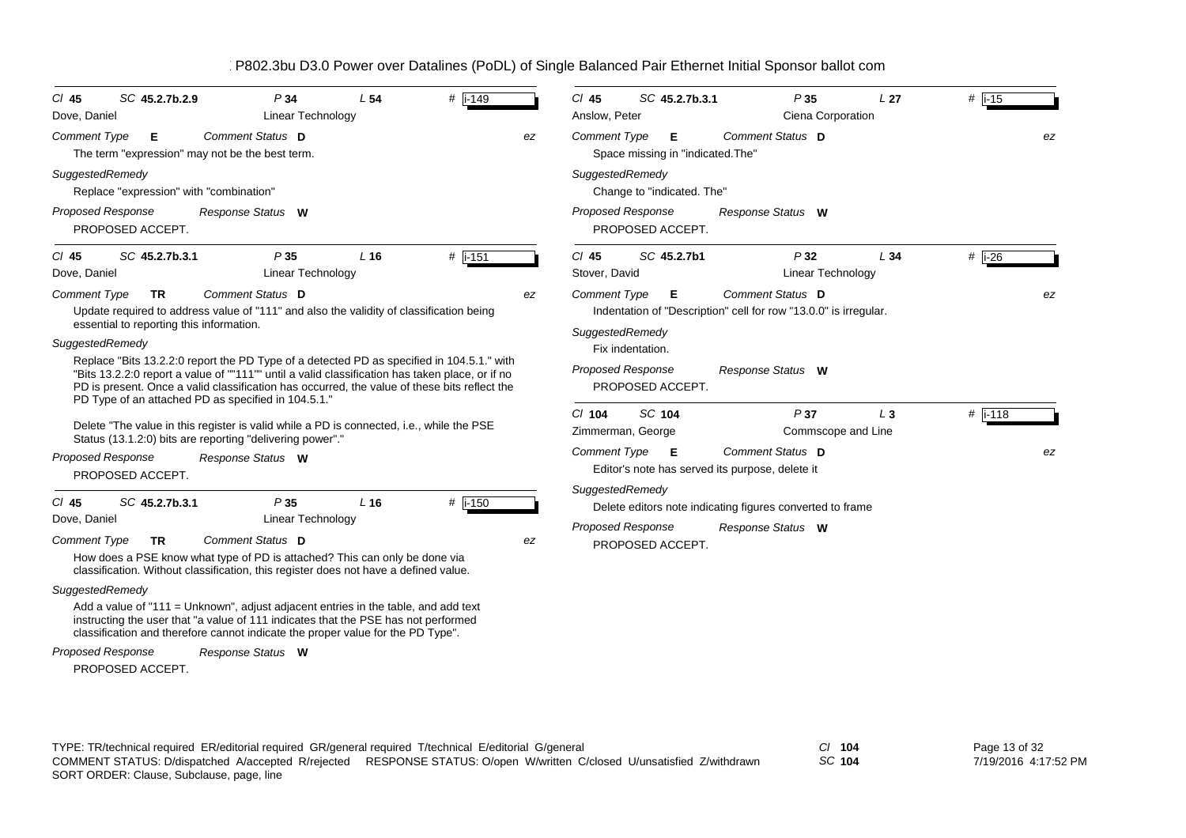| $Cl$ 45<br>Dove, Daniel                | SC 45.2.7b.2.9                                  | P34<br><b>Linear Technology</b>                                                                                                                                                                                                                                                                                                                                                                                                                                    | L <sub>54</sub> | # i-149   |    | $Cl$ 45<br>SC 45.2.7b.3.1<br>Anslow, Peter                                                                      | P35<br>Ciena Corporation                                                                                  | L <sub>27</sub> | $#$ i-15         |    |
|----------------------------------------|-------------------------------------------------|--------------------------------------------------------------------------------------------------------------------------------------------------------------------------------------------------------------------------------------------------------------------------------------------------------------------------------------------------------------------------------------------------------------------------------------------------------------------|-----------------|-----------|----|-----------------------------------------------------------------------------------------------------------------|-----------------------------------------------------------------------------------------------------------|-----------------|------------------|----|
| <b>Comment Type</b>                    | Е                                               | Comment Status D<br>The term "expression" may not be the best term.                                                                                                                                                                                                                                                                                                                                                                                                |                 |           | ez | <b>Comment Type</b><br>Е<br>Space missing in "indicated. The"                                                   | Comment Status D                                                                                          |                 |                  | ez |
| SuggestedRemedy                        | Replace "expression" with "combination"         |                                                                                                                                                                                                                                                                                                                                                                                                                                                                    |                 |           |    | SuggestedRemedy<br>Change to "indicated. The"                                                                   |                                                                                                           |                 |                  |    |
| Proposed Response                      | PROPOSED ACCEPT.                                | Response Status W                                                                                                                                                                                                                                                                                                                                                                                                                                                  |                 |           |    | Proposed Response<br>PROPOSED ACCEPT.                                                                           | Response Status W                                                                                         |                 |                  |    |
| $CI$ 45<br>Dove, Daniel                | SC 45.2.7b.3.1                                  | P35<br>Linear Technology                                                                                                                                                                                                                                                                                                                                                                                                                                           | L <sub>16</sub> | $#$ i-151 |    | SC 45.2.7b1<br>$CI$ 45<br>Stover, David                                                                         | P32<br>Linear Technology                                                                                  | L34             | $#$ i-26         |    |
| <b>Comment Type</b><br>SuggestedRemedy | TR.<br>essential to reporting this information. | Comment Status D<br>Update required to address value of "111" and also the validity of classification being<br>Replace "Bits 13.2.2:0 report the PD Type of a detected PD as specified in 104.5.1." with<br>"Bits 13.2.2:0 report a value of ""111"" until a valid classification has taken place, or if no<br>PD is present. Once a valid classification has occurred, the value of these bits reflect the<br>PD Type of an attached PD as specified in 104.5.1." |                 |           | ez | <b>Comment Type</b><br>Е<br>SuggestedRemedy<br>Fix indentation.<br><b>Proposed Response</b><br>PROPOSED ACCEPT. | Comment Status D<br>Indentation of "Description" cell for row "13.0.0" is irregular.<br>Response Status W |                 |                  | ez |
|                                        |                                                 | Delete "The value in this register is valid while a PD is connected, i.e., while the PSE<br>Status (13.1.2:0) bits are reporting "delivering power"."                                                                                                                                                                                                                                                                                                              |                 |           |    | $Cl$ 104<br><b>SC 104</b><br>Zimmerman, George                                                                  | P37<br>Commscope and Line                                                                                 | $L_3$           | # $\sqrt{1-118}$ |    |
| Proposed Response                      | PROPOSED ACCEPT.                                | Response Status W                                                                                                                                                                                                                                                                                                                                                                                                                                                  |                 |           |    | Comment Type<br>Е                                                                                               | Comment Status D<br>Editor's note has served its purpose, delete it                                       |                 |                  | ez |
| $CI$ 45<br>Dove, Daniel                | SC 45.2.7b.3.1                                  | P35<br>Linear Technology                                                                                                                                                                                                                                                                                                                                                                                                                                           | L <sub>16</sub> | # i-150   |    | SuggestedRemedy<br><b>Proposed Response</b>                                                                     | Delete editors note indicating figures converted to frame<br>Response Status W                            |                 |                  |    |
| <b>Comment Type</b>                    | <b>TR</b>                                       | Comment Status D<br>How does a PSE know what type of PD is attached? This can only be done via<br>classification. Without classification, this register does not have a defined value.                                                                                                                                                                                                                                                                             |                 |           | ez | PROPOSED ACCEPT.                                                                                                |                                                                                                           |                 |                  |    |
| SuggestedRemedy                        |                                                 | Add a value of "111 = Unknown", adjust adjacent entries in the table, and add text<br>instructing the user that "a value of 111 indicates that the PSE has not performed<br>classification and therefore cannot indicate the proper value for the PD Type".                                                                                                                                                                                                        |                 |           |    |                                                                                                                 |                                                                                                           |                 |                  |    |
| Proposed Response                      |                                                 | Response Status W                                                                                                                                                                                                                                                                                                                                                                                                                                                  |                 |           |    |                                                                                                                 |                                                                                                           |                 |                  |    |

PROPOSED ACCEPT.

TYPE: TR/technical required ER/editorial required GR/general required T/technical E/editorial G/general *Cl* **104** SORT ORDER: Clause, Subclause, page, line COMMENT STATUS: D/dispatched A/accepted R/rejected RESPONSE STATUS: O/open W/written C/closed U/unsatisfied Z/withdrawn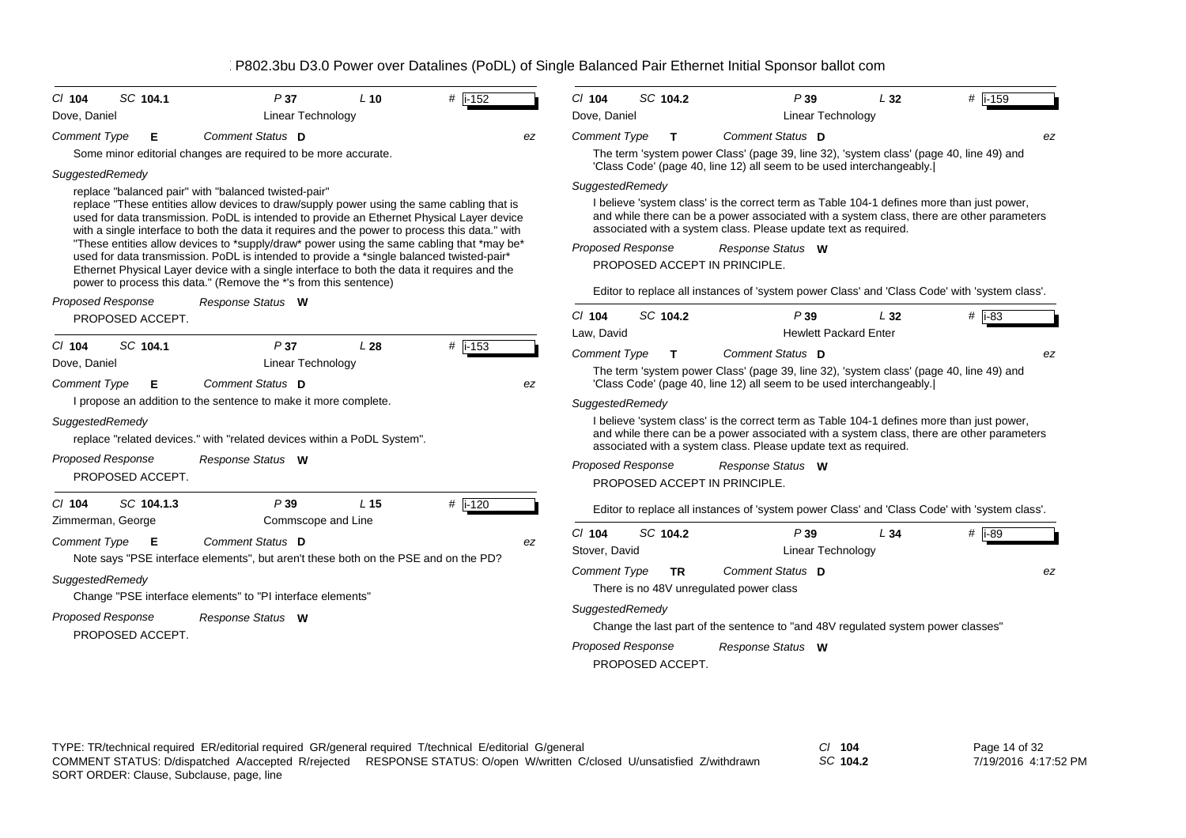| $Cl$ 104                                                                                                                                                                                                                     | SC 104.1                                                                      | P37                                                                                                                                                                                                                                                                                                                                                                                                                                                                                                                                                                                                                                                                                                                                                                                                                                                                                                                                                                                                                                                                                                                     | $L$ 10                 | # i-152                                | $Cl$ 104                                                                                                                               | SC 104.2                                                                          | P39                                                                                                                                                                                                                                                                                                                                                                                                                                                                                                                                                                                                                                                                                                                                                                                                                                                                                                                                                                                                                                                                                                                                                                                                                                                          | L32                                        | # i-159                                      |
|------------------------------------------------------------------------------------------------------------------------------------------------------------------------------------------------------------------------------|-------------------------------------------------------------------------------|-------------------------------------------------------------------------------------------------------------------------------------------------------------------------------------------------------------------------------------------------------------------------------------------------------------------------------------------------------------------------------------------------------------------------------------------------------------------------------------------------------------------------------------------------------------------------------------------------------------------------------------------------------------------------------------------------------------------------------------------------------------------------------------------------------------------------------------------------------------------------------------------------------------------------------------------------------------------------------------------------------------------------------------------------------------------------------------------------------------------------|------------------------|----------------------------------------|----------------------------------------------------------------------------------------------------------------------------------------|-----------------------------------------------------------------------------------|--------------------------------------------------------------------------------------------------------------------------------------------------------------------------------------------------------------------------------------------------------------------------------------------------------------------------------------------------------------------------------------------------------------------------------------------------------------------------------------------------------------------------------------------------------------------------------------------------------------------------------------------------------------------------------------------------------------------------------------------------------------------------------------------------------------------------------------------------------------------------------------------------------------------------------------------------------------------------------------------------------------------------------------------------------------------------------------------------------------------------------------------------------------------------------------------------------------------------------------------------------------|--------------------------------------------|----------------------------------------------|
| Dove, Daniel<br><b>Comment Type</b><br>SuggestedRemedy<br>Proposed Response<br>$Cl$ 104<br>Dove, Daniel<br><b>Comment Type</b><br>SuggestedRemedy<br><b>Proposed Response</b><br>C/ 104<br>Zimmerman, George<br>Comment Type | Е<br>PROPOSED ACCEPT.<br>SC 104.1<br>Е<br>PROPOSED ACCEPT.<br>SC 104.1.3<br>Е | Linear Technology<br>Comment Status D<br>Some minor editorial changes are required to be more accurate.<br>replace "balanced pair" with "balanced twisted-pair"<br>replace "These entities allow devices to draw/supply power using the same cabling that is<br>used for data transmission. PoDL is intended to provide an Ethernet Physical Layer device<br>with a single interface to both the data it requires and the power to process this data." with<br>"These entities allow devices to *supply/draw* power using the same cabling that *may be*<br>used for data transmission. PoDL is intended to provide a *single balanced twisted-pair*<br>Ethernet Physical Layer device with a single interface to both the data it requires and the<br>power to process this data." (Remove the *'s from this sentence)<br>Response Status W<br>P37<br><b>Linear Technology</b><br>Comment Status D<br>I propose an addition to the sentence to make it more complete.<br>replace "related devices." with "related devices within a PoDL System".<br>Response Status W<br>P39<br>Commscope and Line<br>Comment Status D | L28<br>L <sub>15</sub> | ez<br>$#$ i-153<br>ez<br># i-120<br>ez | Dove, Daniel<br><b>Comment Type</b><br>SuggestedRemedy<br>$Cl$ 104<br>Law, David<br><b>Comment Type</b><br>SuggestedRemedy<br>$Cl$ 104 | T.<br><b>Proposed Response</b><br>SC 104.2<br>T.<br>Proposed Response<br>SC 104.2 | <b>Linear Technology</b><br>Comment Status D<br>The term 'system power Class' (page 39, line 32), 'system class' (page 40, line 49) and<br>'Class Code' (page 40, line 12) all seem to be used interchangeably.<br>I believe 'system class' is the correct term as Table 104-1 defines more than just power,<br>and while there can be a power associated with a system class, there are other parameters<br>associated with a system class. Please update text as required.<br>Response Status W<br>PROPOSED ACCEPT IN PRINCIPLE.<br>Editor to replace all instances of 'system power Class' and 'Class Code' with 'system class'.<br>P39<br>Comment Status D<br>The term 'system power Class' (page 39, line 32), 'system class' (page 40, line 49) and<br>'Class Code' (page 40, line 12) all seem to be used interchangeably.<br>I believe 'system class' is the correct term as Table 104-1 defines more than just power,<br>and while there can be a power associated with a system class, there are other parameters<br>associated with a system class. Please update text as required.<br>Response Status W<br>PROPOSED ACCEPT IN PRINCIPLE.<br>Editor to replace all instances of 'system power Class' and 'Class Code' with 'system class'.<br>P39 | L32<br><b>Hewlett Packard Enter</b><br>L34 | ez<br># $\overline{1}$ -83<br>ez<br>$#$ i-89 |
| SuggestedRemedy<br><b>Proposed Response</b>                                                                                                                                                                                  | PROPOSED ACCEPT.                                                              | Note says "PSE interface elements", but aren't these both on the PSE and on the PD?<br>Change "PSE interface elements" to "PI interface elements"<br>Response Status W                                                                                                                                                                                                                                                                                                                                                                                                                                                                                                                                                                                                                                                                                                                                                                                                                                                                                                                                                  |                        |                                        | Stover, David<br><b>Comment Type</b><br>SuggestedRemedy                                                                                | TR.<br>Proposed Response<br>PROPOSED ACCEPT.                                      | Linear Technology<br>Comment Status D<br>There is no 48V unregulated power class<br>Change the last part of the sentence to "and 48V regulated system power classes"<br>Response Status W                                                                                                                                                                                                                                                                                                                                                                                                                                                                                                                                                                                                                                                                                                                                                                                                                                                                                                                                                                                                                                                                    |                                            | ez                                           |

TYPE: TR/technical required ER/editorial required GR/general required T/technical E/editorial G/general *Cl* **104** SORT ORDER: Clause, Subclause, page, line COMMENT STATUS: D/dispatched A/accepted R/rejected RESPONSE STATUS: O/open W/written C/closed U/unsatisfied Z/withdrawn

*SC* **104.2**

Page 14 of 32 7/19/2016 4:17:52 PM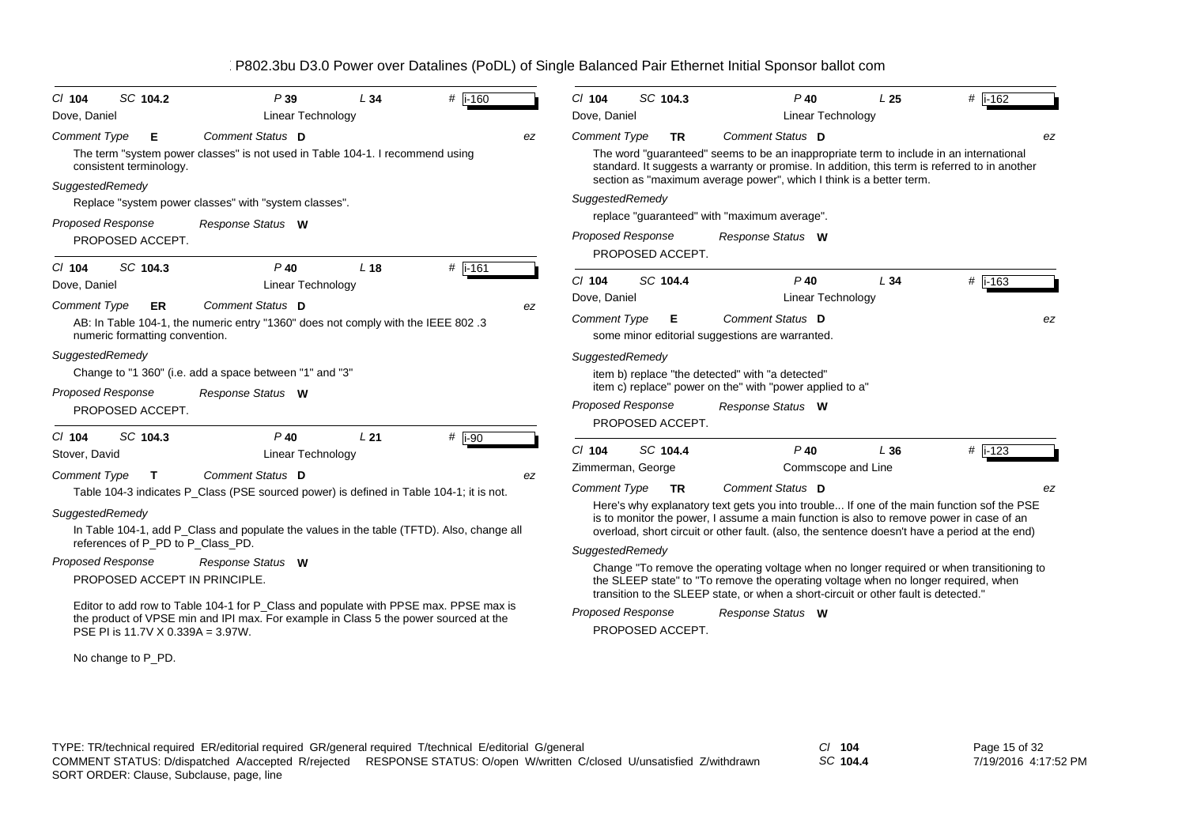| SC 104.2<br>P39<br>$Cl$ 104<br>L34                                                                                                                                           | #  i-160  | $Cl$ 104<br>SC 104.3                         | $P$ 40                                                                                                                                                                                  | L <sub>25</sub> | # $\overline{1-162}$ |
|------------------------------------------------------------------------------------------------------------------------------------------------------------------------------|-----------|----------------------------------------------|-----------------------------------------------------------------------------------------------------------------------------------------------------------------------------------------|-----------------|----------------------|
| Dove, Daniel<br><b>Linear Technology</b>                                                                                                                                     |           | Dove, Daniel                                 | <b>Linear Technology</b>                                                                                                                                                                |                 |                      |
| Comment Status D<br><b>Comment Type</b><br>Е                                                                                                                                 | ez        | <b>Comment Type</b><br><b>TR</b>             | Comment Status D                                                                                                                                                                        |                 | ez                   |
| The term "system power classes" is not used in Table 104-1. I recommend using<br>consistent terminology.                                                                     |           |                                              | The word "guaranteed" seems to be an inappropriate term to include in an international<br>standard. It suggests a warranty or promise. In addition, this term is referred to in another |                 |                      |
| SuggestedRemedy                                                                                                                                                              |           |                                              | section as "maximum average power", which I think is a better term.                                                                                                                     |                 |                      |
| Replace "system power classes" with "system classes".                                                                                                                        |           | SuggestedRemedy                              |                                                                                                                                                                                         |                 |                      |
| <b>Proposed Response</b><br>Response Status W                                                                                                                                |           |                                              | replace "guaranteed" with "maximum average".                                                                                                                                            |                 |                      |
| PROPOSED ACCEPT.                                                                                                                                                             |           | <b>Proposed Response</b><br>PROPOSED ACCEPT. | Response Status W                                                                                                                                                                       |                 |                      |
| SC 104.3<br>$P$ 40<br>L <sub>18</sub><br>$Cl$ 104                                                                                                                            | # $i-161$ |                                              |                                                                                                                                                                                         |                 |                      |
| Dove, Daniel<br><b>Linear Technology</b>                                                                                                                                     |           | $Cl$ 104<br>SC 104.4<br>Dove, Daniel         | $P$ 40                                                                                                                                                                                  | L34             | $#$ i-163            |
| Comment Status D<br><b>Comment Type</b><br>ER                                                                                                                                | ez        |                                              | <b>Linear Technology</b>                                                                                                                                                                |                 |                      |
| AB: In Table 104-1, the numeric entry "1360" does not comply with the IEEE 802.3<br>numeric formatting convention.                                                           |           | <b>Comment Type</b><br>Е                     | Comment Status D<br>some minor editorial suggestions are warranted.                                                                                                                     |                 | ez                   |
| SuggestedRemedy                                                                                                                                                              |           | SuggestedRemedy                              |                                                                                                                                                                                         |                 |                      |
| Change to "1 360" (i.e. add a space between "1" and "3"                                                                                                                      |           |                                              | item b) replace "the detected" with "a detected"                                                                                                                                        |                 |                      |
| <b>Proposed Response</b><br>Response Status W                                                                                                                                |           |                                              | item c) replace" power on the" with "power applied to a"                                                                                                                                |                 |                      |
| PROPOSED ACCEPT.                                                                                                                                                             |           | <b>Proposed Response</b><br>PROPOSED ACCEPT. | Response Status W                                                                                                                                                                       |                 |                      |
| SC 104.3<br>$P$ 40<br>L21<br>$Cl$ 104                                                                                                                                        | $#$ i-90  |                                              |                                                                                                                                                                                         |                 |                      |
| Stover, David<br><b>Linear Technology</b>                                                                                                                                    |           | $Cl$ 104<br>SC 104.4                         | $P$ 40                                                                                                                                                                                  | L36             | $#$ i-123            |
| Comment Status D<br>Comment Type<br>$\mathbf{T}$                                                                                                                             | ez        | Zimmerman, George                            | Commscope and Line                                                                                                                                                                      |                 |                      |
| Table 104-3 indicates P_Class (PSE sourced power) is defined in Table 104-1; it is not.                                                                                      |           | <b>Comment Type</b><br><b>TR</b>             | Comment Status D                                                                                                                                                                        |                 | ez                   |
| SuggestedRemedy                                                                                                                                                              |           |                                              | Here's why explanatory text gets you into trouble If one of the main function sof the PSE<br>is to monitor the power, I assume a main function is also to remove power in case of an    |                 |                      |
| In Table 104-1, add P_Class and populate the values in the table (TFTD). Also, change all                                                                                    |           |                                              | overload, short circuit or other fault. (also, the sentence doesn't have a period at the end)                                                                                           |                 |                      |
| references of P_PD to P_Class_PD.                                                                                                                                            |           | SuggestedRemedy                              |                                                                                                                                                                                         |                 |                      |
| <b>Proposed Response</b><br>Response Status W                                                                                                                                |           |                                              | Change "To remove the operating voltage when no longer required or when transitioning to                                                                                                |                 |                      |
| PROPOSED ACCEPT IN PRINCIPLE.                                                                                                                                                |           |                                              | the SLEEP state" to "To remove the operating voltage when no longer required, when<br>transition to the SLEEP state, or when a short-circuit or other fault is detected."               |                 |                      |
| Editor to add row to Table 104-1 for P_Class and populate with PPSE max. PPSE max is<br>the product of VPSE min and IPI max. For example in Class 5 the power sourced at the |           | <b>Proposed Response</b>                     | Response Status W                                                                                                                                                                       |                 |                      |
| PSE PI is 11.7V X 0.339A = 3.97W.                                                                                                                                            |           | PROPOSED ACCEPT.                             |                                                                                                                                                                                         |                 |                      |

No change to P\_PD.

*SC* **104.4**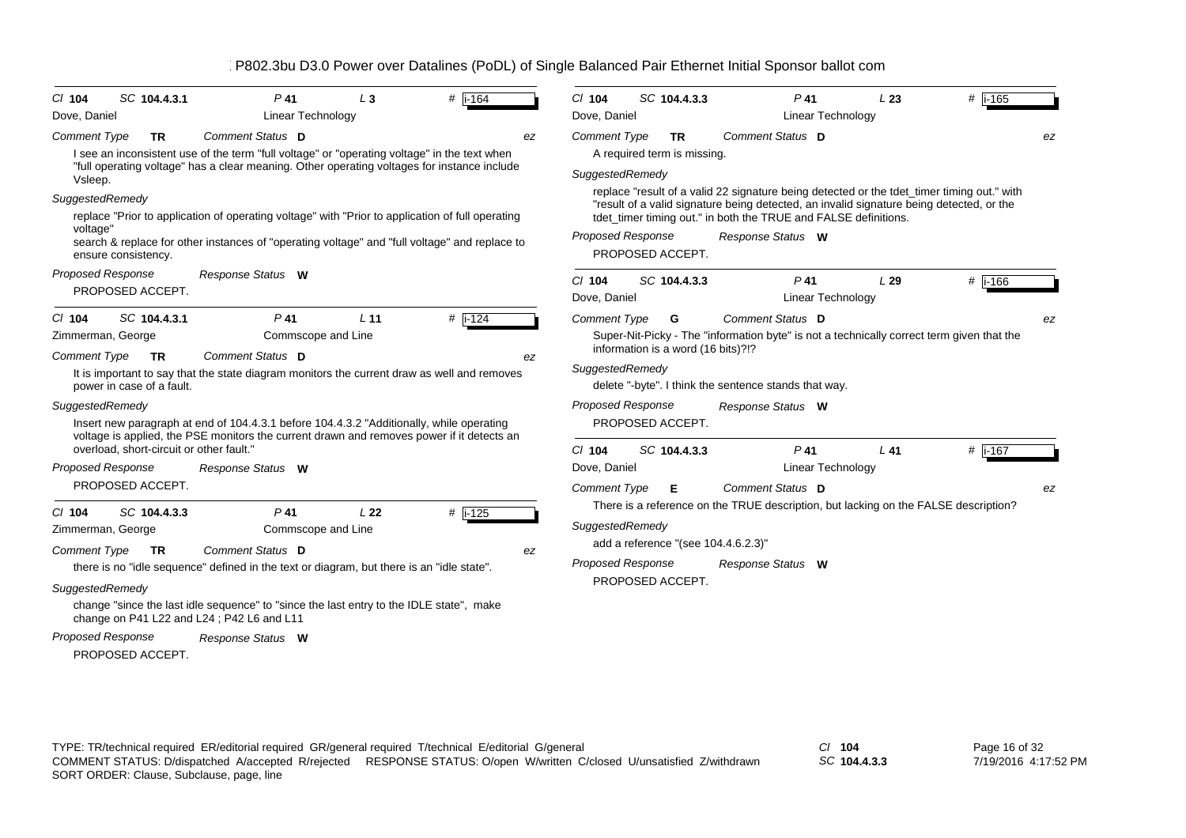| $CI$ 104                                             | SC 104.4.3.1                                           | $P$ 41                                                                                                                                                                                                                            | $L_3$           | # $ i - 164$ | $Cl$ 104                                     |                  | SC 104.4.3.3                             | $P$ 41                                                                                                                                                                                                                                                                         | L23 | $#$ i-165            |
|------------------------------------------------------|--------------------------------------------------------|-----------------------------------------------------------------------------------------------------------------------------------------------------------------------------------------------------------------------------------|-----------------|--------------|----------------------------------------------|------------------|------------------------------------------|--------------------------------------------------------------------------------------------------------------------------------------------------------------------------------------------------------------------------------------------------------------------------------|-----|----------------------|
| Dove, Daniel                                         |                                                        | <b>Linear Technology</b>                                                                                                                                                                                                          |                 |              | Dove, Daniel                                 |                  |                                          | <b>Linear Technology</b>                                                                                                                                                                                                                                                       |     |                      |
| <b>Comment Type</b><br>Vsleep.                       | <b>TR</b>                                              | Comment Status D<br>I see an inconsistent use of the term "full voltage" or "operating voltage" in the text when<br>"full operating voltage" has a clear meaning. Other operating voltages for instance include                   |                 |              | <b>Comment Type</b><br>ez<br>SuggestedRemedy |                  | <b>TR</b><br>A required term is missing. | Comment Status D                                                                                                                                                                                                                                                               |     | ez                   |
| SuggestedRemedy<br>voltage"                          | ensure consistency.                                    | replace "Prior to application of operating voltage" with "Prior to application of full operating<br>search & replace for other instances of "operating voltage" and "full voltage" and replace to                                 |                 |              | <b>Proposed Response</b>                     | PROPOSED ACCEPT. |                                          | replace "result of a valid 22 signature being detected or the tdet_timer timing out." with<br>"result of a valid signature being detected, an invalid signature being detected, or the<br>tdet_timer timing out." in both the TRUE and FALSE definitions.<br>Response Status W |     |                      |
| <b>Proposed Response</b>                             | PROPOSED ACCEPT.                                       | Response Status W                                                                                                                                                                                                                 |                 |              | $Cl$ 104<br>Dove, Daniel                     |                  | SC 104.4.3.3                             | $P$ 41<br>Linear Technology                                                                                                                                                                                                                                                    | L29 | $#$ i-166            |
| $Cl$ 104<br>Zimmerman, George<br><b>Comment Type</b> | SC 104.4.3.1<br><b>TR</b><br>power in case of a fault. | P <sub>41</sub><br>Commscope and Line<br>Comment Status D<br>It is important to say that the state diagram monitors the current draw as well and removes                                                                          | L <sub>11</sub> | # $ i - 124$ | <b>Comment Type</b><br>ez<br>SuggestedRemedy |                  | G<br>information is a word (16 bits)?!?  | <b>Comment Status</b> D<br>Super-Nit-Picky - The "information byte" is not a technically correct term given that the<br>delete "-byte". I think the sentence stands that way.                                                                                                  |     | ez                   |
| SuggestedRemedy                                      | overload, short-circuit or other fault."               | Insert new paragraph at end of 104.4.3.1 before 104.4.3.2 "Additionally, while operating<br>voltage is applied, the PSE monitors the current drawn and removes power if it detects an                                             |                 |              | <b>Proposed Response</b><br>$Cl$ 104         | PROPOSED ACCEPT. | SC 104.4.3.3                             | Response Status W<br>$P$ 41                                                                                                                                                                                                                                                    | L41 | # $\overline{1.167}$ |
| <b>Proposed Response</b>                             | PROPOSED ACCEPT.                                       | Response Status W                                                                                                                                                                                                                 |                 |              | Dove, Daniel<br><b>Comment Type</b>          |                  | Е                                        | <b>Linear Technology</b><br>Comment Status D                                                                                                                                                                                                                                   |     | ez                   |
| $Cl$ 104<br>Zimmerman, George<br><b>Comment Type</b> | SC 104.4.3.3<br><b>TR</b>                              | $P$ 41<br>Commscope and Line<br>Comment Status D                                                                                                                                                                                  | L <sub>22</sub> | $#$ i-125    | SuggestedRemedy<br>ez                        |                  |                                          | There is a reference on the TRUE description, but lacking on the FALSE description?<br>add a reference "(see 104.4.6.2.3)"                                                                                                                                                     |     |                      |
| SuggestedRemedy                                      |                                                        | there is no "idle sequence" defined in the text or diagram, but there is an "idle state".<br>change "since the last idle sequence" to "since the last entry to the IDLE state", make<br>change on P41 L22 and L24; P42 L6 and L11 |                 |              | <b>Proposed Response</b>                     | PROPOSED ACCEPT. |                                          | Response Status W                                                                                                                                                                                                                                                              |     |                      |
| <b>Proposed Response</b>                             | PROPOSED ACCEPT.                                       | Response Status W                                                                                                                                                                                                                 |                 |              |                                              |                  |                                          |                                                                                                                                                                                                                                                                                |     |                      |

*SC* **104.4.3.3**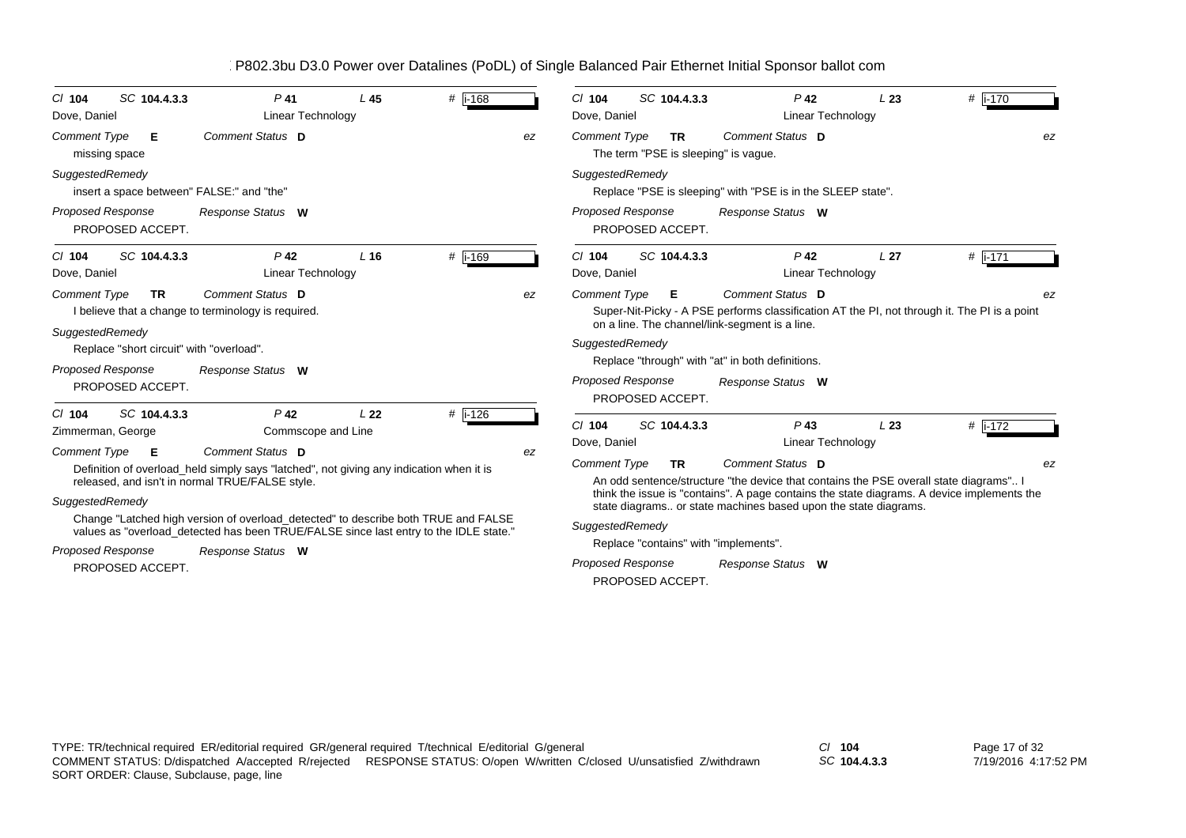| SC 104.4.3.3<br>$Cl$ 104<br>Dove, Daniel                                                                                                                         | $P$ 41<br><b>Linear Technology</b>                                                                                                                                                                                                                                                                                                                                                                          | L45             | # i-168   |    | SC 104.4.3.3<br>$Cl$ 104<br>Dove, Daniel                                                                                                                                                 | $P$ 42<br>Linear Technology                                                                                                                                                                                                                                                                                                    | L23             | #  i-170      |
|------------------------------------------------------------------------------------------------------------------------------------------------------------------|-------------------------------------------------------------------------------------------------------------------------------------------------------------------------------------------------------------------------------------------------------------------------------------------------------------------------------------------------------------------------------------------------------------|-----------------|-----------|----|------------------------------------------------------------------------------------------------------------------------------------------------------------------------------------------|--------------------------------------------------------------------------------------------------------------------------------------------------------------------------------------------------------------------------------------------------------------------------------------------------------------------------------|-----------------|---------------|
| <b>Comment Type</b><br>E<br>missing space                                                                                                                        | Comment Status D                                                                                                                                                                                                                                                                                                                                                                                            |                 |           | ez | <b>Comment Type</b><br><b>TR</b><br>The term "PSE is sleeping" is vague.                                                                                                                 | Comment Status D                                                                                                                                                                                                                                                                                                               |                 | ez            |
| SuggestedRemedy<br>insert a space between" FALSE:" and "the"                                                                                                     |                                                                                                                                                                                                                                                                                                                                                                                                             |                 |           |    | SuggestedRemedy                                                                                                                                                                          | Replace "PSE is sleeping" with "PSE is in the SLEEP state".                                                                                                                                                                                                                                                                    |                 |               |
| <b>Proposed Response</b><br>PROPOSED ACCEPT.                                                                                                                     | Response Status W                                                                                                                                                                                                                                                                                                                                                                                           |                 |           |    | <b>Proposed Response</b><br>PROPOSED ACCEPT.                                                                                                                                             | Response Status W                                                                                                                                                                                                                                                                                                              |                 |               |
| SC 104.4.3.3<br>$CI$ 104<br>Dove, Daniel                                                                                                                         | $P$ 42<br>Linear Technology                                                                                                                                                                                                                                                                                                                                                                                 | L <sub>16</sub> | $#$ i-169 |    | SC 104.4.3.3<br>C/104<br>Dove, Daniel                                                                                                                                                    | $P$ 42<br><b>Linear Technology</b>                                                                                                                                                                                                                                                                                             | L <sub>27</sub> | #  i-171      |
| <b>Comment Type</b><br><b>TR</b><br>SuggestedRemedy<br>Replace "short circuit" with "overload".<br><b>Proposed Response</b>                                      | Comment Status D<br>I believe that a change to terminology is required.<br>Response Status W                                                                                                                                                                                                                                                                                                                |                 |           | ez | <b>Comment Type</b><br>Е<br>on a line. The channel/link-segment is a line.<br>SuggestedRemedy<br><b>Proposed Response</b>                                                                | Comment Status D<br>Super-Nit-Picky - A PSE performs classification AT the PI, not through it. The PI is a point<br>Replace "through" with "at" in both definitions.<br>Response Status W                                                                                                                                      |                 | ez            |
| PROPOSED ACCEPT.<br>SC 104.4.3.3<br>$CI$ 104<br>Zimmerman, George<br><b>Comment Type</b><br>E<br>SuggestedRemedy<br><b>Proposed Response</b><br>PROPOSED ACCEPT. | P <sub>42</sub><br>Commscope and Line<br>Comment Status D<br>Definition of overload_held simply says "latched", not giving any indication when it is<br>released, and isn't in normal TRUE/FALSE style.<br>Change "Latched high version of overload detected" to describe both TRUE and FALSE<br>values as "overload_detected has been TRUE/FALSE since last entry to the IDLE state."<br>Response Status W | L <sub>22</sub> | $#$ i-126 | ez | PROPOSED ACCEPT.<br>$Cl$ 104<br>SC 104.4.3.3<br>Dove, Daniel<br><b>Comment Type</b><br><b>TR</b><br>SuggestedRemedy<br>Replace "contains" with "implements".<br><b>Proposed Response</b> | $P$ 43<br>Linear Technology<br>Comment Status D<br>An odd sentence/structure "the device that contains the PSE overall state diagrams" I<br>think the issue is "contains". A page contains the state diagrams. A device implements the<br>state diagrams or state machines based upon the state diagrams.<br>Response Status W | L23             | # i-172<br>ez |
|                                                                                                                                                                  |                                                                                                                                                                                                                                                                                                                                                                                                             |                 |           |    | PROPOSED ACCEPT.                                                                                                                                                                         |                                                                                                                                                                                                                                                                                                                                |                 |               |

*SC* **104.4.3.3**

Page 17 of 32 7/19/2016 4:17:52 PM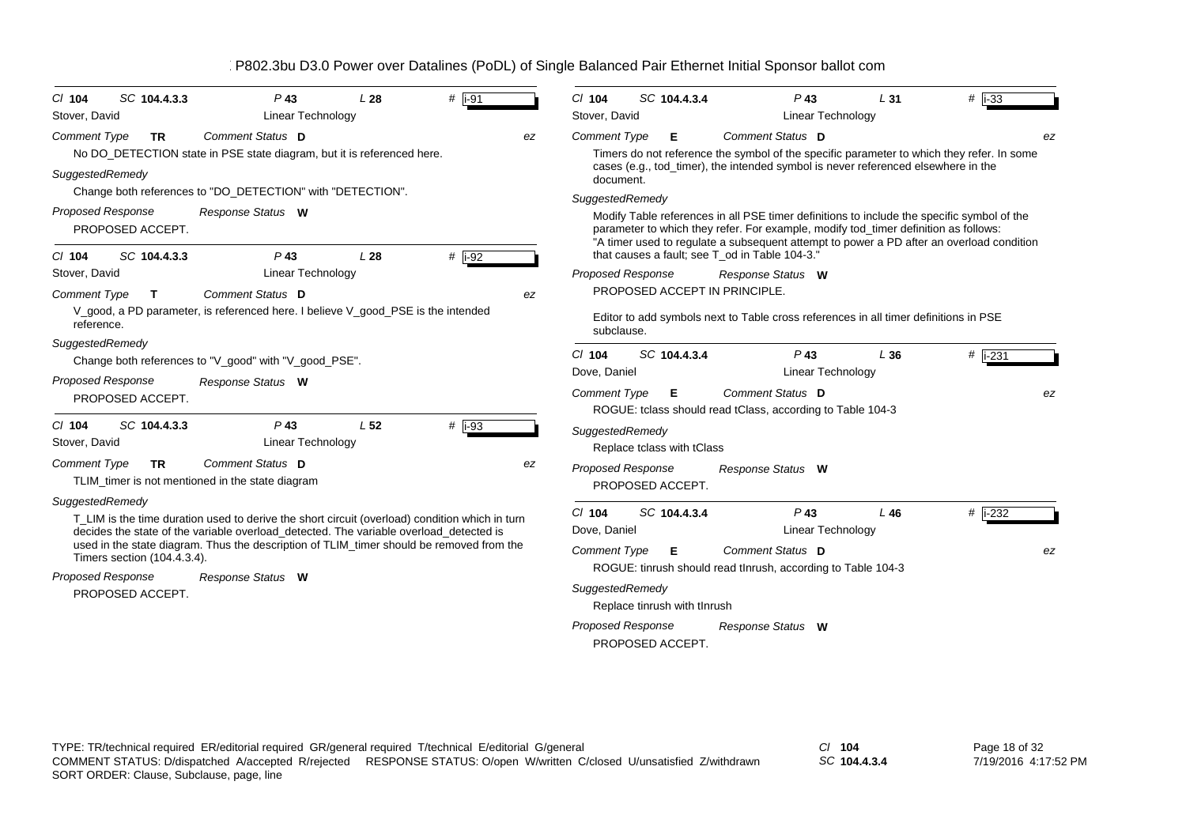| # $\overline{1}$ -91<br>SC 104.4.3.3<br>$Cl$ 104<br>$P$ 43<br>L <sub>28</sub>                                                                                                      | $#$ i-33<br>SC 104.4.3.4<br>$Cl$ 104<br>$P$ 43<br>L <sub>31</sub>                                                                                                                                                                                                             |  |  |  |  |  |  |
|------------------------------------------------------------------------------------------------------------------------------------------------------------------------------------|-------------------------------------------------------------------------------------------------------------------------------------------------------------------------------------------------------------------------------------------------------------------------------|--|--|--|--|--|--|
| Stover, David<br>Linear Technology                                                                                                                                                 | Stover, David<br>Linear Technology                                                                                                                                                                                                                                            |  |  |  |  |  |  |
| Comment Status D<br><b>Comment Type</b><br>TR.<br>ez<br>No DO_DETECTION state in PSE state diagram, but it is referenced here.                                                     | Comment Status D<br><b>Comment Type</b><br>Е<br>ez<br>Timers do not reference the symbol of the specific parameter to which they refer. In some<br>cases (e.g., tod_timer), the intended symbol is never referenced elsewhere in the                                          |  |  |  |  |  |  |
| SuggestedRemedy<br>Change both references to "DO_DETECTION" with "DETECTION".                                                                                                      | document.                                                                                                                                                                                                                                                                     |  |  |  |  |  |  |
|                                                                                                                                                                                    | SuggestedRemedy                                                                                                                                                                                                                                                               |  |  |  |  |  |  |
| <b>Proposed Response</b><br>Response Status W<br>PROPOSED ACCEPT.                                                                                                                  | Modify Table references in all PSE timer definitions to include the specific symbol of the<br>parameter to which they refer. For example, modify tod_timer definition as follows:<br>"A timer used to regulate a subsequent attempt to power a PD after an overload condition |  |  |  |  |  |  |
| # i-92<br>$P$ 43<br>L28<br>SC 104.4.3.3<br>$Cl$ 104                                                                                                                                | that causes a fault; see T od in Table 104-3."                                                                                                                                                                                                                                |  |  |  |  |  |  |
| Linear Technology<br>Stover, David                                                                                                                                                 | <b>Proposed Response</b><br>Response Status W                                                                                                                                                                                                                                 |  |  |  |  |  |  |
| <b>Comment Status D</b><br><b>Comment Type</b><br>$\mathbf{T}$<br>ez                                                                                                               | PROPOSED ACCEPT IN PRINCIPLE.                                                                                                                                                                                                                                                 |  |  |  |  |  |  |
| V_good, a PD parameter, is referenced here. I believe V_good_PSE is the intended<br>reference.                                                                                     | Editor to add symbols next to Table cross references in all timer definitions in PSE<br>subclause.                                                                                                                                                                            |  |  |  |  |  |  |
| SuggestedRemedy                                                                                                                                                                    | SC 104.4.3.4<br># $ i - 231$<br>$Cl$ 104<br>$P$ 43<br>L36                                                                                                                                                                                                                     |  |  |  |  |  |  |
| Change both references to "V_good" with "V_good_PSE".                                                                                                                              | Linear Technology<br>Dove, Daniel                                                                                                                                                                                                                                             |  |  |  |  |  |  |
| <b>Proposed Response</b><br>Response Status W                                                                                                                                      | Comment Status D                                                                                                                                                                                                                                                              |  |  |  |  |  |  |
| PROPOSED ACCEPT.                                                                                                                                                                   | <b>Comment Type</b><br>Е<br>ez<br>ROGUE: tclass should read tClass, according to Table 104-3                                                                                                                                                                                  |  |  |  |  |  |  |
| $P$ 43<br>L <sub>52</sub><br>$#$ i-93<br>SC 104.4.3.3<br>$Cl$ 104                                                                                                                  |                                                                                                                                                                                                                                                                               |  |  |  |  |  |  |
| <b>Linear Technology</b><br>Stover, David                                                                                                                                          | SuggestedRemedy<br>Replace tclass with tClass                                                                                                                                                                                                                                 |  |  |  |  |  |  |
| Comment Status D<br><b>Comment Type</b><br><b>TR</b><br>ez                                                                                                                         | Proposed Response<br>Response Status W                                                                                                                                                                                                                                        |  |  |  |  |  |  |
| TLIM_timer is not mentioned in the state diagram                                                                                                                                   | PROPOSED ACCEPT.                                                                                                                                                                                                                                                              |  |  |  |  |  |  |
| SuggestedRemedy                                                                                                                                                                    |                                                                                                                                                                                                                                                                               |  |  |  |  |  |  |
| T_LIM is the time duration used to derive the short circuit (overload) condition which in turn                                                                                     | $P$ 43<br># i-232<br>$Cl$ 104<br>SC 104.4.3.4<br>L46                                                                                                                                                                                                                          |  |  |  |  |  |  |
| decides the state of the variable overload_detected. The variable overload_detected is<br>used in the state diagram. Thus the description of TLIM_timer should be removed from the | Dove, Daniel<br>Linear Technology                                                                                                                                                                                                                                             |  |  |  |  |  |  |
| Timers section (104.4.3.4).                                                                                                                                                        | Comment Status D<br><b>Comment Type</b><br>Е<br>ez                                                                                                                                                                                                                            |  |  |  |  |  |  |
| <b>Proposed Response</b><br>Response Status W                                                                                                                                      | ROGUE: tinrush should read thrush, according to Table 104-3                                                                                                                                                                                                                   |  |  |  |  |  |  |
| PROPOSED ACCEPT.                                                                                                                                                                   | SuggestedRemedy<br>Replace tinrush with tInrush                                                                                                                                                                                                                               |  |  |  |  |  |  |
|                                                                                                                                                                                    | <b>Proposed Response</b><br>Response Status W                                                                                                                                                                                                                                 |  |  |  |  |  |  |

PROPOSED ACCEPT.

TYPE: TR/technical required ER/editorial required GR/general required T/technical E/editorial G/general *Cl* **104** SORT ORDER: Clause, Subclause, page, line COMMENT STATUS: D/dispatched A/accepted R/rejected RESPONSE STATUS: O/open W/written C/closed U/unsatisfied Z/withdrawn

*SC* **104.4.3.4**

Page 18 of 32 7/19/2016 4:17:52 PM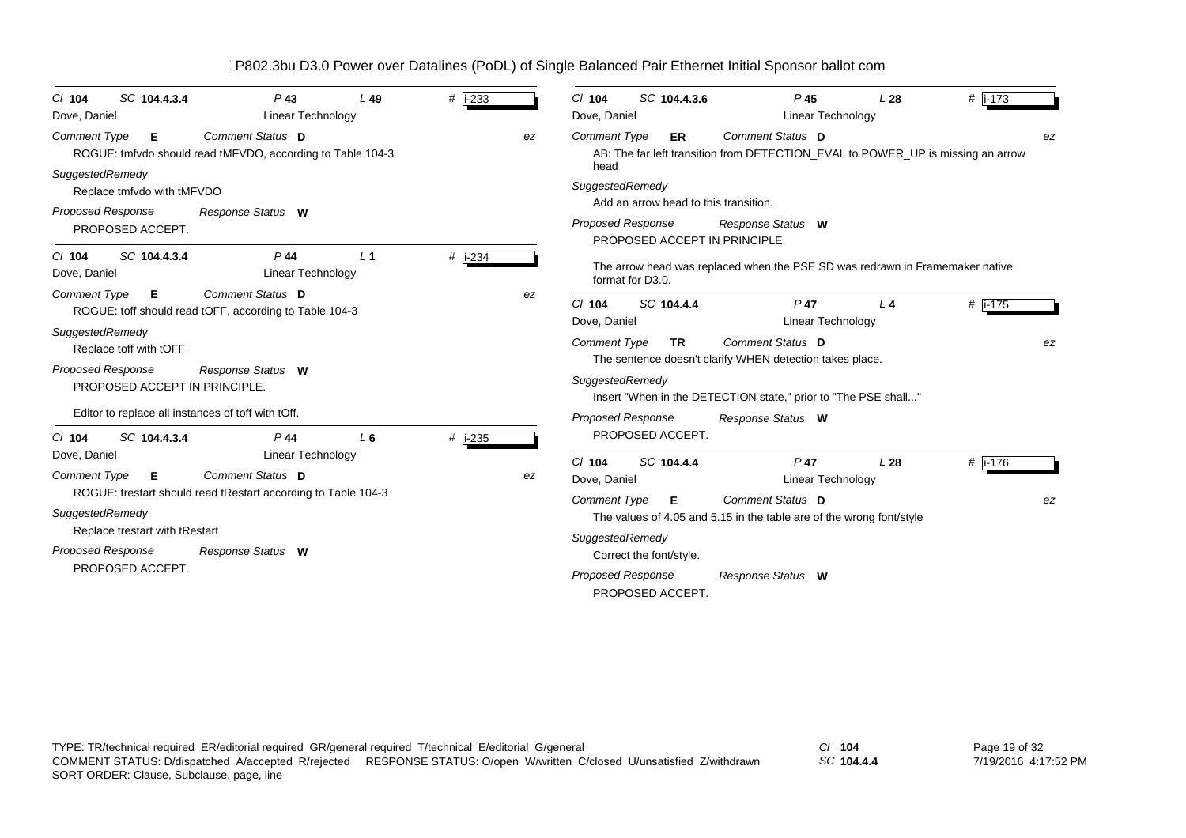| SC 104.4.3.4<br>$Cl$ 104<br>Dove, Daniel                                            | $P$ 43<br><b>Linear Technology</b>                                                 | L49            | #   i-233            |    | $CI$ 104<br>Dove, Daniel                            | SC 104.4.3.6                          | $P$ 45<br>Linear Technology                                                                                   | L28            | #  i-173             |
|-------------------------------------------------------------------------------------|------------------------------------------------------------------------------------|----------------|----------------------|----|-----------------------------------------------------|---------------------------------------|---------------------------------------------------------------------------------------------------------------|----------------|----------------------|
| <b>Comment Type</b><br>Е                                                            | Comment Status D<br>ROGUE: tmfvdo should read tMFVDO, according to Table 104-3     |                |                      | ez | <b>Comment Type</b>                                 | ER                                    | Comment Status D<br>AB: The far left transition from DETECTION_EVAL to POWER_UP is missing an arrow           |                | ez                   |
| SuggestedRemedy<br>Replace tmfvdo with tMFVDO<br><b>Proposed Response</b>           | Response Status W                                                                  |                |                      |    | head<br>SuggestedRemedy<br><b>Proposed Response</b> | Add an arrow head to this transition. | Response Status W                                                                                             |                |                      |
| PROPOSED ACCEPT.<br>SC 104.4.3.4<br>$Cl$ 104<br>Dove, Daniel                        | $P$ 44<br><b>Linear Technology</b>                                                 | L <sub>1</sub> | # $\overline{$ i-234 |    |                                                     | format for D3.0.                      | PROPOSED ACCEPT IN PRINCIPLE.<br>The arrow head was replaced when the PSE SD was redrawn in Framemaker native |                |                      |
| <b>Comment Type</b><br>E                                                            | Comment Status D<br>ROGUE: toff should read tOFF, according to Table 104-3         |                |                      | ez | $Cl$ 104<br>Dove, Daniel                            | SC 104.4.4                            | $P$ 47<br>Linear Technology                                                                                   | L <sub>4</sub> | # $\overline{1.175}$ |
| SuggestedRemedy<br>Replace toff with tOFF<br><b>Proposed Response</b>               | Response Status W                                                                  |                |                      |    | <b>Comment Type</b><br>SuggestedRemedy              | <b>TR</b>                             | Comment Status D<br>The sentence doesn't clarify WHEN detection takes place.                                  |                | ez                   |
| PROPOSED ACCEPT IN PRINCIPLE.<br>Editor to replace all instances of toff with tOff. |                                                                                    |                |                      |    | <b>Proposed Response</b>                            |                                       | Insert "When in the DETECTION state," prior to "The PSE shall"<br>Response Status W                           |                |                      |
| SC 104.4.3.4<br>$Cl$ 104<br>Dove, Daniel                                            | $P$ 44<br><b>Linear Technology</b>                                                 | L6             | $#$ i-235            |    |                                                     | PROPOSED ACCEPT.                      |                                                                                                               |                |                      |
| <b>Comment Type</b><br>Е                                                            | Comment Status D                                                                   |                |                      | ez | $Cl$ 104<br>Dove, Daniel                            | SC 104.4.4                            | $P$ 47<br><b>Linear Technology</b>                                                                            | L28            | # $i-176$            |
| SuggestedRemedy<br>Replace trestart with tRestart<br>Proposed Response              | ROGUE: trestart should read tRestart according to Table 104-3<br>Response Status W |                |                      |    | <b>Comment Type</b><br>SuggestedRemedy              | Е<br>Correct the font/style.          | Comment Status D<br>The values of 4.05 and 5.15 in the table are of the wrong font/style                      |                | ez                   |
| PROPOSED ACCEPT.                                                                    |                                                                                    |                |                      |    | Proposed Response                                   | PROPOSED ACCEPT.                      | Response Status W                                                                                             |                |                      |

*SC* **104.4.4**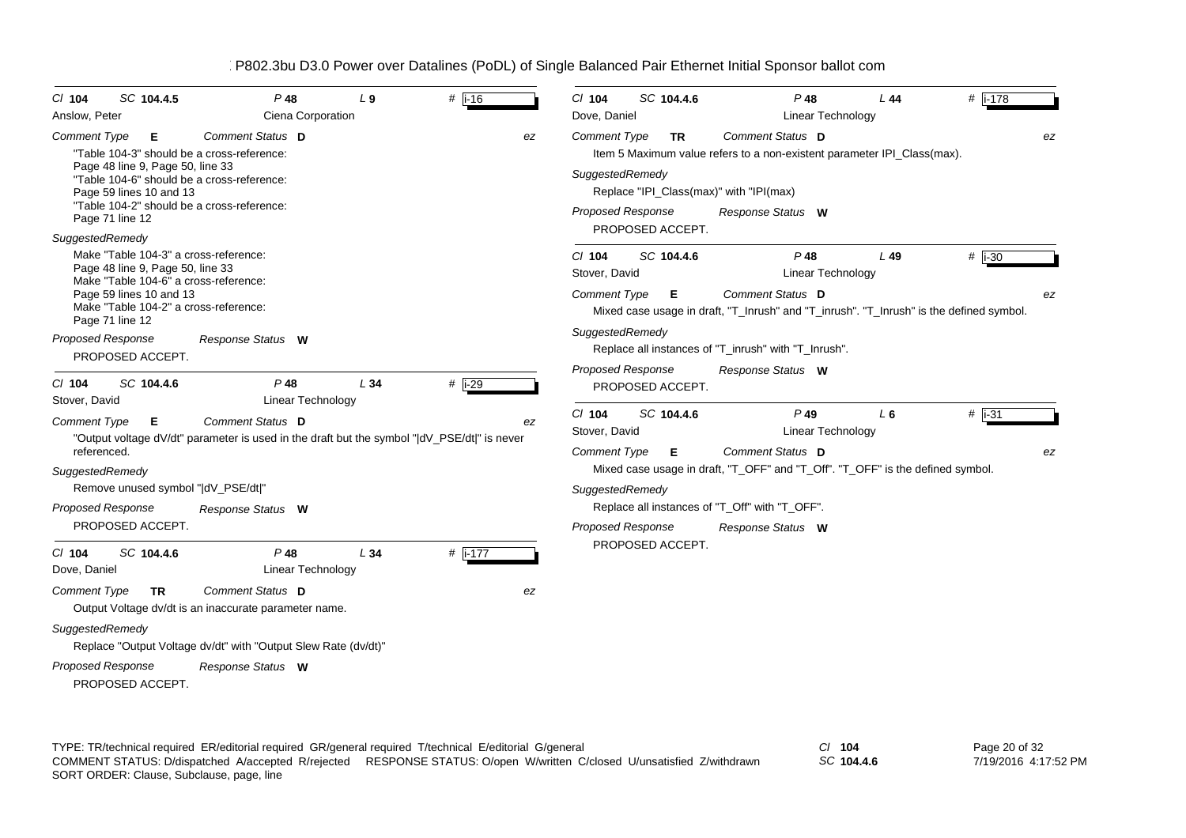| SC 104.4.5<br>$CI$ 104<br>Anslow, Peter                                                                                                                                                                                                              | $P$ 48<br>Ciena Corporation                                                                                     | $L_{9}$ | # $\overline{1}$ -16 |    | $Cl$ 104<br>Dove, Daniel                                    | SC 104.4.6                    | $P$ 48<br>Linear Technology                                                                                                                                 | L 44  | # $i-178$      |
|------------------------------------------------------------------------------------------------------------------------------------------------------------------------------------------------------------------------------------------------------|-----------------------------------------------------------------------------------------------------------------|---------|----------------------|----|-------------------------------------------------------------|-------------------------------|-------------------------------------------------------------------------------------------------------------------------------------------------------------|-------|----------------|
| <b>Comment Type</b><br>Е<br>"Table 104-3" should be a cross-reference:<br>Page 48 line 9, Page 50, line 33<br>"Table 104-6" should be a cross-reference:<br>Page 59 lines 10 and 13<br>"Table 104-2" should be a cross-reference:<br>Page 71 line 12 | Comment Status D                                                                                                |         |                      | ez | <b>Comment Type</b><br>SuggestedRemedy<br>Proposed Response | <b>TR</b><br>PROPOSED ACCEPT. | Comment Status D<br>Item 5 Maximum value refers to a non-existent parameter IPI_Class(max).<br>Replace "IPI_Class(max)" with "IPI(max)<br>Response Status W |       | ez             |
| SuggestedRemedy<br>Make "Table 104-3" a cross-reference:<br>Page 48 line 9, Page 50, line 33<br>Make "Table 104-6" a cross-reference:<br>Page 59 lines 10 and 13<br>Make "Table 104-2" a cross-reference:<br>Page 71 line 12                         |                                                                                                                 |         |                      |    | $CI$ 104<br>Stover, David<br><b>Comment Type</b>            | SC 104.4.6<br>E               | $P$ 48<br>Linear Technology<br>Comment Status D<br>Mixed case usage in draft, "T_Inrush" and "T_inrush". "T_Inrush" is the defined symbol.                  | L 49  | $#$ i-30<br>ez |
| Proposed Response<br>PROPOSED ACCEPT.<br>$Cl$ 104<br>SC 104.4.6                                                                                                                                                                                      | Response Status W<br>$P$ 48                                                                                     | L34     | # $i-29$             |    | SuggestedRemedy<br><b>Proposed Response</b>                 | PROPOSED ACCEPT.              | Replace all instances of "T_inrush" with "T_Inrush".<br>Response Status W                                                                                   |       |                |
| Stover, David                                                                                                                                                                                                                                        | Linear Technology                                                                                               |         |                      |    |                                                             |                               |                                                                                                                                                             |       |                |
| Comment Type<br>Е<br>referenced.                                                                                                                                                                                                                     | Comment Status D<br>"Output voltage dV/dt" parameter is used in the draft but the symbol " dV_PSE/dt " is never |         |                      | ez | $CI$ 104<br>Stover, David<br><b>Comment Type</b>            | SC 104.4.6<br>E               | $P$ 49<br>Linear Technology<br>Comment Status D                                                                                                             | $L_6$ | $#$ i-31<br>ez |
| SuggestedRemedy                                                                                                                                                                                                                                      |                                                                                                                 |         |                      |    |                                                             |                               | Mixed case usage in draft, "T_OFF" and "T_Off". "T_OFF" is the defined symbol.                                                                              |       |                |
| Remove unused symbol " dV_PSE/dt "                                                                                                                                                                                                                   |                                                                                                                 |         |                      |    | SuggestedRemedy                                             |                               |                                                                                                                                                             |       |                |
| Proposed Response                                                                                                                                                                                                                                    | Response Status W                                                                                               |         |                      |    |                                                             |                               | Replace all instances of "T_Off" with "T_OFF".                                                                                                              |       |                |
| PROPOSED ACCEPT.<br>SC 104.4.6<br>$Cl$ 104<br>Dove, Daniel                                                                                                                                                                                           | $P$ 48<br><b>Linear Technology</b>                                                                              | L34     | # $\sqrt{1-177}$     |    | <b>Proposed Response</b>                                    | PROPOSED ACCEPT.              | Response Status W                                                                                                                                           |       |                |
| <b>Comment Type</b><br><b>TR</b><br>SuggestedRemedy                                                                                                                                                                                                  | Comment Status D<br>Output Voltage dv/dt is an inaccurate parameter name.                                       |         |                      | ez |                                                             |                               |                                                                                                                                                             |       |                |
| Proposed Response<br>PROPOSED ACCEPT.                                                                                                                                                                                                                | Replace "Output Voltage dv/dt" with "Output Slew Rate (dv/dt)"<br>Response Status W                             |         |                      |    |                                                             |                               |                                                                                                                                                             |       |                |

TYPE: TR/technical required ER/editorial required GR/general required T/technical E/editorial G/general *Cl* **104** SORT ORDER: Clause, Subclause, page, line COMMENT STATUS: D/dispatched A/accepted R/rejected RESPONSE STATUS: O/open W/written C/closed U/unsatisfied Z/withdrawn

*SC* **104.4.6**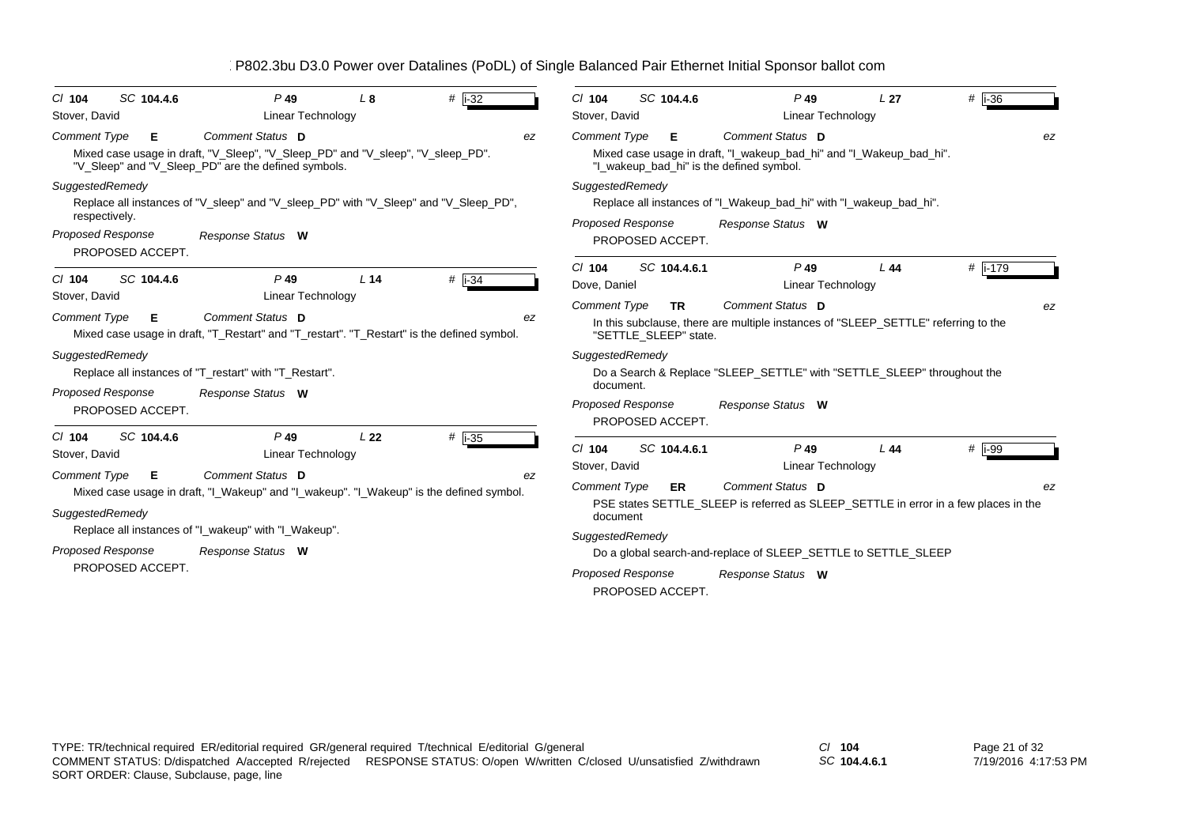| SC 104.4.6<br>$CI$ 104<br>Stover, David                                   | $P$ 49<br><b>Linear Technology</b>                                                                                                                                  | L8              | # $\vert$ i-32 | $#$ i-36<br>SC 104.4.6<br>$Cl$ 104<br>$P$ 49<br>L <sub>27</sub><br>Stover, David<br><b>Linear Technology</b>                                                                    |
|---------------------------------------------------------------------------|---------------------------------------------------------------------------------------------------------------------------------------------------------------------|-----------------|----------------|---------------------------------------------------------------------------------------------------------------------------------------------------------------------------------|
| <b>Comment Type</b><br>E                                                  | Comment Status D<br>Mixed case usage in draft, "V_Sleep", "V_Sleep_PD" and "V_sleep", "V_sleep_PD".<br>"V_Sleep" and "V_Sleep_PD" are the defined symbols.          |                 |                | Comment Status D<br><b>Comment Type</b><br>Е<br>ez<br>Mixed case usage in draft, "I_wakeup_bad_hi" and "I_Wakeup_bad_hi".<br>"I_wakeup_bad_hi" is the defined symbol.           |
| SuggestedRemedy<br>respectively.<br>Proposed Response<br>PROPOSED ACCEPT. | Replace all instances of "V_sleep" and "V_sleep_PD" with "V_Sleep" and "V_Sleep_PD",<br>Response Status W                                                           |                 |                | SuggestedRemedy<br>Replace all instances of "I_Wakeup_bad_hi" with "I_wakeup_bad_hi".<br><b>Proposed Response</b><br>Response Status W<br>PROPOSED ACCEPT.                      |
| SC 104.4.6<br>$CI$ 104<br>Stover, David                                   | $P$ 49<br><b>Linear Technology</b>                                                                                                                                  | L <sub>14</sub> | $#$ i-34       | $P$ 49<br>$Cl$ 104<br>SC 104.4.6.1<br>#  i-179<br>L44<br><b>Linear Technology</b><br>Dove, Daniel                                                                               |
| Comment Type<br>E                                                         | Comment Status D<br>Mixed case usage in draft, "T_Restart" and "T_restart". "T_Restart" is the defined symbol.                                                      |                 | ez             | <b>Comment Type</b><br>Comment Status D<br><b>TR</b><br>ez<br>In this subclause, there are multiple instances of "SLEEP_SETTLE" referring to the<br>"SETTLE SLEEP" state.       |
| SuggestedRemedy<br><b>Proposed Response</b><br>PROPOSED ACCEPT.           | Replace all instances of "T_restart" with "T_Restart".<br>Response Status W                                                                                         |                 |                | SuggestedRemedy<br>Do a Search & Replace "SLEEP_SETTLE" with "SETTLE_SLEEP" throughout the<br>document.<br><b>Proposed Response</b><br>Response Status W                        |
| SC 104.4.6<br>$CI$ 104<br>Stover, David                                   | $P$ 49<br>Linear Technology                                                                                                                                         | L <sub>22</sub> | $#$ i-35       | PROPOSED ACCEPT.<br>$Cl$ 104<br>SC 104.4.6.1<br>$P$ 49<br>$#$   i-99<br>L44<br><b>Linear Technology</b><br>Stover, David                                                        |
| <b>Comment Type</b><br>Е<br>SuggestedRemedy                               | Comment Status D<br>Mixed case usage in draft, "I_Wakeup" and "I_wakeup". "I_Wakeup" is the defined symbol.<br>Replace all instances of "I_wakeup" with "I_Wakeup". |                 |                | ez<br>Comment Status D<br><b>Comment Type</b><br>ER<br>ez<br>PSE states SETTLE_SLEEP is referred as SLEEP_SETTLE in error in a few places in the<br>document<br>SuggestedRemedy |
| <b>Proposed Response</b><br>PROPOSED ACCEPT.                              | Response Status W                                                                                                                                                   |                 |                | Do a global search-and-replace of SLEEP_SETTLE to SETTLE_SLEEP<br><b>Proposed Response</b><br>Response Status W<br>PROPOSED ACCEPT.                                             |

*SC* **104.4.6.1**

Page 21 of 32 7/19/2016 4:17:53 PM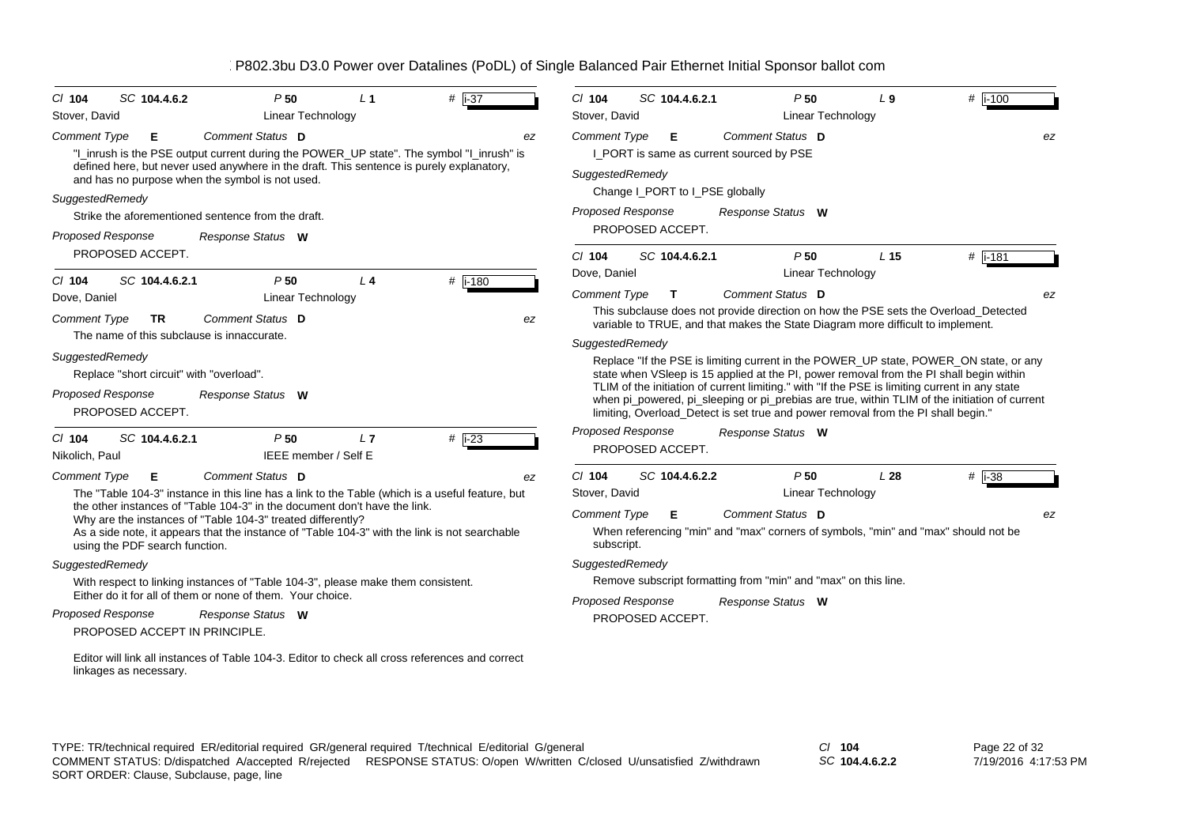| SC 104.4.6.2<br>$CI$ 104                                                                             | P50                                                                                                                                                                                                                                                         | $L_1$ | $#$ i-37               |    | $Cl$ 104                               | SC 104.4.6.2.1                                | P50                                                            | L9                                                                                | #  i-100                                                                                                                                                                                                                                                                                                                                                                            |    |
|------------------------------------------------------------------------------------------------------|-------------------------------------------------------------------------------------------------------------------------------------------------------------------------------------------------------------------------------------------------------------|-------|------------------------|----|----------------------------------------|-----------------------------------------------|----------------------------------------------------------------|-----------------------------------------------------------------------------------|-------------------------------------------------------------------------------------------------------------------------------------------------------------------------------------------------------------------------------------------------------------------------------------------------------------------------------------------------------------------------------------|----|
| Stover, David                                                                                        | <b>Linear Technology</b>                                                                                                                                                                                                                                    |       |                        |    | Stover, David                          |                                               | <b>Linear Technology</b>                                       |                                                                                   |                                                                                                                                                                                                                                                                                                                                                                                     |    |
| <b>Comment Type</b><br>Е                                                                             | Comment Status D<br>"I_inrush is the PSE output current during the POWER_UP state". The symbol "I_inrush" is<br>defined here, but never used anywhere in the draft. This sentence is purely explanatory,<br>and has no purpose when the symbol is not used. |       |                        | ez | <b>Comment Type</b><br>SuggestedRemedy | Е<br>I_PORT is same as current sourced by PSE | Comment Status D                                               |                                                                                   |                                                                                                                                                                                                                                                                                                                                                                                     | ez |
| SuggestedRemedy                                                                                      |                                                                                                                                                                                                                                                             |       |                        |    |                                        | Change I_PORT to I_PSE globally               |                                                                |                                                                                   |                                                                                                                                                                                                                                                                                                                                                                                     |    |
|                                                                                                      | Strike the aforementioned sentence from the draft.                                                                                                                                                                                                          |       |                        |    | <b>Proposed Response</b>               |                                               | Response Status W                                              |                                                                                   |                                                                                                                                                                                                                                                                                                                                                                                     |    |
| <b>Proposed Response</b>                                                                             | Response Status W                                                                                                                                                                                                                                           |       |                        |    |                                        | PROPOSED ACCEPT.                              |                                                                |                                                                                   |                                                                                                                                                                                                                                                                                                                                                                                     |    |
| PROPOSED ACCEPT.                                                                                     |                                                                                                                                                                                                                                                             |       |                        |    | $Cl$ 104                               | SC 104.4.6.2.1                                | P50                                                            | L <sub>15</sub>                                                                   | # i-181                                                                                                                                                                                                                                                                                                                                                                             |    |
| SC 104.4.6.2.1<br>$CI$ 104                                                                           | P50                                                                                                                                                                                                                                                         | $L_4$ | # $\overline{1 - 180}$ |    | Dove, Daniel                           |                                               | Linear Technology                                              |                                                                                   |                                                                                                                                                                                                                                                                                                                                                                                     |    |
| Dove, Daniel                                                                                         | <b>Linear Technology</b>                                                                                                                                                                                                                                    |       |                        |    | <b>Comment Type</b>                    | $\mathbf{T}$                                  | <b>Comment Status</b> D                                        |                                                                                   |                                                                                                                                                                                                                                                                                                                                                                                     | ez |
| <b>Comment Type</b><br><b>TR</b>                                                                     | Comment Status D                                                                                                                                                                                                                                            |       |                        | ez |                                        |                                               |                                                                | variable to TRUE, and that makes the State Diagram more difficult to implement.   | This subclause does not provide direction on how the PSE sets the Overload Detected                                                                                                                                                                                                                                                                                                 |    |
| The name of this subclause is innaccurate.                                                           |                                                                                                                                                                                                                                                             |       |                        |    | SuggestedRemedy                        |                                               |                                                                |                                                                                   |                                                                                                                                                                                                                                                                                                                                                                                     |    |
| SuggestedRemedy<br>Replace "short circuit" with "overload".<br>Proposed Response<br>PROPOSED ACCEPT. | Response Status W                                                                                                                                                                                                                                           |       |                        |    |                                        |                                               |                                                                | limiting, Overload_Detect is set true and power removal from the PI shall begin." | Replace "If the PSE is limiting current in the POWER UP state, POWER ON state, or any<br>state when VSIeep is 15 applied at the PI, power removal from the PI shall begin within<br>TLIM of the initiation of current limiting." with "If the PSE is limiting current in any state<br>when pi_powered, pi_sleeping or pi_prebias are true, within TLIM of the initiation of current |    |
| SC 104.4.6.2.1<br>$CI$ 104<br>Nikolich, Paul                                                         | P50<br>IEEE member / Self E                                                                                                                                                                                                                                 | L7    | # $\overline{1-23}$    |    | <b>Proposed Response</b>               | PROPOSED ACCEPT.                              | Response Status W                                              |                                                                                   |                                                                                                                                                                                                                                                                                                                                                                                     |    |
| <b>Comment Type</b><br>Е                                                                             | Comment Status D                                                                                                                                                                                                                                            |       |                        | ez | $Cl$ 104                               | SC 104.4.6.2.2                                | P50                                                            | L28                                                                               | $#$   i-38                                                                                                                                                                                                                                                                                                                                                                          |    |
|                                                                                                      | The "Table 104-3" instance in this line has a link to the Table (which is a useful feature, but                                                                                                                                                             |       |                        |    | Stover, David                          |                                               | Linear Technology                                              |                                                                                   |                                                                                                                                                                                                                                                                                                                                                                                     |    |
| using the PDF search function.                                                                       | the other instances of "Table 104-3" in the document don't have the link.<br>Why are the instances of "Table 104-3" treated differently?<br>As a side note, it appears that the instance of "Table 104-3" with the link is not searchable                   |       |                        |    | <b>Comment Type</b><br>subscript.      | Е                                             | Comment Status D                                               |                                                                                   | When referencing "min" and "max" corners of symbols, "min" and "max" should not be                                                                                                                                                                                                                                                                                                  | ez |
| SuggestedRemedy                                                                                      |                                                                                                                                                                                                                                                             |       |                        |    | SuggestedRemedy                        |                                               |                                                                |                                                                                   |                                                                                                                                                                                                                                                                                                                                                                                     |    |
|                                                                                                      | With respect to linking instances of "Table 104-3", please make them consistent.                                                                                                                                                                            |       |                        |    |                                        |                                               | Remove subscript formatting from "min" and "max" on this line. |                                                                                   |                                                                                                                                                                                                                                                                                                                                                                                     |    |
|                                                                                                      | Either do it for all of them or none of them. Your choice.                                                                                                                                                                                                  |       |                        |    | Proposed Response                      |                                               | Response Status W                                              |                                                                                   |                                                                                                                                                                                                                                                                                                                                                                                     |    |
| <b>Proposed Response</b><br>PROPOSED ACCEPT IN PRINCIPLE.                                            | Response Status W                                                                                                                                                                                                                                           |       |                        |    |                                        | PROPOSED ACCEPT.                              |                                                                |                                                                                   |                                                                                                                                                                                                                                                                                                                                                                                     |    |
| linkages as necessary.                                                                               | Editor will link all instances of Table 104-3. Editor to check all cross references and correct                                                                                                                                                             |       |                        |    |                                        |                                               |                                                                |                                                                                   |                                                                                                                                                                                                                                                                                                                                                                                     |    |

*SC* **104.4.6.2.2**

Page 22 of 32 7/19/2016 4:17:53 PM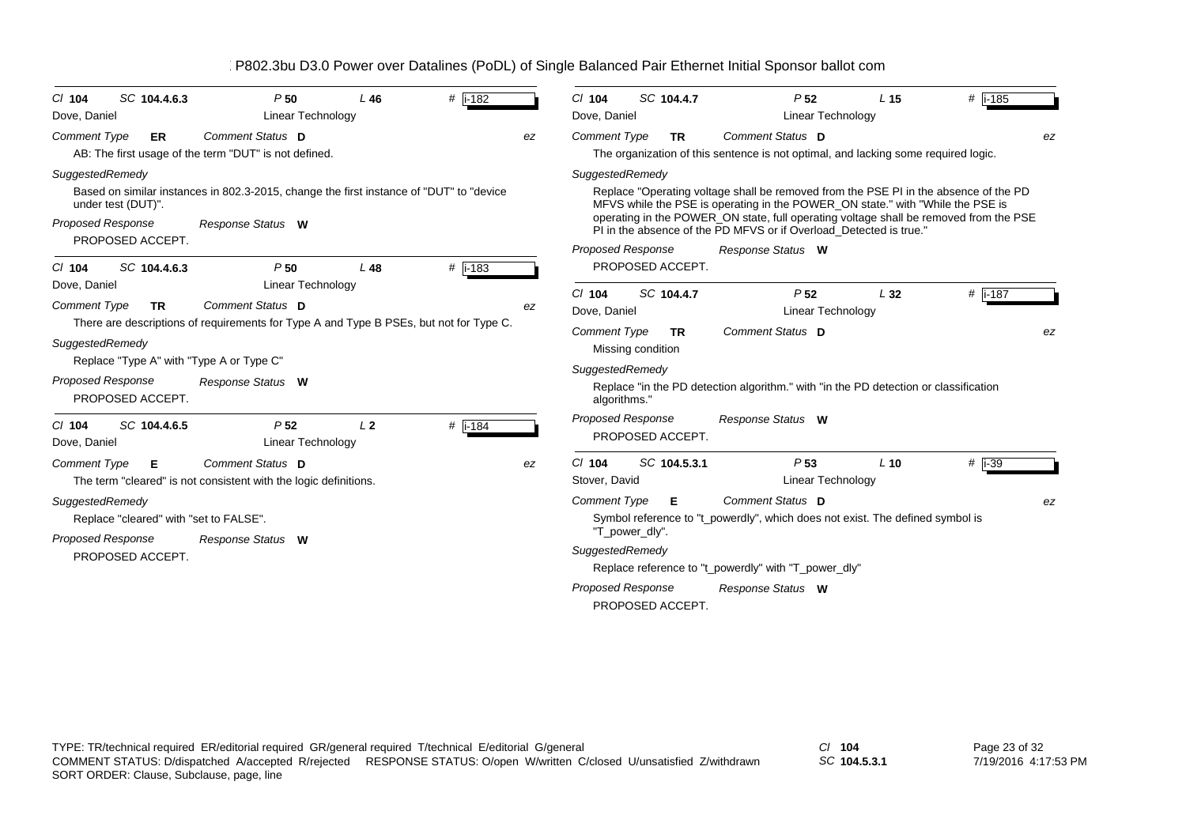| B802.3bu D3.0 Power over Datalines (PoDL) of Single Balanced Pair Ethernet Initial Sponsor ballot com |  |  |  |  |
|-------------------------------------------------------------------------------------------------------|--|--|--|--|
|                                                                                                       |  |  |  |  |

| SC 104.4.6.3<br>$Cl$ 104<br>Dove, Daniel                                                                    | P <sub>50</sub><br>Linear Technology                                                                         | $L$ 46         | # $\overline{1 - 182}$ |    | $CI$ 104<br>Dove, Daniel                                                             | SC 104.4.7                     | P <sub>52</sub><br>Linear Technology                                                                                                                                                                                                                                                                                                                       | L <sub>15</sub> | $#$ i-185   |
|-------------------------------------------------------------------------------------------------------------|--------------------------------------------------------------------------------------------------------------|----------------|------------------------|----|--------------------------------------------------------------------------------------|--------------------------------|------------------------------------------------------------------------------------------------------------------------------------------------------------------------------------------------------------------------------------------------------------------------------------------------------------------------------------------------------------|-----------------|-------------|
| <b>Comment Type</b><br>ER                                                                                   | Comment Status D<br>AB: The first usage of the term "DUT" is not defined.                                    |                |                        | ez | <b>Comment Type</b>                                                                  | <b>TR</b>                      | Comment Status D<br>The organization of this sentence is not optimal, and lacking some required logic.                                                                                                                                                                                                                                                     |                 | ez          |
| SuggestedRemedy<br>under test (DUT)".<br><b>Proposed Response</b><br>PROPOSED ACCEPT.                       | Based on similar instances in 802.3-2015, change the first instance of "DUT" to "device<br>Response Status W |                |                        |    | SuggestedRemedy<br><b>Proposed Response</b>                                          |                                | Replace "Operating voltage shall be removed from the PSE PI in the absence of the PD<br>MFVS while the PSE is operating in the POWER_ON state." with "While the PSE is<br>operating in the POWER_ON state, full operating voltage shall be removed from the PSE<br>PI in the absence of the PD MFVS or if Overload Detected is true."<br>Response Status W |                 |             |
| SC 104.4.6.3<br>$Cl$ 104<br>Dove, Daniel<br><b>Comment Type</b><br><b>TR</b>                                | P <sub>50</sub><br><b>Linear Technology</b><br>Comment Status D                                              | L48            | $#$ i-183              | ez | $CI$ 104<br>Dove, Daniel                                                             | PROPOSED ACCEPT.<br>SC 104.4.7 | P <sub>52</sub><br>Linear Technology                                                                                                                                                                                                                                                                                                                       | L32             | # $i - 187$ |
| SuggestedRemedy<br>Replace "Type A" with "Type A or Type C"<br><b>Proposed Response</b><br>PROPOSED ACCEPT. | There are descriptions of requirements for Type A and Type B PSEs, but not for Type C.<br>Response Status W  |                |                        |    | <b>Comment Type</b><br>Missing condition<br>SuggestedRemedy<br>algorithms."          | <b>TR</b>                      | <b>Comment Status D</b><br>Replace "in the PD detection algorithm." with "in the PD detection or classification                                                                                                                                                                                                                                            |                 | ez          |
| SC 104.4.6.5<br>$Cl$ 104<br>Dove, Daniel                                                                    | P <sub>52</sub><br>Linear Technology                                                                         | L <sub>2</sub> | $#$ i-184              |    | <b>Proposed Response</b>                                                             | PROPOSED ACCEPT.               | Response Status W                                                                                                                                                                                                                                                                                                                                          |                 |             |
| <b>Comment Type</b><br>Е                                                                                    | Comment Status D<br>The term "cleared" is not consistent with the logic definitions.                         |                |                        | ez | $Cl$ 104<br>Stover, David                                                            | SC 104.5.3.1                   | P <sub>53</sub><br><b>Linear Technology</b>                                                                                                                                                                                                                                                                                                                | $L$ 10          | $#$ i-39    |
| SuggestedRemedy<br>Replace "cleared" with "set to FALSE".<br><b>Proposed Response</b><br>PROPOSED ACCEPT.   | Response Status W                                                                                            |                |                        |    | <b>Comment Type</b><br>"T power dly".<br>SuggestedRemedy<br><b>Proposed Response</b> | Е<br>PROPOSED ACCEPT.          | Comment Status D<br>Symbol reference to "t_powerdly", which does not exist. The defined symbol is<br>Replace reference to "t_powerdly" with "T_power_dly"<br>Response Status W                                                                                                                                                                             |                 | ez          |

*SC* **104.5.3.1**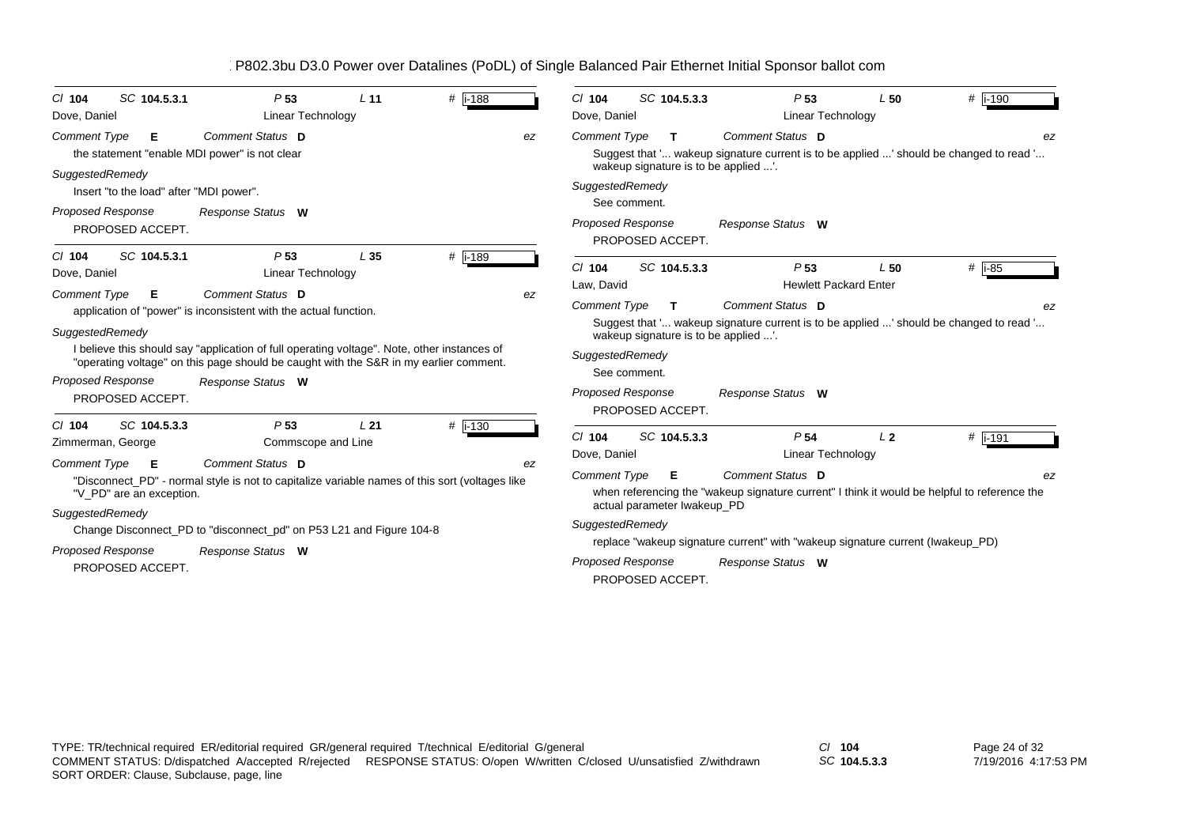| SC 104.5.3.1<br>$CI$ 104                                                                                                              | P <sub>53</sub>                                                                                                                                                                                                                                                                                                      | L <sub>11</sub> | # $i - 188$     | SC 104.5.3.3<br># i-190<br>P <sub>53</sub><br>L50<br>$CI$ 104                                                                                                                                                                                                                                                                                                                                                                                                            |
|---------------------------------------------------------------------------------------------------------------------------------------|----------------------------------------------------------------------------------------------------------------------------------------------------------------------------------------------------------------------------------------------------------------------------------------------------------------------|-----------------|-----------------|--------------------------------------------------------------------------------------------------------------------------------------------------------------------------------------------------------------------------------------------------------------------------------------------------------------------------------------------------------------------------------------------------------------------------------------------------------------------------|
| Dove, Daniel                                                                                                                          | <b>Linear Technology</b>                                                                                                                                                                                                                                                                                             |                 |                 | <b>Linear Technology</b><br>Dove, Daniel                                                                                                                                                                                                                                                                                                                                                                                                                                 |
| <b>Comment Type</b><br>Е<br>the statement "enable MDI power" is not clear                                                             | Comment Status D                                                                                                                                                                                                                                                                                                     |                 | ez              | Comment Status D<br><b>Comment Type</b><br>T.<br>Suggest that ' wakeup signature current is to be applied ' should be changed to read '                                                                                                                                                                                                                                                                                                                                  |
| SuggestedRemedy<br>Insert "to the load" after "MDI power".<br>Proposed Response<br>PROPOSED ACCEPT.                                   | Response Status W                                                                                                                                                                                                                                                                                                    |                 |                 | wakeup signature is to be applied '.<br>SuggestedRemedy<br>See comment.<br><b>Proposed Response</b><br>Response Status W<br>PROPOSED ACCEPT.                                                                                                                                                                                                                                                                                                                             |
| SC 104.5.3.1<br>$CI$ 104<br>Dove, Daniel                                                                                              | P <sub>53</sub><br><b>Linear Technology</b>                                                                                                                                                                                                                                                                          | L35             | # i-189         | $Cl$ 104<br>SC 104.5.3.3<br>P <sub>53</sub><br># $\vert$ i-85<br>L50<br><b>Hewlett Packard Enter</b><br>Law, David                                                                                                                                                                                                                                                                                                                                                       |
| <b>Comment Type</b><br>E<br>SuggestedRemedy<br><b>Proposed Response</b><br>PROPOSED ACCEPT.<br>SC 104.5.3.3<br>$Cl$ 104               | Comment Status D<br>application of "power" is inconsistent with the actual function.<br>I believe this should say "application of full operating voltage". Note, other instances of<br>"operating voltage" on this page should be caught with the S&R in my earlier comment.<br>Response Status W<br>P <sub>53</sub> | L <sub>21</sub> | ez              | <b>Comment Type</b><br><b>Comment Status D</b><br>T.<br>ez<br>Suggest that ' wakeup signature current is to be applied ' should be changed to read '<br>wakeup signature is to be applied '.<br>SuggestedRemedy<br>See comment.<br><b>Proposed Response</b><br>Response Status W<br>PROPOSED ACCEPT.                                                                                                                                                                     |
| Zimmerman, George<br><b>Comment Type</b><br>E<br>"V PD" are an exception.<br>SuggestedRemedy<br>Proposed Response<br>PROPOSED ACCEPT. | Commscope and Line<br>Comment Status D<br>"Disconnect_PD" - normal style is not to capitalize variable names of this sort (voltages like<br>Change Disconnect_PD to "disconnect_pd" on P53 L21 and Figure 104-8<br>Response Status W                                                                                 |                 | $#$ i-130<br>ez | SC 104.5.3.3<br>P <sub>54</sub><br>L <sub>2</sub><br>$Cl$ 104<br>$#$ i-191<br>Dove, Daniel<br>Linear Technology<br>Comment Status D<br><b>Comment Type</b><br>Е<br>when referencing the "wakeup signature current" I think it would be helpful to reference the<br>actual parameter Iwakeup PD<br>SuggestedRemedy<br>replace "wakeup signature current" with "wakeup signature current (Iwakeup_PD)<br><b>Proposed Response</b><br>Response Status W<br>PROPOSED ACCEPT. |

*SC* **104.5.3.3**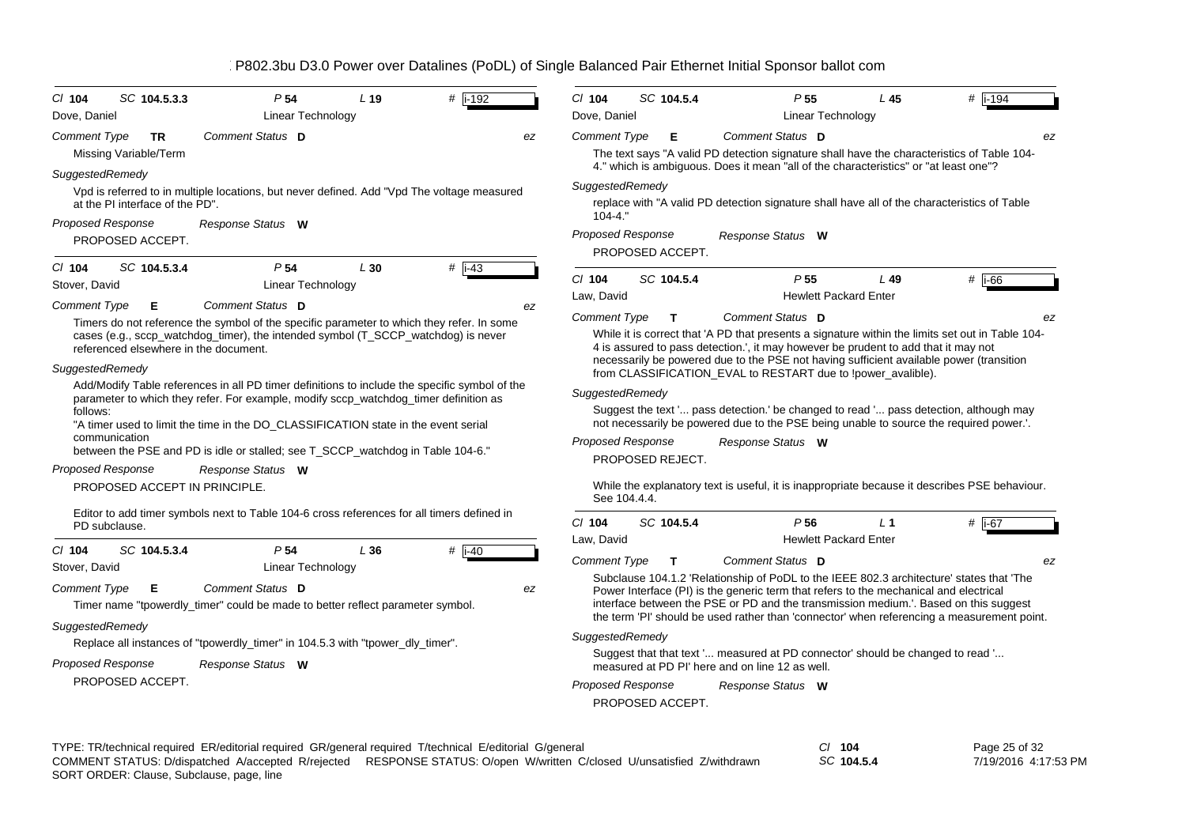| $Cl$ 104<br>SC 104.5.3.3<br>Dove, Daniel                                                                                                                                                                                                                                                                                                                                                                       | P <sub>54</sub><br>Linear Technology                                                                                                                                                                                                                     | L <sub>19</sub>                                                                                                                                                                                                                                                                                                                   | $#$ i-192           |    | $Cl$ 104<br>Dove, Daniel                                    | SC 104.5.4                     |                                                 | P <sub>55</sub><br>Linear Technology            | L45                                                                                                                                                                     | # $\sqrt{1-194}$                                                                                                                                                                                                                                                                     |
|----------------------------------------------------------------------------------------------------------------------------------------------------------------------------------------------------------------------------------------------------------------------------------------------------------------------------------------------------------------------------------------------------------------|----------------------------------------------------------------------------------------------------------------------------------------------------------------------------------------------------------------------------------------------------------|-----------------------------------------------------------------------------------------------------------------------------------------------------------------------------------------------------------------------------------------------------------------------------------------------------------------------------------|---------------------|----|-------------------------------------------------------------|--------------------------------|-------------------------------------------------|-------------------------------------------------|-------------------------------------------------------------------------------------------------------------------------------------------------------------------------|--------------------------------------------------------------------------------------------------------------------------------------------------------------------------------------------------------------------------------------------------------------------------------------|
| <b>Comment Type</b><br>TR<br>Missing Variable/Term                                                                                                                                                                                                                                                                                                                                                             | Comment Status D                                                                                                                                                                                                                                         |                                                                                                                                                                                                                                                                                                                                   |                     | ez | Comment Type                                                | Е                              |                                                 | Comment Status D                                | 4." which is ambiguous. Does it mean "all of the characteristics" or "at least one"?                                                                                    | ez<br>The text says "A valid PD detection signature shall have the characteristics of Table 104-                                                                                                                                                                                     |
| SuggestedRemedy<br>at the PI interface of the PD".<br><b>Proposed Response</b><br>PROPOSED ACCEPT.                                                                                                                                                                                                                                                                                                             | Vpd is referred to in multiple locations, but never defined. Add "Vpd The voltage measured<br>Response Status W                                                                                                                                          |                                                                                                                                                                                                                                                                                                                                   |                     |    | SuggestedRemedy<br>$104 - 4.$ "<br><b>Proposed Response</b> |                                |                                                 | Response Status W                               |                                                                                                                                                                         | replace with "A valid PD detection signature shall have all of the characteristics of Table                                                                                                                                                                                          |
| SC 104.5.3.4<br>$CI$ 104<br>Stover, David<br><b>Comment Type</b><br>Е                                                                                                                                                                                                                                                                                                                                          | P <sub>54</sub><br><b>Linear Technology</b><br>Comment Status D                                                                                                                                                                                          | L30                                                                                                                                                                                                                                                                                                                               | $#$ i-43            | ez | $Cl$ 104<br>Law, David                                      | PROPOSED ACCEPT.<br>SC 104.5.4 |                                                 | P <sub>55</sub><br><b>Hewlett Packard Enter</b> | $L$ 49                                                                                                                                                                  | # $\overline{1-66}$                                                                                                                                                                                                                                                                  |
| Timers do not reference the symbol of the specific parameter to which they refer. In some<br>cases (e.g., sccp watchdog timer), the intended symbol (T SCCP watchdog) is never<br>referenced elsewhere in the document.                                                                                                                                                                                        |                                                                                                                                                                                                                                                          | Comment Status D<br><b>Comment Type</b><br>т<br>While it is correct that 'A PD that presents a signature within the limits set out in Table 104-<br>4 is assured to pass detection.', it may however be prudent to add that it may not<br>necessarily be powered due to the PSE not having sufficient available power (transition |                     |    |                                                             |                                |                                                 |                                                 |                                                                                                                                                                         |                                                                                                                                                                                                                                                                                      |
| SuggestedRemedy<br>Add/Modify Table references in all PD timer definitions to include the specific symbol of the<br>parameter to which they refer. For example, modify sccp_watchdog_timer definition as<br>follows:<br>"A timer used to limit the time in the DO_CLASSIFICATION state in the event serial<br>communication<br>between the PSE and PD is idle or stalled; see T_SCCP_watchdog in Table 104-6." |                                                                                                                                                                                                                                                          |                                                                                                                                                                                                                                                                                                                                   |                     |    | SuggestedRemedy<br><b>Proposed Response</b>                 |                                |                                                 | Response Status W                               | from CLASSIFICATION_EVAL to RESTART due to !power_avalible).                                                                                                            | Suggest the text ' pass detection.' be changed to read ' pass detection, although may<br>not necessarily be powered due to the PSE being unable to source the required power.'.                                                                                                      |
| <b>Proposed Response</b><br>PROPOSED ACCEPT IN PRINCIPLE.                                                                                                                                                                                                                                                                                                                                                      | Response Status W<br>Editor to add timer symbols next to Table 104-6 cross references for all timers defined in                                                                                                                                          |                                                                                                                                                                                                                                                                                                                                   |                     |    | See 104.4.4.                                                | PROPOSED REJECT.               |                                                 |                                                 |                                                                                                                                                                         | While the explanatory text is useful, it is inappropriate because it describes PSE behaviour.                                                                                                                                                                                        |
| PD subclause.                                                                                                                                                                                                                                                                                                                                                                                                  |                                                                                                                                                                                                                                                          |                                                                                                                                                                                                                                                                                                                                   |                     |    | $Cl$ 104<br>Law, David                                      | SC 104.5.4                     |                                                 | P <sub>56</sub><br><b>Hewlett Packard Enter</b> | $L_1$                                                                                                                                                                   | #  i-67                                                                                                                                                                                                                                                                              |
| SC 104.5.3.4<br>$CI$ 104<br>Stover, David<br><b>Comment Type</b><br>Е<br>SuggestedRemedy<br><b>Proposed Response</b><br>PROPOSED ACCEPT.                                                                                                                                                                                                                                                                       | P <sub>54</sub><br><b>Linear Technology</b><br>Comment Status D<br>Timer name "tpowerdly_timer" could be made to better reflect parameter symbol.<br>Replace all instances of "tpowerdly_timer" in 104.5.3 with "tpower_dly_timer".<br>Response Status W | L36                                                                                                                                                                                                                                                                                                                               | # $\overline{1-40}$ | ez | Comment Type<br>SuggestedRemedy<br><b>Proposed Response</b> | т<br>PROPOSED ACCEPT.          | measured at PD PI' here and on line 12 as well. | Comment Status D<br>Response Status W           | Power Interface (PI) is the generic term that refers to the mechanical and electrical<br>Suggest that that text ' measured at PD connector' should be changed to read ' | ez<br>Subclause 104.1.2 'Relationship of PoDL to the IEEE 802.3 architecture' states that 'The<br>interface between the PSE or PD and the transmission medium.'. Based on this suggest<br>the term 'PI' should be used rather than 'connector' when referencing a measurement point. |

| TYPE: TR/technical required ER/editorial required GR/general required T/technical E/editorial G/general |                                                                                                                         | $CI$ 104   | Page 25 of 32        |
|---------------------------------------------------------------------------------------------------------|-------------------------------------------------------------------------------------------------------------------------|------------|----------------------|
|                                                                                                         | COMMENT STATUS: D/dispatched A/accepted R/rejected RESPONSE STATUS: O/open W/written C/closed U/unsatisfied Z/withdrawn | SC 104.5.4 | 7/19/2016 4:17:53 PM |
| SORT ORDER: Clause, Subclause, page, line                                                               |                                                                                                                         |            |                      |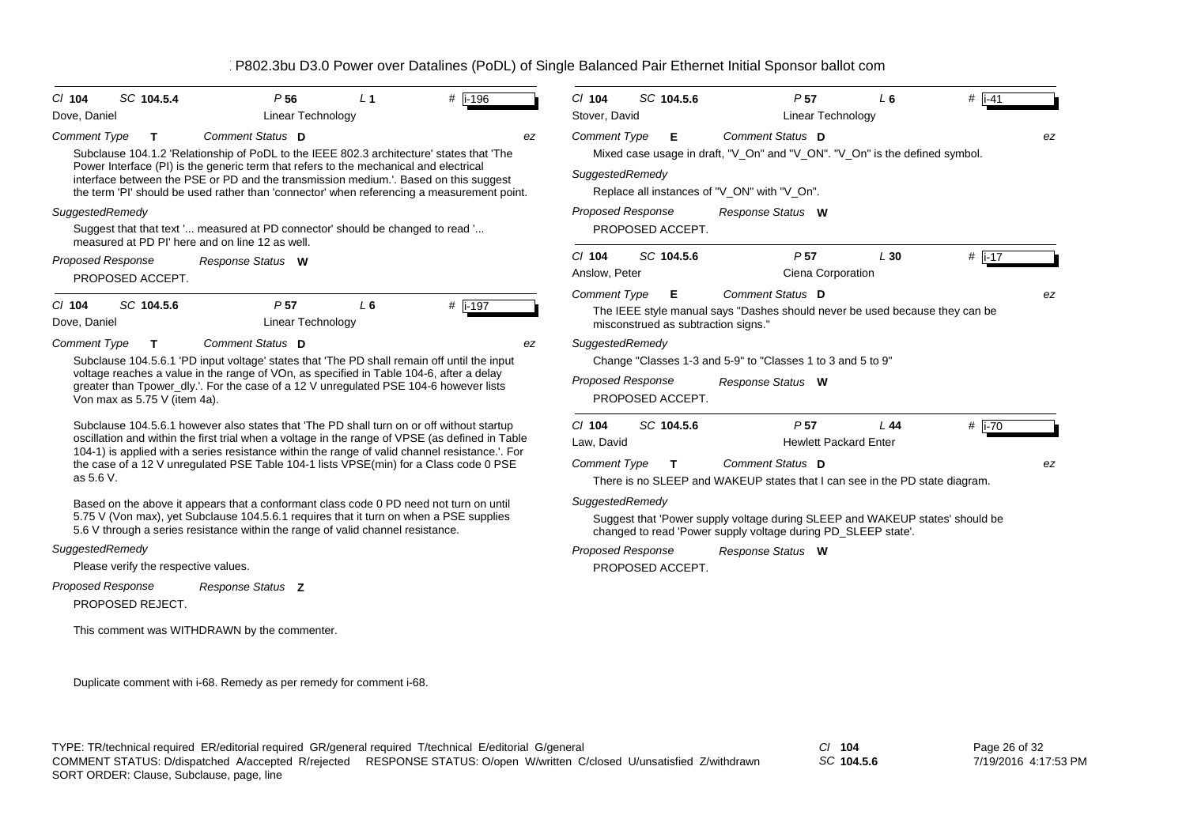| SC 104.5.4<br>$CI$ 104<br>Dove, Daniel                                                                                                                                                                                                                                                                                                                          | P <sub>56</sub><br><b>Linear Technology</b>                                                                                                                                                                                                                                                                                                                                             | L <sub>1</sub>                              | $#$ i-196        | $CI$ 104<br>Stover, David                                                        | SC 104.5.6                               | P <sub>57</sub><br><b>Linear Technology</b>                                                                                                     | L6                                  | # $\overline{1}$ -41 |    |
|-----------------------------------------------------------------------------------------------------------------------------------------------------------------------------------------------------------------------------------------------------------------------------------------------------------------------------------------------------------------|-----------------------------------------------------------------------------------------------------------------------------------------------------------------------------------------------------------------------------------------------------------------------------------------------------------------------------------------------------------------------------------------|---------------------------------------------|------------------|----------------------------------------------------------------------------------|------------------------------------------|-------------------------------------------------------------------------------------------------------------------------------------------------|-------------------------------------|----------------------|----|
| <b>Comment Type</b><br>$\mathbf{T}$<br>interface between the PSE or PD and the transmission medium.'. Based on this suggest<br>the term 'PI' should be used rather than 'connector' when referencing a measurement point.                                                                                                                                       | Comment Status D<br>Subclause 104.1.2 'Relationship of PoDL to the IEEE 802.3 architecture' states that 'The<br>Power Interface (PI) is the generic term that refers to the mechanical and electrical                                                                                                                                                                                   |                                             | ez               | <b>Comment Type</b><br>SuggestedRemedy                                           | Е                                        | Comment Status D<br>Mixed case usage in draft, "V_On" and "V_ON". "V_On" is the defined symbol.<br>Replace all instances of "V_ON" with "V_On". |                                     |                      | ez |
| SuggestedRemedy<br>measured at PD PI' here and on line 12 as well.                                                                                                                                                                                                                                                                                              | Suggest that that text ' measured at PD connector' should be changed to read '                                                                                                                                                                                                                                                                                                          |                                             |                  | <b>Proposed Response</b>                                                         | PROPOSED ACCEPT.                         | Response Status W                                                                                                                               |                                     |                      |    |
| <b>Proposed Response</b><br>PROPOSED ACCEPT.                                                                                                                                                                                                                                                                                                                    | Response Status W                                                                                                                                                                                                                                                                                                                                                                       |                                             |                  | $Cl$ 104<br>Anslow, Peter                                                        | SC 104.5.6                               | P <sub>57</sub><br>Ciena Corporation                                                                                                            | L30                                 | $#$ i-17             |    |
| $Cl$ 104<br>SC 104.5.6<br>Dove, Daniel                                                                                                                                                                                                                                                                                                                          | P <sub>57</sub><br>Linear Technology                                                                                                                                                                                                                                                                                                                                                    | $L_6$                                       | $#$ i-197        | <b>Comment Type</b>                                                              | Е<br>misconstrued as subtraction signs." | Comment Status D<br>The IEEE style manual says "Dashes should never be used because they can be                                                 |                                     |                      | ez |
| Comment Status D<br><b>Comment Type</b><br>T<br>Subclause 104.5.6.1 'PD input voltage' states that 'The PD shall remain off until the input<br>voltage reaches a value in the range of VOn, as specified in Table 104-6, after a delay<br>greater than Tpower_dly.'. For the case of a 12 V unregulated PSE 104-6 however lists<br>Von max as 5.75 V (item 4a). | ez                                                                                                                                                                                                                                                                                                                                                                                      | SuggestedRemedy<br><b>Proposed Response</b> | PROPOSED ACCEPT. | Change "Classes 1-3 and 5-9" to "Classes 1 to 3 and 5 to 9"<br>Response Status W |                                          |                                                                                                                                                 |                                     |                      |    |
| as 5.6 V.                                                                                                                                                                                                                                                                                                                                                       | Subclause 104.5.6.1 however also states that 'The PD shall turn on or off without startup<br>oscillation and within the first trial when a voltage in the range of VPSE (as defined in Table<br>104-1) is applied with a series resistance within the range of valid channel resistance.'. For<br>the case of a 12 V unregulated PSE Table 104-1 lists VPSE(min) for a Class code 0 PSE |                                             |                  | $Cl$ 104<br>Law. David<br><b>Comment Type</b>                                    | SC 104.5.6<br>$\mathbf{T}$               | P <sub>57</sub><br>Comment Status D<br>There is no SLEEP and WAKEUP states that I can see in the PD state diagram.                              | L44<br><b>Hewlett Packard Enter</b> | # i-70               | ez |
| 5.6 V through a series resistance within the range of valid channel resistance.                                                                                                                                                                                                                                                                                 | Based on the above it appears that a conformant class code 0 PD need not turn on until<br>5.75 V (Von max), yet Subclause 104.5.6.1 requires that it turn on when a PSE supplies                                                                                                                                                                                                        |                                             |                  | SuggestedRemedy                                                                  |                                          | Suggest that 'Power supply voltage during SLEEP and WAKEUP states' should be<br>changed to read 'Power supply voltage during PD_SLEEP state'.   |                                     |                      |    |
| SuggestedRemedy<br>Please verify the respective values.                                                                                                                                                                                                                                                                                                         |                                                                                                                                                                                                                                                                                                                                                                                         |                                             |                  | <b>Proposed Response</b>                                                         | PROPOSED ACCEPT.                         | Response Status W                                                                                                                               |                                     |                      |    |
| Proposed Response<br>PROPOSED REJECT.                                                                                                                                                                                                                                                                                                                           | Response Status Z                                                                                                                                                                                                                                                                                                                                                                       |                                             |                  |                                                                                  |                                          |                                                                                                                                                 |                                     |                      |    |
|                                                                                                                                                                                                                                                                                                                                                                 | This comment was WITHDRAWN by the commenter.                                                                                                                                                                                                                                                                                                                                            |                                             |                  |                                                                                  |                                          |                                                                                                                                                 |                                     |                      |    |
|                                                                                                                                                                                                                                                                                                                                                                 | Duplicate comment with i-68. Remedy as per remedy for comment i-68.                                                                                                                                                                                                                                                                                                                     |                                             |                  |                                                                                  |                                          |                                                                                                                                                 |                                     |                      |    |

*SC* **104.5.6**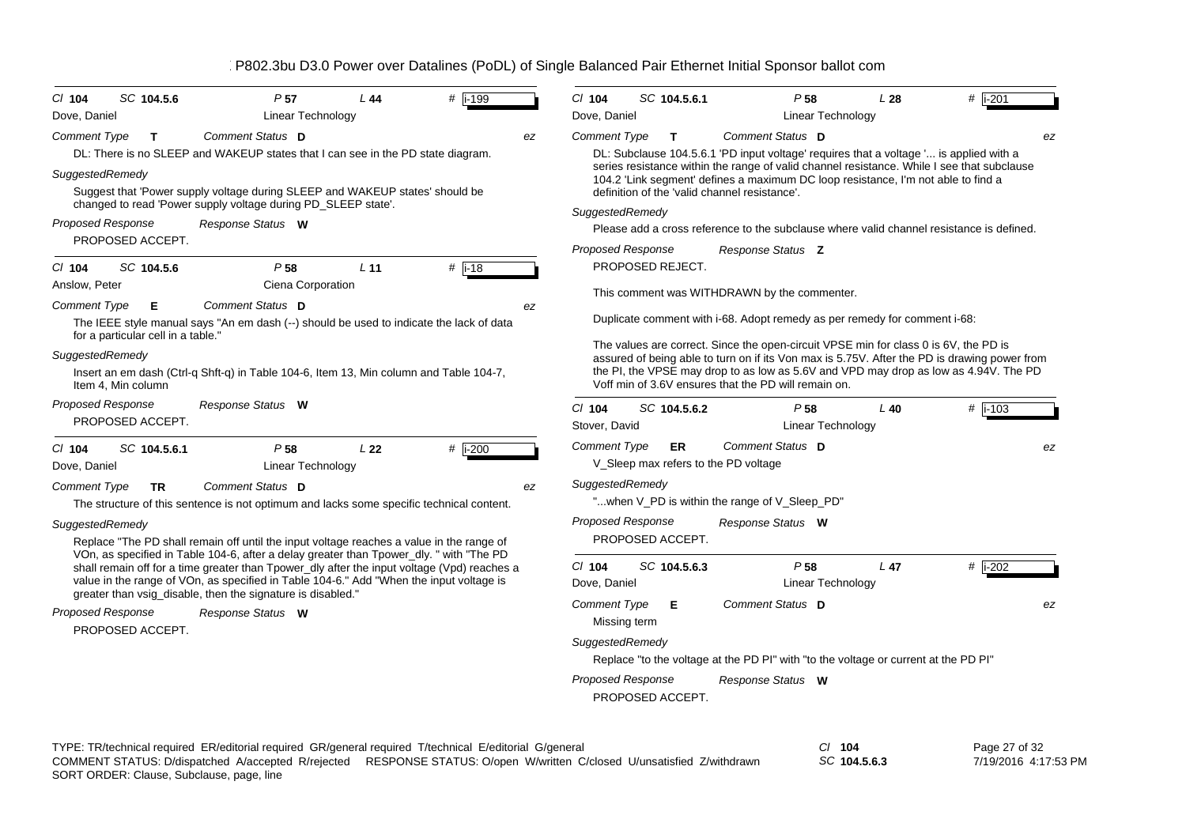| B802.3bu D3.0 Power over Datalines (PoDL) of Single Balanced Pair Ethernet Initial Sponsor ballot com |  |  |  |  |
|-------------------------------------------------------------------------------------------------------|--|--|--|--|
|                                                                                                       |  |  |  |  |

| $Cl$ 104<br>SC 104.5.6              | P <sub>57</sub>                                                                                                                                                                        | L44             | # i-199             |                                                                                                             | $CI$ 104                                                                  | SC 104.5.6.1                                  |  | P <sub>58</sub>                                      | L28                                                                                  | $#$ i-201                                                                                    |    |
|-------------------------------------|----------------------------------------------------------------------------------------------------------------------------------------------------------------------------------------|-----------------|---------------------|-------------------------------------------------------------------------------------------------------------|---------------------------------------------------------------------------|-----------------------------------------------|--|------------------------------------------------------|--------------------------------------------------------------------------------------|----------------------------------------------------------------------------------------------|----|
| Dove, Daniel                        | Linear Technology                                                                                                                                                                      |                 |                     |                                                                                                             | Dove, Daniel                                                              |                                               |  | Linear Technology                                    |                                                                                      |                                                                                              |    |
| <b>Comment Type</b><br>$\mathbf{T}$ | Comment Status D                                                                                                                                                                       |                 |                     | ez                                                                                                          | <b>Comment Type</b>                                                       | $\mathbf{T}$                                  |  | Comment Status D                                     |                                                                                      |                                                                                              | ez |
|                                     | DL: There is no SLEEP and WAKEUP states that I can see in the PD state diagram.                                                                                                        |                 |                     |                                                                                                             |                                                                           |                                               |  |                                                      |                                                                                      | DL: Subclause 104.5.6.1 'PD input voltage' requires that a voltage ' is applied with a       |    |
| SuggestedRemedy                     | Suggest that 'Power supply voltage during SLEEP and WAKEUP states' should be                                                                                                           |                 |                     |                                                                                                             |                                                                           | definition of the 'valid channel resistance'. |  |                                                      | 104.2 'Link segment' defines a maximum DC loop resistance, I'm not able to find a    | series resistance within the range of valid channel resistance. While I see that subclause   |    |
|                                     | changed to read 'Power supply voltage during PD_SLEEP state'.                                                                                                                          |                 |                     |                                                                                                             |                                                                           |                                               |  |                                                      |                                                                                      |                                                                                              |    |
| Proposed Response                   | Response Status W                                                                                                                                                                      |                 |                     | SuggestedRemedy<br>Please add a cross reference to the subclause where valid channel resistance is defined. |                                                                           |                                               |  |                                                      |                                                                                      |                                                                                              |    |
| PROPOSED ACCEPT.                    |                                                                                                                                                                                        |                 |                     |                                                                                                             |                                                                           |                                               |  |                                                      |                                                                                      |                                                                                              |    |
|                                     |                                                                                                                                                                                        |                 |                     |                                                                                                             | <b>Proposed Response</b>                                                  |                                               |  | Response Status Z                                    |                                                                                      |                                                                                              |    |
| $CI$ 104<br>SC 104.5.6              | P <sub>58</sub>                                                                                                                                                                        | L <sub>11</sub> | # $\overline{1-18}$ |                                                                                                             |                                                                           | PROPOSED REJECT.                              |  |                                                      |                                                                                      |                                                                                              |    |
| Anslow, Peter                       | Ciena Corporation                                                                                                                                                                      |                 |                     |                                                                                                             |                                                                           |                                               |  | This comment was WITHDRAWN by the commenter.         |                                                                                      |                                                                                              |    |
| <b>Comment Type</b><br>Е            | Comment Status D<br>The IEEE style manual says "An em dash (--) should be used to indicate the lack of data                                                                            |                 |                     | ez                                                                                                          | Duplicate comment with i-68. Adopt remedy as per remedy for comment i-68: |                                               |  |                                                      |                                                                                      |                                                                                              |    |
| for a particular cell in a table."  |                                                                                                                                                                                        |                 |                     |                                                                                                             |                                                                           |                                               |  |                                                      | The values are correct. Since the open-circuit VPSE min for class 0 is 6V, the PD is |                                                                                              |    |
| SuggestedRemedy                     |                                                                                                                                                                                        |                 |                     |                                                                                                             |                                                                           |                                               |  |                                                      |                                                                                      | assured of being able to turn on if its Von max is 5.75V. After the PD is drawing power from |    |
| Item 4, Min column                  | Insert an em dash (Ctrl-q Shft-q) in Table 104-6, Item 13, Min column and Table 104-7,                                                                                                 |                 |                     |                                                                                                             |                                                                           |                                               |  | Voff min of 3.6V ensures that the PD will remain on. |                                                                                      | the PI, the VPSE may drop to as low as 5.6V and VPD may drop as low as 4.94V. The PD         |    |
| <b>Proposed Response</b>            | Response Status W                                                                                                                                                                      |                 |                     |                                                                                                             | $Cl$ 104                                                                  | SC 104.5.6.2                                  |  | P <sub>58</sub>                                      | $L$ 40                                                                               | $#$ i-103                                                                                    |    |
| PROPOSED ACCEPT.                    |                                                                                                                                                                                        |                 |                     |                                                                                                             | Stover, David                                                             |                                               |  | Linear Technology                                    |                                                                                      |                                                                                              |    |
| SC 104.5.6.1<br>$CI$ 104            | P <sub>58</sub>                                                                                                                                                                        | L <sub>22</sub> | $#$ i-200           |                                                                                                             | <b>Comment Type</b>                                                       | <b>ER</b>                                     |  | Comment Status D                                     |                                                                                      |                                                                                              | ez |
| Dove, Daniel                        | Linear Technology                                                                                                                                                                      |                 |                     |                                                                                                             |                                                                           | V_Sleep max refers to the PD voltage          |  |                                                      |                                                                                      |                                                                                              |    |
| Comment Type<br>TR                  | Comment Status D                                                                                                                                                                       |                 |                     | ez                                                                                                          | SuggestedRemedy                                                           |                                               |  |                                                      |                                                                                      |                                                                                              |    |
|                                     | The structure of this sentence is not optimum and lacks some specific technical content.                                                                                               |                 |                     |                                                                                                             |                                                                           |                                               |  | "when V PD is within the range of V Sleep PD"        |                                                                                      |                                                                                              |    |
| SuggestedRemedy                     |                                                                                                                                                                                        |                 |                     |                                                                                                             | <b>Proposed Response</b>                                                  |                                               |  | Response Status W                                    |                                                                                      |                                                                                              |    |
|                                     | Replace "The PD shall remain off until the input voltage reaches a value in the range of                                                                                               |                 |                     |                                                                                                             |                                                                           | PROPOSED ACCEPT.                              |  |                                                      |                                                                                      |                                                                                              |    |
|                                     | VOn, as specified in Table 104-6, after a delay greater than Tpower_dly. " with "The PD                                                                                                |                 |                     |                                                                                                             |                                                                           |                                               |  |                                                      |                                                                                      |                                                                                              |    |
|                                     | shall remain off for a time greater than Tpower dly after the input voltage (Vpd) reaches a<br>value in the range of VOn, as specified in Table 104-6." Add "When the input voltage is |                 |                     |                                                                                                             | $CI$ 104                                                                  | SC 104.5.6.3                                  |  | P <sub>58</sub>                                      | L <sub>47</sub>                                                                      | # $\overline{1-202}$                                                                         |    |
|                                     | greater than vsig_disable, then the signature is disabled."                                                                                                                            |                 |                     |                                                                                                             | Dove, Daniel                                                              |                                               |  | Linear Technology                                    |                                                                                      |                                                                                              |    |
| <b>Proposed Response</b>            | Response Status W                                                                                                                                                                      |                 |                     |                                                                                                             | Comment Status D<br><b>Comment Type</b><br>Е<br>Missing term              |                                               |  |                                                      |                                                                                      |                                                                                              | ez |
| PROPOSED ACCEPT.                    |                                                                                                                                                                                        |                 |                     |                                                                                                             | SuggestedRemedy                                                           |                                               |  |                                                      |                                                                                      |                                                                                              |    |
|                                     |                                                                                                                                                                                        |                 |                     |                                                                                                             |                                                                           |                                               |  |                                                      | Replace "to the voltage at the PD PI" with "to the voltage or current at the PD PI"  |                                                                                              |    |
|                                     |                                                                                                                                                                                        |                 |                     |                                                                                                             | <b>Proposed Response</b>                                                  |                                               |  | Response Status W                                    |                                                                                      |                                                                                              |    |
|                                     |                                                                                                                                                                                        |                 |                     |                                                                                                             |                                                                           | PROPOSED ACCEPT.                              |  |                                                      |                                                                                      |                                                                                              |    |

*SC* **104.5.6.3**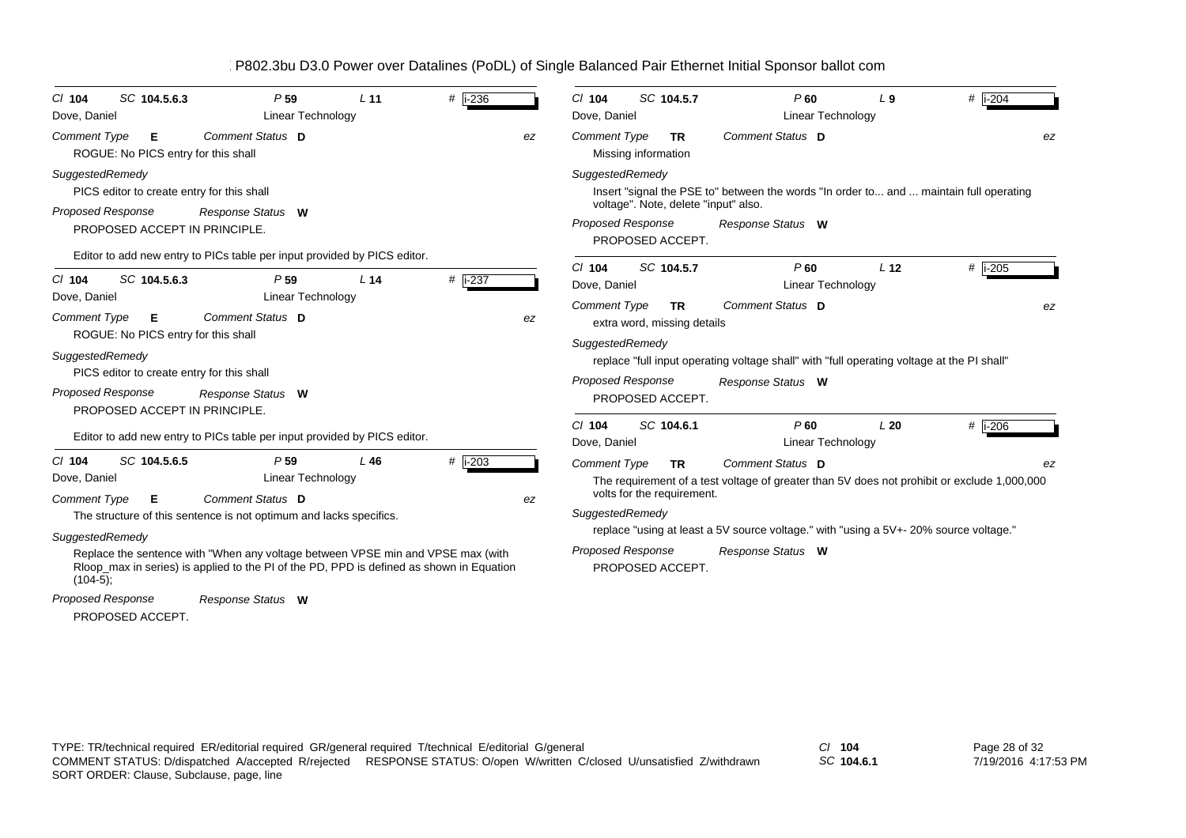| SC 104.5.6.3<br>$Cl$ 104<br>Dove, Daniel                                                                                   | P <sub>59</sub><br>Linear Technology                                                                                                                                        | L 11            | #   i-236 |    | SC 104.5.7<br>$Cl$ 104<br>Dove, Daniel                                                                  | P60<br>Linear Technology                                                                                        | L9                                                              | # $ i - 204$                                                                                                    |  |  |  |
|----------------------------------------------------------------------------------------------------------------------------|-----------------------------------------------------------------------------------------------------------------------------------------------------------------------------|-----------------|-----------|----|---------------------------------------------------------------------------------------------------------|-----------------------------------------------------------------------------------------------------------------|-----------------------------------------------------------------|-----------------------------------------------------------------------------------------------------------------|--|--|--|
| <b>Comment Type</b><br>Е.<br>ROGUE: No PICS entry for this shall                                                           | Comment Status D                                                                                                                                                            |                 |           | ez | <b>Comment Type</b><br>TR.<br>Missing information                                                       | Comment Status D                                                                                                |                                                                 | ez                                                                                                              |  |  |  |
| SuggestedRemedy<br>PICS editor to create entry for this shall<br><b>Proposed Response</b><br>PROPOSED ACCEPT IN PRINCIPLE. | Response Status W<br>Editor to add new entry to PICs table per input provided by PICS editor.                                                                               |                 |           |    | SuggestedRemedy<br>voltage". Note, delete "input" also.<br><b>Proposed Response</b><br>PROPOSED ACCEPT. | Insert "signal the PSE to" between the words "In order to and  maintain full operating<br>Response Status W     |                                                                 |                                                                                                                 |  |  |  |
| SC 104.5.6.3<br>$Cl$ 104                                                                                                   | P <sub>59</sub>                                                                                                                                                             | L <sub>14</sub> | $#$ i-237 |    | SC 104.5.7<br>$CI$ 104                                                                                  | P60                                                                                                             | L <sub>12</sub>                                                 | #  i-205                                                                                                        |  |  |  |
| Dove, Daniel                                                                                                               | <b>Linear Technology</b>                                                                                                                                                    |                 |           |    | Dove, Daniel                                                                                            | Linear Technology                                                                                               |                                                                 |                                                                                                                 |  |  |  |
| <b>Comment Type</b><br>E<br>ROGUE: No PICS entry for this shall                                                            | Comment Status D                                                                                                                                                            |                 |           | ez | <b>Comment Type</b><br><b>TR</b><br>extra word, missing details                                         | Comment Status D                                                                                                |                                                                 | ez                                                                                                              |  |  |  |
| SuggestedRemedy<br>PICS editor to create entry for this shall<br>Proposed Response<br>PROPOSED ACCEPT IN PRINCIPLE.        | Response Status W                                                                                                                                                           |                 |           |    |                                                                                                         |                                                                                                                 | SuggestedRemedy<br><b>Proposed Response</b><br>PROPOSED ACCEPT. | replace "full input operating voltage shall" with "full operating voltage at the PI shall"<br>Response Status W |  |  |  |
|                                                                                                                            | Editor to add new entry to PICs table per input provided by PICS editor.                                                                                                    |                 |           |    | $Cl$ 104<br>SC 104.6.1<br>Dove, Daniel                                                                  | P60<br><b>Linear Technology</b>                                                                                 | L20                                                             | # $\overline{$ i-206                                                                                            |  |  |  |
| SC 104.5.6.5<br>$CI$ 104<br>Dove, Daniel<br><b>Comment Type</b><br>E.                                                      | P <sub>59</sub><br><b>Linear Technology</b><br>Comment Status D                                                                                                             | L46             | # i-203   | ez | <b>Comment Type</b><br><b>TR</b><br>volts for the requirement.                                          | Comment Status D<br>The requirement of a test voltage of greater than 5V does not prohibit or exclude 1,000,000 |                                                                 | ez                                                                                                              |  |  |  |
|                                                                                                                            | The structure of this sentence is not optimum and lacks specifics.                                                                                                          |                 |           |    | SuggestedRemedy                                                                                         |                                                                                                                 |                                                                 |                                                                                                                 |  |  |  |
| SuggestedRemedy                                                                                                            |                                                                                                                                                                             |                 |           |    | replace "using at least a 5V source voltage." with "using a 5V+-20% source voltage."                    |                                                                                                                 |                                                                 |                                                                                                                 |  |  |  |
| $(104-5);$                                                                                                                 | Replace the sentence with "When any voltage between VPSE min and VPSE max (with<br>Rloop_max in series) is applied to the PI of the PD, PPD is defined as shown in Equation |                 |           |    | Proposed Response<br>PROPOSED ACCEPT.                                                                   | Response Status W                                                                                               |                                                                 |                                                                                                                 |  |  |  |
| Proposed Response<br>PROPOSED ACCEPT.                                                                                      | Response Status W                                                                                                                                                           |                 |           |    |                                                                                                         |                                                                                                                 |                                                                 |                                                                                                                 |  |  |  |

*SC* **104.6.1**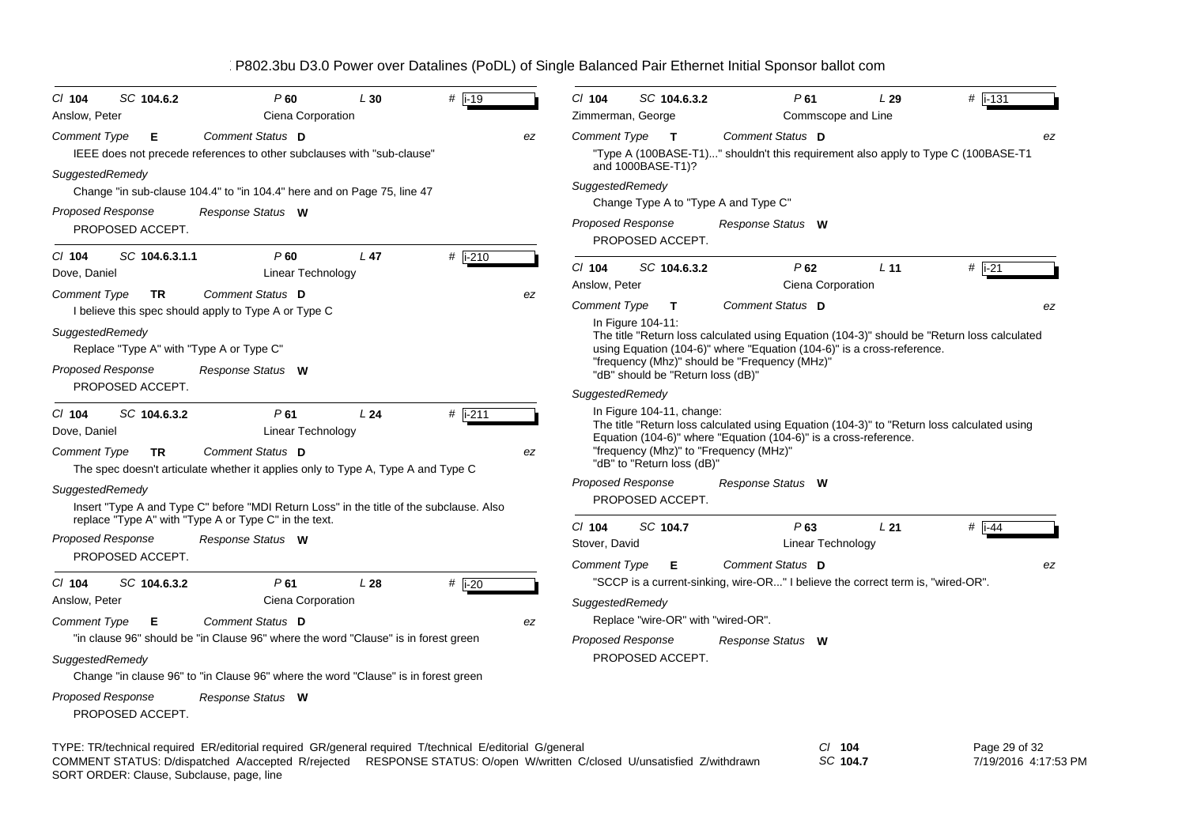| SC 104.6.2<br>CI 104<br>Anslow, Peter                                                                                                                                                                                              | P60<br>Ciena Corporation                                                                                                                                                                                                                    | L30             | # $\overline{1-19}$ |    | C/ 104<br>Zimmerman, George | SC 104.6.3.2                                           |  | P61                                                                                                                     | L29<br>Commscope and Line            | # $\sqrt{1.31}$                                                                             |
|------------------------------------------------------------------------------------------------------------------------------------------------------------------------------------------------------------------------------------|---------------------------------------------------------------------------------------------------------------------------------------------------------------------------------------------------------------------------------------------|-----------------|---------------------|----|-----------------------------|--------------------------------------------------------|--|-------------------------------------------------------------------------------------------------------------------------|--------------------------------------|---------------------------------------------------------------------------------------------|
| <b>Comment Type</b><br>Е                                                                                                                                                                                                           | Comment Status D<br>IEEE does not precede references to other subclauses with "sub-clause"                                                                                                                                                  |                 |                     | ez | Comment Type                | $\mathbf{T}$<br>and 1000BASE-T1)?                      |  | Comment Status D                                                                                                        |                                      | ez<br>"Type A (100BASE-T1)" shouldn't this requirement also apply to Type C (100BASE-T1     |
| SuggestedRemedy<br>Proposed Response                                                                                                                                                                                               | Change "in sub-clause 104.4" to "in 104.4" here and on Page 75, line 47<br>Response Status W                                                                                                                                                |                 |                     |    | SuggestedRemedy             |                                                        |  | Change Type A to "Type A and Type C"                                                                                    |                                      |                                                                                             |
| PROPOSED ACCEPT.                                                                                                                                                                                                                   |                                                                                                                                                                                                                                             |                 |                     |    | <b>Proposed Response</b>    | PROPOSED ACCEPT.                                       |  | Response Status W                                                                                                       |                                      |                                                                                             |
| $Cl$ 104<br>SC 104.6.3.1.1<br>Dove, Daniel                                                                                                                                                                                         | P60<br>Linear Technology                                                                                                                                                                                                                    | L <sub>47</sub> | $#$ i-210           |    | CI 104<br>Anslow, Peter     | SC 104.6.3.2                                           |  | P62                                                                                                                     | L <sub>11</sub><br>Ciena Corporation | # i-21                                                                                      |
| <b>Comment Type</b><br><b>TR</b><br>I believe this spec should apply to Type A or Type C                                                                                                                                           | Comment Status D                                                                                                                                                                                                                            |                 |                     | ez | <b>Comment Type</b>         | T                                                      |  | Comment Status D                                                                                                        |                                      | ez                                                                                          |
| SuggestedRemedy<br>Replace "Type A" with "Type A or Type C"<br>Proposed Response                                                                                                                                                   | Response Status W                                                                                                                                                                                                                           |                 |                     |    |                             | In Figure 104-11:<br>"dB" should be "Return loss (dB)" |  | using Equation (104-6)" where "Equation (104-6)" is a cross-reference.<br>"frequency (Mhz)" should be "Frequency (MHz)" |                                      | The title "Return loss calculated using Equation (104-3)" should be "Return loss calculated |
| PROPOSED ACCEPT.                                                                                                                                                                                                                   |                                                                                                                                                                                                                                             |                 |                     |    | SuggestedRemedy             |                                                        |  |                                                                                                                         |                                      |                                                                                             |
| $Cl$ 104<br>SC 104.6.3.2<br>Dove, Daniel<br><b>Comment Type</b><br>Comment Status D<br>TR                                                                                                                                          | In Figure 104-11, change:<br>The title "Return loss calculated using Equation (104-3)" to "Return loss calculated using<br>Equation (104-6)" where "Equation (104-6)" is a cross-reference.<br>"frequency (Mhz)" to "Frequency (MHz)"<br>ez |                 |                     |    |                             |                                                        |  |                                                                                                                         |                                      |                                                                                             |
|                                                                                                                                                                                                                                    | The spec doesn't articulate whether it applies only to Type A, Type A and Type C                                                                                                                                                            |                 |                     |    | Proposed Response           | "dB" to "Return loss (dB)"                             |  |                                                                                                                         |                                      |                                                                                             |
| SuggestedRemedy                                                                                                                                                                                                                    | Insert "Type A and Type C" before "MDI Return Loss" in the title of the subclause. Also                                                                                                                                                     |                 |                     |    |                             | PROPOSED ACCEPT.                                       |  | Response Status W                                                                                                       |                                      |                                                                                             |
| replace "Type A" with "Type A or Type C" in the text.<br><b>Proposed Response</b><br>PROPOSED ACCEPT.                                                                                                                              | Response Status W                                                                                                                                                                                                                           |                 |                     |    | $CI$ 104<br>Stover, David   | SC 104.7                                               |  | $P$ 63                                                                                                                  | L21<br>Linear Technology             | # $\overline{1}$ i-44                                                                       |
| SC 104.6.3.2<br>CI 104                                                                                                                                                                                                             | P61                                                                                                                                                                                                                                         | L28             | $#$ i-20            |    | <b>Comment Type</b>         | Е                                                      |  | Comment Status D<br>"SCCP is a current-sinking, wire-OR" I believe the correct term is, "wired-OR".                     |                                      | ez                                                                                          |
| Anslow, Peter                                                                                                                                                                                                                      | Ciena Corporation                                                                                                                                                                                                                           |                 |                     |    | SuggestedRemedy             |                                                        |  |                                                                                                                         |                                      |                                                                                             |
| <b>Comment Type</b><br>Е                                                                                                                                                                                                           | Comment Status D                                                                                                                                                                                                                            |                 |                     | ez |                             |                                                        |  | Replace "wire-OR" with "wired-OR".                                                                                      |                                      |                                                                                             |
|                                                                                                                                                                                                                                    | "in clause 96" should be "in Clause 96" where the word "Clause" is in forest green                                                                                                                                                          |                 |                     |    | <b>Proposed Response</b>    |                                                        |  | Response Status W                                                                                                       |                                      |                                                                                             |
| SuggestedRemedy                                                                                                                                                                                                                    | Change "in clause 96" to "in Clause 96" where the word "Clause" is in forest green                                                                                                                                                          |                 |                     |    |                             | PROPOSED ACCEPT.                                       |  |                                                                                                                         |                                      |                                                                                             |
| Proposed Response<br>PROPOSED ACCEPT.                                                                                                                                                                                              | Response Status W                                                                                                                                                                                                                           |                 |                     |    |                             |                                                        |  |                                                                                                                         |                                      |                                                                                             |
| TYPE: TR/technical required ER/editorial required GR/general required T/technical E/editorial G/general<br>COMMENT STATUS: D/dispatched A/accepted R/rejected RESPONSE STATUS: O/open W/written C/closed U/unsatisfied Z/withdrawn |                                                                                                                                                                                                                                             |                 |                     |    |                             |                                                        |  |                                                                                                                         | $CI$ 104<br>SC 104.7                 | Page 29 of 32<br>7/19/2016 4:17:53 PM                                                       |

SORT ORDER: Clause, Subclause, page, line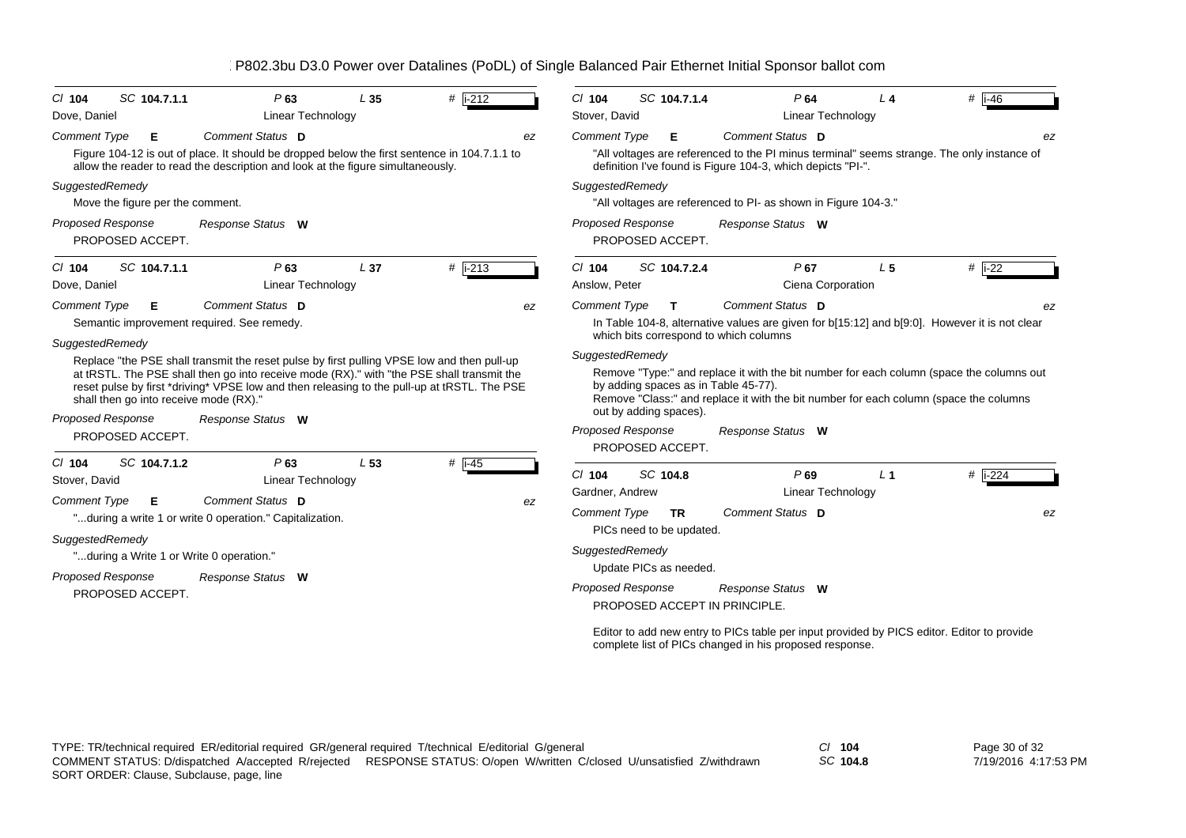| SC 104.7.1.1<br>$Cl$ 104                 | P63                                                                                                                                                                                                                                                                                    | L35             | $#$ i-212 | SC 104.7.1.4<br>$Cl$ 104<br>P64<br># $ i-46$<br>L <sub>4</sub>                                                                                                                                                                                      |
|------------------------------------------|----------------------------------------------------------------------------------------------------------------------------------------------------------------------------------------------------------------------------------------------------------------------------------------|-----------------|-----------|-----------------------------------------------------------------------------------------------------------------------------------------------------------------------------------------------------------------------------------------------------|
| Dove, Daniel                             | <b>Linear Technology</b>                                                                                                                                                                                                                                                               |                 |           | Stover, David<br>Linear Technology                                                                                                                                                                                                                  |
| <b>Comment Type</b><br>Е                 | Comment Status D                                                                                                                                                                                                                                                                       |                 | ez        | <b>Comment Type</b><br>Comment Status D<br>Е<br>ez                                                                                                                                                                                                  |
|                                          | Figure 104-12 is out of place. It should be dropped below the first sentence in 104.7.1.1 to<br>allow the reader to read the description and look at the figure simultaneously.                                                                                                        |                 |           | "All voltages are referenced to the PI minus terminal" seems strange. The only instance of<br>definition I've found is Figure 104-3, which depicts "PI-".                                                                                           |
| SuggestedRemedy                          |                                                                                                                                                                                                                                                                                        |                 |           | SuggestedRemedy                                                                                                                                                                                                                                     |
| Move the figure per the comment.         |                                                                                                                                                                                                                                                                                        |                 |           | "All voltages are referenced to PI- as shown in Figure 104-3."                                                                                                                                                                                      |
| Proposed Response<br>PROPOSED ACCEPT.    | Response Status W                                                                                                                                                                                                                                                                      |                 |           | <b>Proposed Response</b><br>Response Status W<br>PROPOSED ACCEPT.                                                                                                                                                                                   |
| SC 104.7.1.1<br>$Cl$ 104                 | P63                                                                                                                                                                                                                                                                                    | L 37            | # i-213   | #<br>$i-22$<br>$Cl$ 104<br>SC 104.7.2.4<br>P67<br>L <sub>5</sub>                                                                                                                                                                                    |
| Dove, Daniel                             | Linear Technology                                                                                                                                                                                                                                                                      |                 |           | Ciena Corporation<br>Anslow, Peter                                                                                                                                                                                                                  |
| <b>Comment Type</b><br>Е                 | Comment Status D<br>Semantic improvement required. See remedy.                                                                                                                                                                                                                         |                 | ez        | Comment Status D<br><b>Comment Type</b><br>T<br>In Table 104-8, alternative values are given for b[15:12] and b[9:0]. However it is not clear<br>which bits correspond to which columns                                                             |
| SuggestedRemedy                          |                                                                                                                                                                                                                                                                                        |                 |           | SuggestedRemedy                                                                                                                                                                                                                                     |
| shall then go into receive mode (RX)."   | Replace "the PSE shall transmit the reset pulse by first pulling VPSE low and then pull-up<br>at tRSTL. The PSE shall then go into receive mode (RX)." with "the PSE shall transmit the<br>reset pulse by first *driving* VPSE low and then releasing to the pull-up at tRSTL. The PSE |                 |           | Remove "Type:" and replace it with the bit number for each column (space the columns out<br>by adding spaces as in Table 45-77).<br>Remove "Class:" and replace it with the bit number for each column (space the columns<br>out by adding spaces). |
| Proposed Response                        | Response Status W                                                                                                                                                                                                                                                                      |                 |           | Proposed Response<br>Response Status W                                                                                                                                                                                                              |
| PROPOSED ACCEPT.                         |                                                                                                                                                                                                                                                                                        |                 |           | PROPOSED ACCEPT.                                                                                                                                                                                                                                    |
| SC 104.7.1.2<br>$Cl$ 104                 | P63                                                                                                                                                                                                                                                                                    | L <sub>53</sub> | $#$ i-45  |                                                                                                                                                                                                                                                     |
| Stover, David                            | Linear Technology                                                                                                                                                                                                                                                                      |                 |           | $#$ i-224<br>$Cl$ 104<br>SC 104.8<br>$P$ 69<br>L <sub>1</sub>                                                                                                                                                                                       |
| <b>Comment Type</b><br>Е                 | Comment Status D                                                                                                                                                                                                                                                                       |                 | ez        | <b>Linear Technology</b><br>Gardner, Andrew                                                                                                                                                                                                         |
|                                          | "during a write 1 or write 0 operation." Capitalization.                                                                                                                                                                                                                               |                 |           | Comment Status D<br><b>Comment Type</b><br><b>TR</b><br>ez<br>PICs need to be updated.                                                                                                                                                              |
| SuggestedRemedy                          |                                                                                                                                                                                                                                                                                        |                 |           | SuggestedRemedy                                                                                                                                                                                                                                     |
| "during a Write 1 or Write 0 operation." |                                                                                                                                                                                                                                                                                        |                 |           | Update PICs as needed.                                                                                                                                                                                                                              |
| Proposed Response<br>PROPOSED ACCEPT.    | Response Status W                                                                                                                                                                                                                                                                      |                 |           | <b>Proposed Response</b><br>Response Status W<br>PROPOSED ACCEPT IN PRINCIPLE.                                                                                                                                                                      |
|                                          |                                                                                                                                                                                                                                                                                        |                 |           | Editor to add new entry to PICs table per input provided by PICS editor. Editor to provide<br>complete list of PICs changed in his proposed response.                                                                                               |

*SC* **104.8**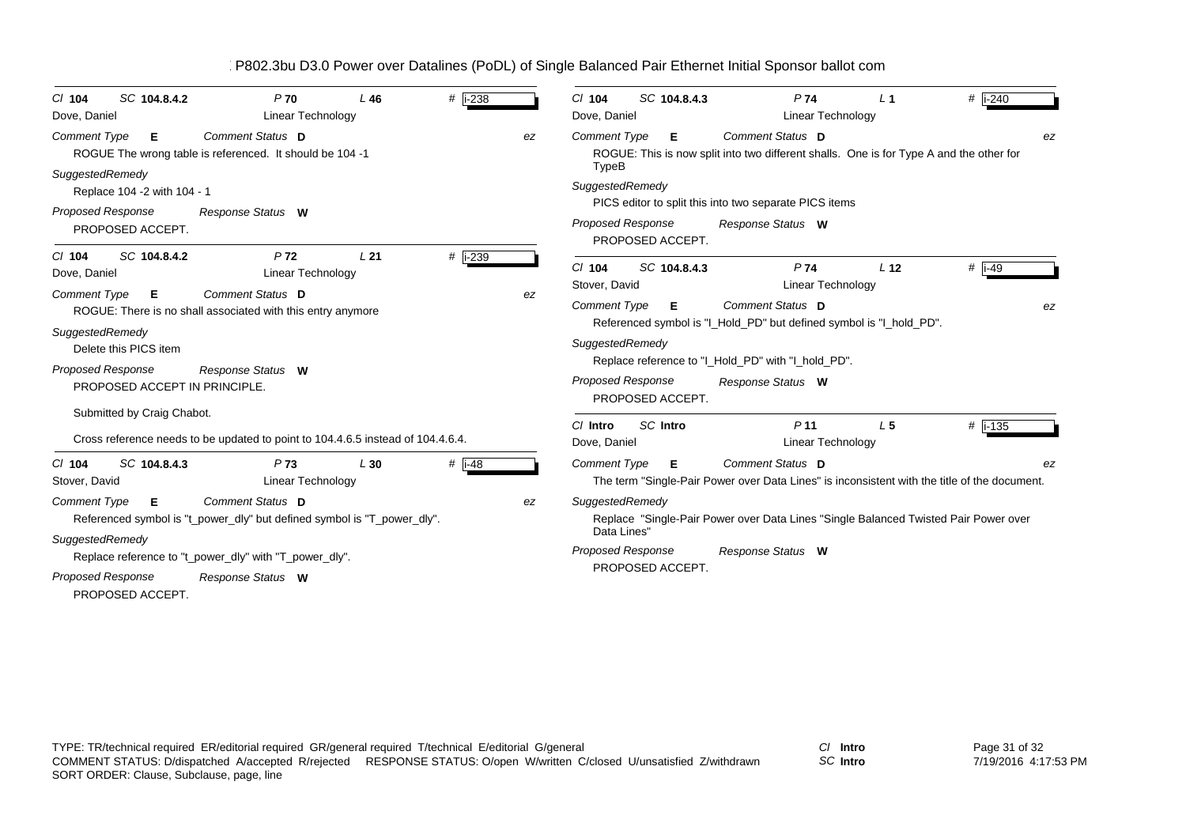| SC 104.8.4.2<br>$CI$ 104<br>Dove, Daniel                                                              | P <sub>70</sub><br>Linear Technology                                                        | L46 | # i-238              | SC 104.8.4.3<br>P74<br># i-240<br>$Cl$ 104<br>L <sub>1</sub><br>Dove, Daniel<br>Linear Technology                                                  |  |  |  |  |
|-------------------------------------------------------------------------------------------------------|---------------------------------------------------------------------------------------------|-----|----------------------|----------------------------------------------------------------------------------------------------------------------------------------------------|--|--|--|--|
| <b>Comment Type</b><br>Е                                                                              | Comment Status D<br>ROGUE The wrong table is referenced. It should be 104 -1                |     | ez                   | Comment Status D<br><b>Comment Type</b><br>Е<br>ez<br>ROGUE: This is now split into two different shalls. One is for Type A and the other for      |  |  |  |  |
| SuggestedRemedy<br>Replace 104 -2 with 104 - 1<br><b>Proposed Response</b><br>PROPOSED ACCEPT.        | Response Status W                                                                           |     |                      | TypeB<br>SuggestedRemedy<br>PICS editor to split this into two separate PICS items<br>Proposed Response<br>Response Status W<br>PROPOSED ACCEPT.   |  |  |  |  |
| SC 104.8.4.2<br>$CI$ 104<br>Dove, Daniel                                                              | P <sub>72</sub><br><b>Linear Technology</b>                                                 | L21 | # i-239              | # $\overline{1}$ -49<br>SC 104.8.4.3<br>$Cl$ 104<br>P74<br>L <sub>12</sub><br>Linear Technology<br>Stover, David                                   |  |  |  |  |
| <b>Comment Type</b><br>E.                                                                             | Comment Status D<br>ROGUE: There is no shall associated with this entry anymore             |     | ez                   | <b>Comment Type</b><br>Comment Status D<br>Е<br>Referenced symbol is "I_Hold_PD" but defined symbol is "I_hold_PD".                                |  |  |  |  |
| SuggestedRemedy<br>Delete this PICS item<br><b>Proposed Response</b><br>PROPOSED ACCEPT IN PRINCIPLE. | Response Status W                                                                           |     |                      | SuggestedRemedy<br>Replace reference to "I_Hold_PD" with "I_hold_PD".<br><b>Proposed Response</b><br>Response Status W<br>PROPOSED ACCEPT.         |  |  |  |  |
| Submitted by Craig Chabot.                                                                            | Cross reference needs to be updated to point to 104.4.6.5 instead of 104.4.6.4.             |     |                      | SC Intro<br>$#$ i-135<br>C/ Intro<br>P <sub>11</sub><br>L <sub>5</sub><br><b>Linear Technology</b><br>Dove, Daniel                                 |  |  |  |  |
| $Cl$ 104<br>SC 104.8.4.3<br>Stover, David                                                             | P73<br><b>Linear Technology</b>                                                             | L30 | # $\overline{1}$ -48 | Comment Status D<br><b>Comment Type</b><br>Е<br>ez<br>The term "Single-Pair Power over Data Lines" is inconsistent with the title of the document. |  |  |  |  |
| <b>Comment Type</b><br>E.                                                                             | Comment Status D<br>Referenced symbol is "t_power_dly" but defined symbol is "T_power_dly". |     | ez                   | SuggestedRemedy<br>Replace "Single-Pair Power over Data Lines "Single Balanced Twisted Pair Power over<br>Data Lines'                              |  |  |  |  |
| SuggestedRemedy<br><b>Proposed Response</b><br>PROPOSED ACCEPT.                                       | Replace reference to "t_power_dly" with "T_power_dly".<br>Response Status W                 |     |                      | Proposed Response<br>Response Status W<br>PROPOSED ACCEPT.                                                                                         |  |  |  |  |

*SC* **Intro**